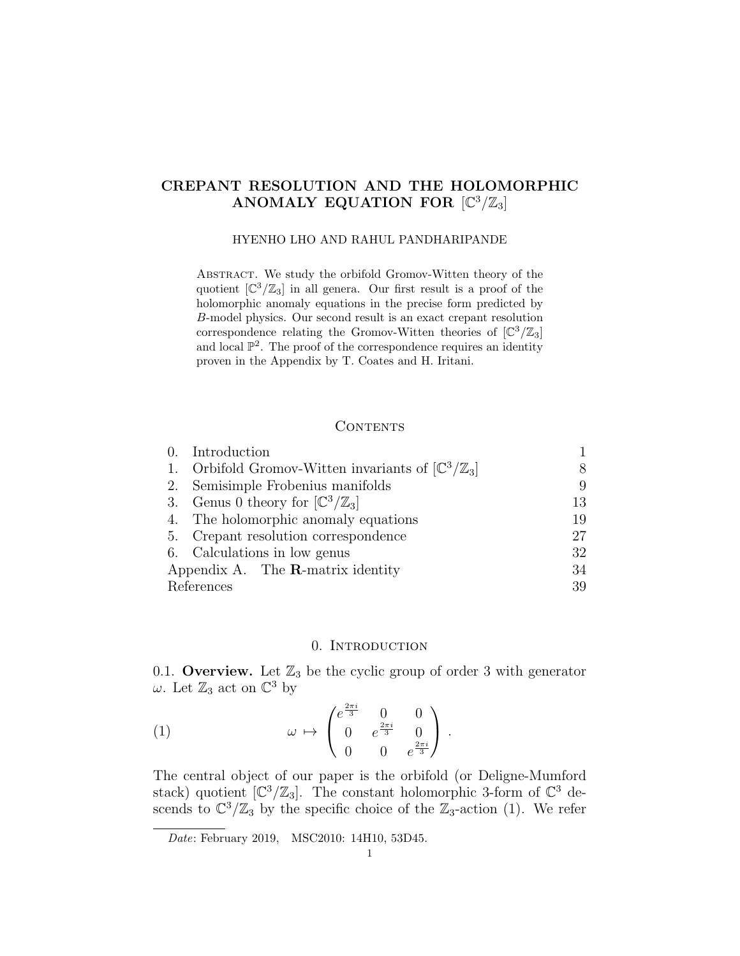## CREPANT RESOLUTION AND THE HOLOMORPHIC ANOMALY EQUATION FOR  $[\mathbb{C}^3/\mathbb{Z}_3]$

#### HYENHO LHO AND RAHUL PANDHARIPANDE

Abstract. We study the orbifold Gromov-Witten theory of the quotient  $\left[\mathbb{C}^3/\mathbb{Z}_3\right]$  in all genera. Our first result is a proof of the holomorphic anomaly equations in the precise form predicted by B-model physics. Our second result is an exact crepant resolution correspondence relating the Gromov-Witten theories of  $\left[\mathbb{C}^3/\mathbb{Z}_3\right]$ and local  $\mathbb{P}^2$ . The proof of the correspondence requires an identity proven in the Appendix by T. Coates and H. Iritani.

### CONTENTS

|                                          | 0. Introduction                                                       |    |
|------------------------------------------|-----------------------------------------------------------------------|----|
|                                          | 1. Orbifold Gromov-Witten invariants of $[\mathbb{C}^3/\mathbb{Z}_3]$ | 8  |
|                                          | 2. Semisimple Frobenius manifolds                                     | 9  |
|                                          | 3. Genus 0 theory for $\left[\mathbb{C}^3/\mathbb{Z}_3\right]$        | 13 |
|                                          | 4. The holomorphic anomaly equations                                  | 19 |
|                                          | 5. Crepant resolution correspondence                                  | 27 |
|                                          | 6. Calculations in low genus                                          | 32 |
| Appendix A. The $\bf R$ -matrix identity |                                                                       | 34 |
| References                               |                                                                       | 39 |

### 0. INTRODUCTION

0.1. Overview. Let  $\mathbb{Z}_3$  be the cyclic group of order 3 with generator  $\omega$ . Let  $\mathbb{Z}_3$  act on  $\mathbb{C}^3$  by

(1) 
$$
\omega \mapsto \begin{pmatrix} e^{\frac{2\pi i}{3}} & 0 & 0 \\ 0 & e^{\frac{2\pi i}{3}} & 0 \\ 0 & 0 & e^{\frac{2\pi i}{3}} \end{pmatrix}.
$$

The central object of our paper is the orbifold (or Deligne-Mumford stack) quotient  $[\mathbb{C}^3/\mathbb{Z}_3]$ . The constant holomorphic 3-form of  $\mathbb{C}^3$  descends to  $\mathbb{C}^3/\mathbb{Z}_3$  by the specific choice of the  $\mathbb{Z}_3$ -action (1). We refer

Date: February 2019, MSC2010: 14H10, 53D45.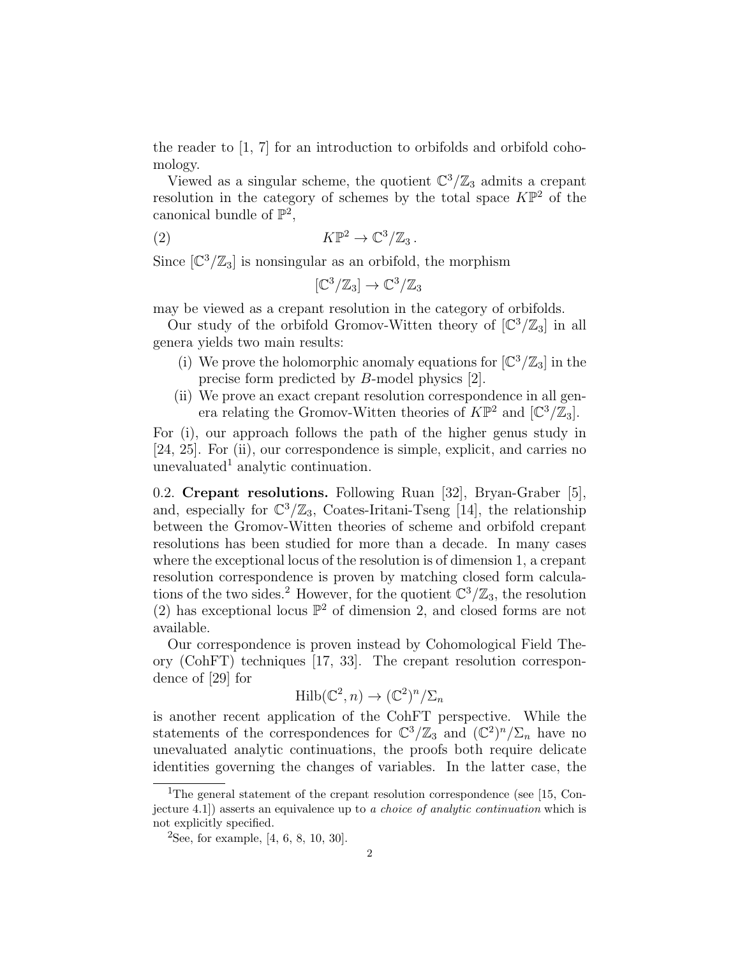the reader to  $\left[1, 7\right]$  for an introduction to orbifolds and orbifold cohomology.

Viewed as a singular scheme, the quotient  $\mathbb{C}^3/\mathbb{Z}_3$  admits a crepant resolution in the category of schemes by the total space  $K\mathbb{P}^2$  of the canonical bundle of  $\mathbb{P}^2$ ,

(2) 
$$
K\mathbb{P}^2 \to \mathbb{C}^3/\mathbb{Z}_3.
$$

Since  $[\mathbb{C}^3/\mathbb{Z}_3]$  is nonsingular as an orbifold, the morphism

$$
[\mathbb{C}^3/\mathbb{Z}_3] \to \mathbb{C}^3/\mathbb{Z}_3
$$

may be viewed as a crepant resolution in the category of orbifolds.

Our study of the orbifold Gromov-Witten theory of  $\left[\mathbb{C}^3/\mathbb{Z}_3\right]$  in all genera yields two main results:

- (i) We prove the holomorphic anomaly equations for  $\left[\mathbb{C}^3/\mathbb{Z}_3\right]$  in the precise form predicted by B-model physics [2].
- (ii) We prove an exact crepant resolution correspondence in all genera relating the Gromov-Witten theories of  $K\mathbb{P}^2$  and  $[\mathbb{C}^3/\mathbb{Z}_3]$ .

For (i), our approach follows the path of the higher genus study in [24, 25]. For (ii), our correspondence is simple, explicit, and carries no unevaluated<sup>1</sup> analytic continuation.

0.2. Crepant resolutions. Following Ruan [32], Bryan-Graber [5], and, especially for  $\mathbb{C}^3/\mathbb{Z}_3$ , Coates-Iritani-Tseng [14], the relationship between the Gromov-Witten theories of scheme and orbifold crepant resolutions has been studied for more than a decade. In many cases where the exceptional locus of the resolution is of dimension 1, a crepant resolution correspondence is proven by matching closed form calculations of the two sides.<sup>2</sup> However, for the quotient  $\mathbb{C}^3/\mathbb{Z}_3$ , the resolution (2) has exceptional locus  $\mathbb{P}^2$  of dimension 2, and closed forms are not available.

Our correspondence is proven instead by Cohomological Field Theory (CohFT) techniques [17, 33]. The crepant resolution correspondence of [29] for

$$
\mathrm{Hilb}(\mathbb{C}^2, n) \to (\mathbb{C}^2)^n / \Sigma_n
$$

is another recent application of the CohFT perspective. While the statements of the correspondences for  $\mathbb{C}^3/\mathbb{Z}_3$  and  $(\mathbb{C}^2)^n/\Sigma_n$  have no unevaluated analytic continuations, the proofs both require delicate identities governing the changes of variables. In the latter case, the

<sup>&</sup>lt;sup>1</sup>The general statement of the crepant resolution correspondence (see [15, Conjecture 4.1]) asserts an equivalence up to a choice of analytic continuation which is not explicitly specified.

<sup>&</sup>lt;sup>2</sup>See, for example, [4, 6, 8, 10, 30].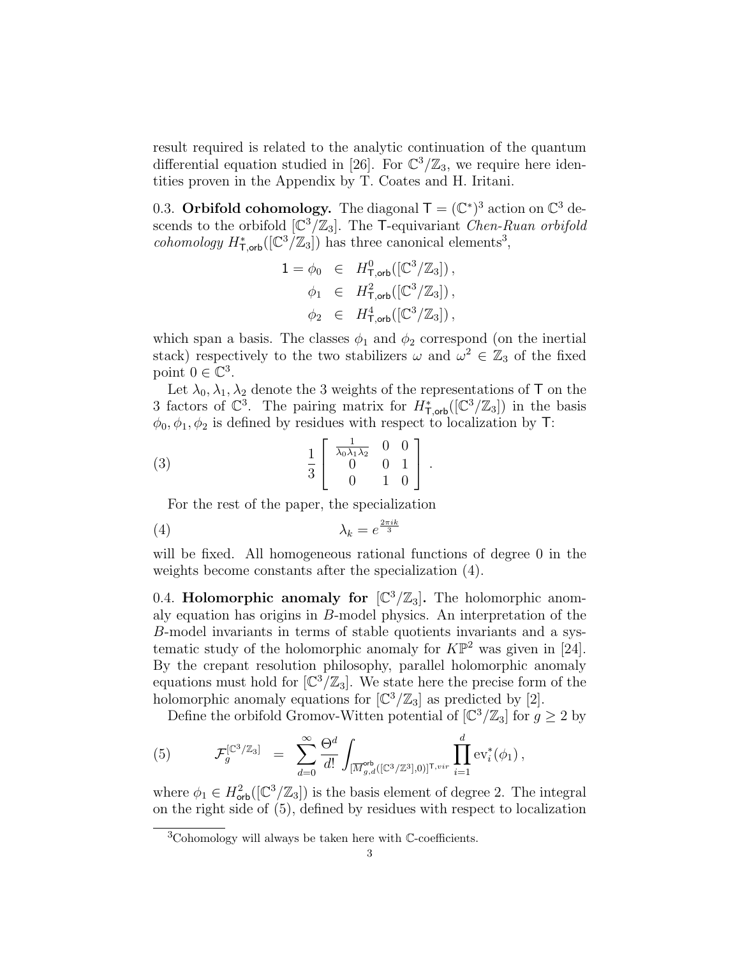result required is related to the analytic continuation of the quantum differential equation studied in [26]. For  $\mathbb{C}^3/\mathbb{Z}_3$ , we require here identities proven in the Appendix by T. Coates and H. Iritani.

0.3. Orbifold cohomology. The diagonal  $\mathsf{T} = (\mathbb{C}^*)^3$  action on  $\mathbb{C}^3$  descends to the orbifold  $\left[\mathbb{C}^3/\mathbb{Z}_3\right]$ . The T-equivariant *Chen-Ruan orbifold* cohomology  $H^*_{\mathsf{T},\mathsf{orb}}([\mathbb{C}^3/\mathbb{Z}_3])$  has three canonical elements<sup>3</sup>,

$$
1 = \phi_0 \in H^0_{\mathsf{T},\mathsf{orb}}([\mathbb{C}^3/\mathbb{Z}_3]),
$$
  
\n
$$
\phi_1 \in H^2_{\mathsf{T},\mathsf{orb}}([\mathbb{C}^3/\mathbb{Z}_3]),
$$
  
\n
$$
\phi_2 \in H^4_{\mathsf{T},\mathsf{orb}}([\mathbb{C}^3/\mathbb{Z}_3]),
$$

which span a basis. The classes  $\phi_1$  and  $\phi_2$  correspond (on the inertial stack) respectively to the two stabilizers  $\omega$  and  $\omega^2 \in \mathbb{Z}_3$  of the fixed point  $0 \in \mathbb{C}^3$ .

Let  $\lambda_0, \lambda_1, \lambda_2$  denote the 3 weights of the representations of T on the 3 factors of  $\mathbb{C}^3$ . The pairing matrix for  $H^*_{\mathsf{T},\mathsf{orb}}([\mathbb{C}^3/\mathbb{Z}_3])$  in the basis  $\phi_0, \phi_1, \phi_2$  is defined by residues with respect to localization by T:

(3) 
$$
\frac{1}{3} \left[ \begin{array}{rrr} \frac{1}{\lambda_0 \lambda_1 \lambda_2} & 0 & 0 \\ 0 & 0 & 1 \\ 0 & 1 & 0 \end{array} \right].
$$

For the rest of the paper, the specialization

$$
\lambda_k = e^{\frac{2\pi i k}{3}}
$$

will be fixed. All homogeneous rational functions of degree 0 in the weights become constants after the specialization (4).

0.4. Holomorphic anomaly for  $\left[\mathbb{C}^3/\mathbb{Z}_3\right]$ . The holomorphic anomaly equation has origins in B-model physics. An interpretation of the B-model invariants in terms of stable quotients invariants and a systematic study of the holomorphic anomaly for  $K\mathbb{P}^2$  was given in [24]. By the crepant resolution philosophy, parallel holomorphic anomaly equations must hold for  $\left[\mathbb{C}^3/\mathbb{Z}_3\right]$ . We state here the precise form of the holomorphic anomaly equations for  $\left[\mathbb{C}^3/\mathbb{Z}_3\right]$  as predicted by [2].

Define the orbifold Gromov-Witten potential of  $\left[\mathbb{C}^3/\mathbb{Z}_3\right]$  for  $g \geq 2$  by

(5) 
$$
\mathcal{F}_g^{[\mathbb{C}^3/\mathbb{Z}_3]} = \sum_{d=0}^{\infty} \frac{\Theta^d}{d!} \int_{[\overline{M}_{g,d}^{\text{orb}}([\mathbb{C}^3/\mathbb{Z}^3],0)]^{\mathsf{T},vir}} \prod_{i=1}^d \text{ev}_i^*(\phi_1),
$$

where  $\phi_1 \in H^2_{\text{orb}}([{\mathbb C}^3/{\mathbb Z}_3])$  is the basis element of degree 2. The integral on the right side of (5), defined by residues with respect to localization

 ${}^{3}$ Cohomology will always be taken here with  $\mathbb{C}\text{-coefficients}.$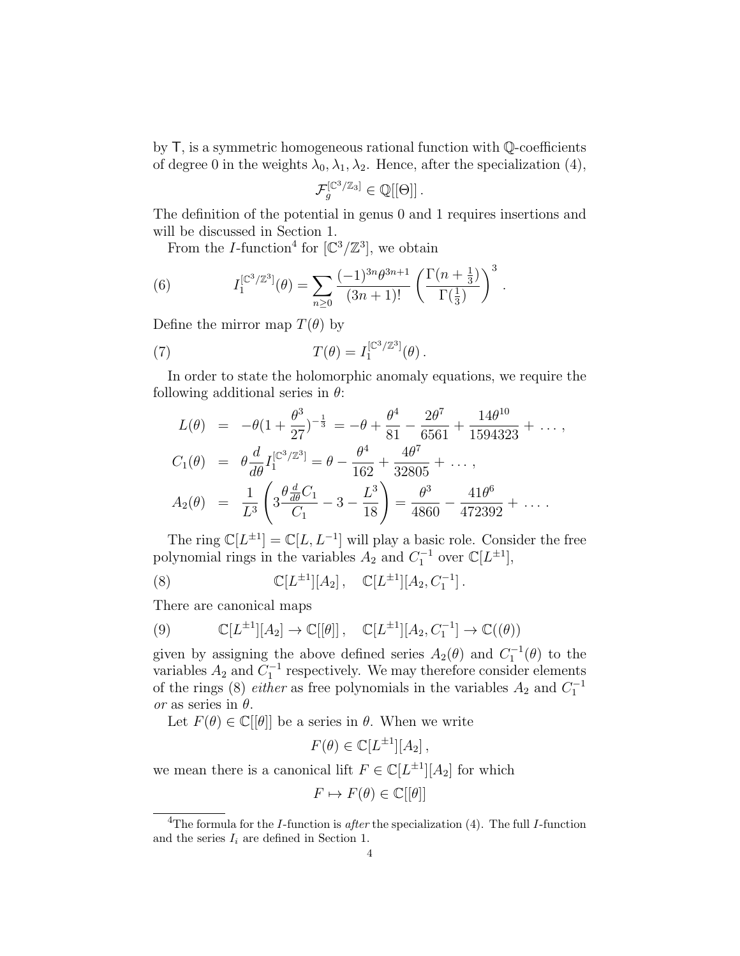by T, is a symmetric homogeneous rational function with Q-coefficients of degree 0 in the weights  $\lambda_0, \lambda_1, \lambda_2$ . Hence, after the specialization (4),

$$
\mathcal{F}_g^{[\mathbb{C}^3/\mathbb{Z}_3]} \in \mathbb{Q}[[\Theta]].
$$

The definition of the potential in genus 0 and 1 requires insertions and will be discussed in Section 1.

From the *I*-function<sup>4</sup> for  $[\mathbb{C}^3/\mathbb{Z}^3]$ , we obtain

(6) 
$$
I_1^{[\mathbb{C}^3/\mathbb{Z}^3]}(\theta) = \sum_{n\geq 0} \frac{(-1)^{3n} \theta^{3n+1}}{(3n+1)!} \left(\frac{\Gamma(n+\frac{1}{3})}{\Gamma(\frac{1}{3})}\right)^3.
$$

Define the mirror map  $T(\theta)$  by

(7) 
$$
T(\theta) = I_1^{[\mathbb{C}^3/\mathbb{Z}^3]}(\theta).
$$

In order to state the holomorphic anomaly equations, we require the following additional series in  $\theta$ :

$$
L(\theta) = -\theta (1 + \frac{\theta^3}{27})^{-\frac{1}{3}} = -\theta + \frac{\theta^4}{81} - \frac{2\theta^7}{6561} + \frac{14\theta^{10}}{1594323} + \dots,
$$
  
\n
$$
C_1(\theta) = \theta \frac{d}{d\theta} I_1^{[\mathbb{C}^3/\mathbb{Z}^3]} = \theta - \frac{\theta^4}{162} + \frac{4\theta^7}{32805} + \dots,
$$
  
\n
$$
A_2(\theta) = \frac{1}{L^3} \left( 3 \frac{\theta \frac{d}{d\theta} C_1}{C_1} - 3 - \frac{L^3}{18} \right) = \frac{\theta^3}{4860} - \frac{41\theta^6}{472392} + \dots
$$

The ring  $\mathbb{C}[L^{\pm 1}] = \mathbb{C}[L, L^{-1}]$  will play a basic role. Consider the free polynomial rings in the variables  $A_2$  and  $C_1^{-1}$  over  $\mathbb{C}[L^{\pm 1}]$ ,

(8) 
$$
\mathbb{C}[L^{\pm 1}][A_2], \quad \mathbb{C}[L^{\pm 1}][A_2, C_1^{-1}].
$$

There are canonical maps

(9) 
$$
\mathbb{C}[L^{\pm 1}][A_2] \to \mathbb{C}[[\theta]], \quad \mathbb{C}[L^{\pm 1}][A_2, C_1^{-1}] \to \mathbb{C}((\theta))
$$

given by assigning the above defined series  $A_2(\theta)$  and  $C_1^{-1}(\theta)$  to the variables  $A_2$  and  $C_1^{-1}$  respectively. We may therefore consider elements of the rings (8) *either* as free polynomials in the variables  $A_2$  and  $C_1^{-1}$ or as series in  $\theta$ .

Let  $F(\theta) \in \mathbb{C}[\theta]$  be a series in  $\theta$ . When we write

$$
F(\theta) \in \mathbb{C}[L^{\pm 1}][A_2],
$$

we mean there is a canonical lift  $F \in \mathbb{C}[L^{\pm 1}][A_2]$  for which

$$
F \mapsto F(\theta) \in \mathbb{C}[[\theta]]
$$

<sup>&</sup>lt;sup>4</sup>The formula for the *I*-function is *after* the specialization (4). The full *I*-function and the series  $I_i$  are defined in Section 1.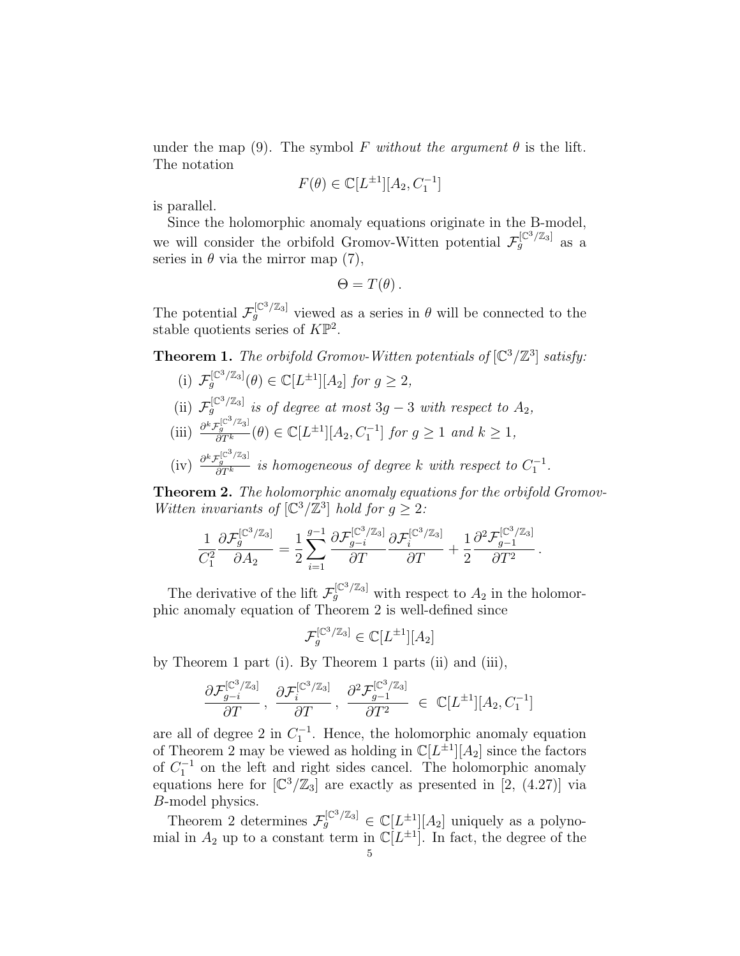under the map (9). The symbol F without the argument  $\theta$  is the lift. The notation

$$
F(\theta) \in \mathbb{C}[L^{\pm 1}][A_2, C_1^{-1}]
$$

is parallel.

Since the holomorphic anomaly equations originate in the B-model, we will consider the orbifold Gromov-Witten potential  $\mathcal{F}_g^{[\mathbb{C}^3/\mathbb{Z}_3]}$  as a series in  $\theta$  via the mirror map (7),

$$
\Theta=T(\theta)\,.
$$

The potential  $\mathcal{F}_{g}^{[\mathbb{C}^3/\mathbb{Z}_3]}$  viewed as a series in  $\theta$  will be connected to the stable quotients series of  $K\mathbb{P}^2$ .

**Theorem 1.** The orbifold Gromov-Witten potentials of  $\left[\mathbb{C}^3/\mathbb{Z}^3\right]$  satisfy:

- (i)  $\mathcal{F}_g^{[\mathbb{C}^3/\mathbb{Z}_3]}(\theta) \in \mathbb{C}[L^{\pm 1}][A_2]$  for  $g \geq 2$ ,
- (ii)  $\mathcal{F}_g^{[\mathbb{C}^3/\mathbb{Z}_3]}$  is of degree at most 3g 3 with respect to  $A_2$ ,
- (iii)  $\frac{\partial^k \mathcal{F}_g^{[\mathbb{C}^3/\mathbb{Z}_3]}}{\partial T^k}(\theta) \in \mathbb{C}[L^{\pm 1}][A_2, C_1^{-1}]$  for  $g \ge 1$  and  $k \ge 1$ ,
- (iv)  $\frac{\partial^k \mathcal{F}_g^{[\mathbb{C}^3/\mathbb{Z}_3]} }{\partial T^k}$  is homogeneous of degree k with respect to  $C_1^{-1}$ .

**Theorem 2.** The holomorphic anomaly equations for the orbifold Gromov-Witten invariants of  $\left[\mathbb{C}^3/\mathbb{Z}^3\right]$  hold for  $g \geq 2$ :

$$
\frac{1}{C_1^2}\frac{\partial \mathcal{F}_g^{[\mathbb{C}^3/\mathbb{Z}_3]}}{\partial A_2} = \frac{1}{2}\sum_{i=1}^{g-1}\frac{\partial \mathcal{F}_{g-i}^{[\mathbb{C}^3/\mathbb{Z}_3]}}{\partial T}\frac{\partial \mathcal{F}_i^{[\mathbb{C}^3/\mathbb{Z}_3]}}{\partial T} + \frac{1}{2}\frac{\partial^2 \mathcal{F}_{g-1}^{[\mathbb{C}^3/\mathbb{Z}_3]}}{\partial T^2}.
$$

The derivative of the lift  $\mathcal{F}_g^{[\mathbb{C}^3/\mathbb{Z}_3]}$  with respect to  $A_2$  in the holomorphic anomaly equation of Theorem 2 is well-defined since

$$
\mathcal{F}_g^{[\mathbb{C}^3/\mathbb{Z}_3]} \in \mathbb{C}[L^{\pm 1}][A_2]
$$

by Theorem 1 part (i). By Theorem 1 parts (ii) and (iii),

$$
\frac{\partial \mathcal{F}_{g-i}^{[\mathbb{C}^3/\mathbb{Z}_3]}}{\partial T},\ \frac{\partial \mathcal{F}_{i}^{[\mathbb{C}^3/\mathbb{Z}_3]}}{\partial T},\ \frac{\partial^2 \mathcal{F}_{g-1}^{[\mathbb{C}^3/\mathbb{Z}_3]}}{\partial T^2} \in \ \mathbb{C}[L^{\pm 1}][A_2, C_1^{-1}]
$$

are all of degree 2 in  $C_1^{-1}$ . Hence, the holomorphic anomaly equation of Theorem 2 may be viewed as holding in  $\mathbb{C}[L^{\pm 1}][A_2]$  since the factors of  $C_1^{-1}$  on the left and right sides cancel. The holomorphic anomaly equations here for  $\left[\mathbb{C}^3/\mathbb{Z}_3\right]$  are exactly as presented in  $\left[2, (4.27)\right]$  via B-model physics.

Theorem 2 determines  $\mathcal{F}_g^{[\mathbb{C}^3/\mathbb{Z}_3]} \in \mathbb{C}[L^{\pm 1}][A_2]$  uniquely as a polynomial in  $A_2$  up to a constant term in  $\mathbb{C}[L^{\pm 1}]$ . In fact, the degree of the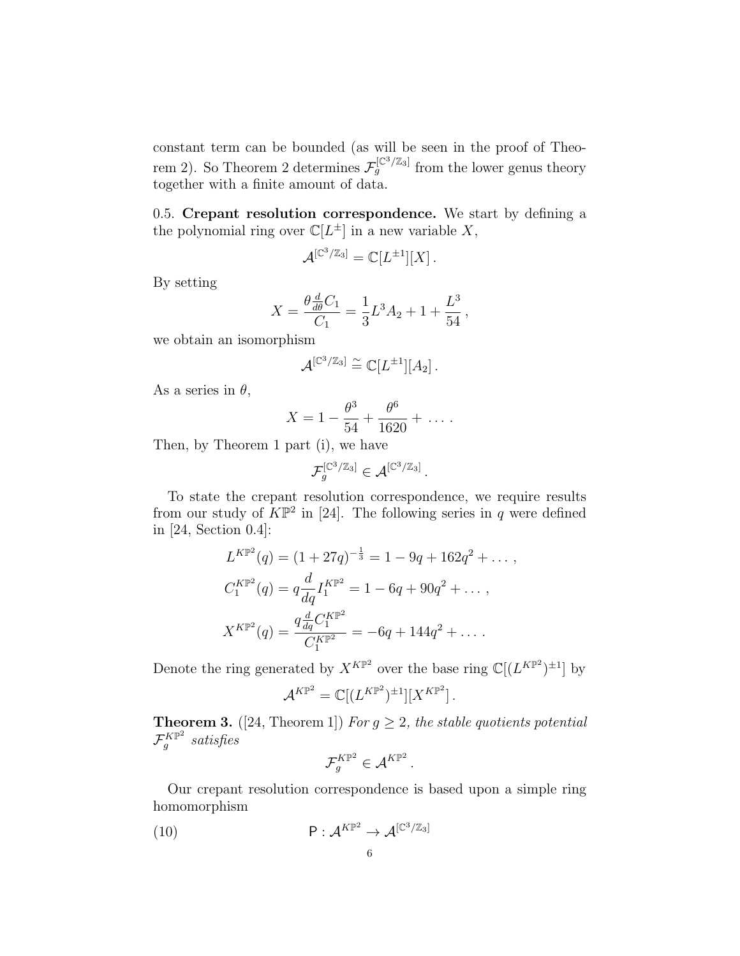constant term can be bounded (as will be seen in the proof of Theorem 2). So Theorem 2 determines  $\mathcal{F}_g^{[\mathbb{C}^3/\mathbb{Z}_3]}$  from the lower genus theory together with a finite amount of data.

0.5. Crepant resolution correspondence. We start by defining a the polynomial ring over  $\mathbb{C}[L^{\pm}]$  in a new variable X,

$$
\mathcal{A}^{[\mathbb{C}^3/\mathbb{Z}_3]}=\mathbb{C}[L^{\pm 1}][X].
$$

By setting

$$
X = \frac{\theta \frac{d}{d\theta} C_1}{C_1} = \frac{1}{3} L^3 A_2 + 1 + \frac{L^3}{54},
$$

we obtain an isomorphism

$$
\mathcal{A}^{[\mathbb{C}^3/\mathbb{Z}_3]} \stackrel{\sim}{=} \mathbb{C}[L^{\pm 1}][A_2].
$$

As a series in  $\theta$ ,

$$
X = 1 - \frac{\theta^3}{54} + \frac{\theta^6}{1620} + \dots
$$

Then, by Theorem 1 part (i), we have

$$
\mathcal{F}_g^{[\mathbb{C}^3/\mathbb{Z}_3]} \in \mathcal{A}^{[\mathbb{C}^3/\mathbb{Z}_3]}.
$$

To state the crepant resolution correspondence, we require results from our study of  $K\mathbb{P}^2$  in [24]. The following series in q were defined in [24, Section 0.4]:

$$
L^{K\mathbb{P}^2}(q) = (1 + 27q)^{-\frac{1}{3}} = 1 - 9q + 162q^2 + \dots,
$$
  
\n
$$
C_1^{K\mathbb{P}^2}(q) = q \frac{d}{dq} I_1^{K\mathbb{P}^2} = 1 - 6q + 90q^2 + \dots,
$$
  
\n
$$
X^{K\mathbb{P}^2}(q) = \frac{q \frac{d}{dq} C_1^{K\mathbb{P}^2}}{C_1^{K\mathbb{P}^2}} = -6q + 144q^2 + \dots.
$$

Denote the ring generated by  $X^{K\mathbb{P}^2}$  over the base ring  $\mathbb{C}[(L^{K\mathbb{P}^2})^{\pm 1}]$  by

$$
\mathcal{A}^{K\mathbb{P}^2} = \mathbb{C}[(L^{K\mathbb{P}^2})^{\pm 1}][X^{K\mathbb{P}^2}].
$$

**Theorem 3.** ([24, Theorem 1]) For  $g \geq 2$ , the stable quotients potential  ${\mathcal F}_a^{K\mathbb{P}^2}$  $g^{^{\ast}K\mathbb{P}^2}$  satisfies

$$
\mathcal{F}_g^{K\mathbb{P}^2} \in \mathcal{A}^{K\mathbb{P}^2}.
$$

Our crepant resolution correspondence is based upon a simple ring homomorphism

(10) 
$$
\mathsf{P}: \mathcal{A}^{K\mathbb{P}^2} \to \mathcal{A}^{[\mathbb{C}^3/\mathbb{Z}_3]}
$$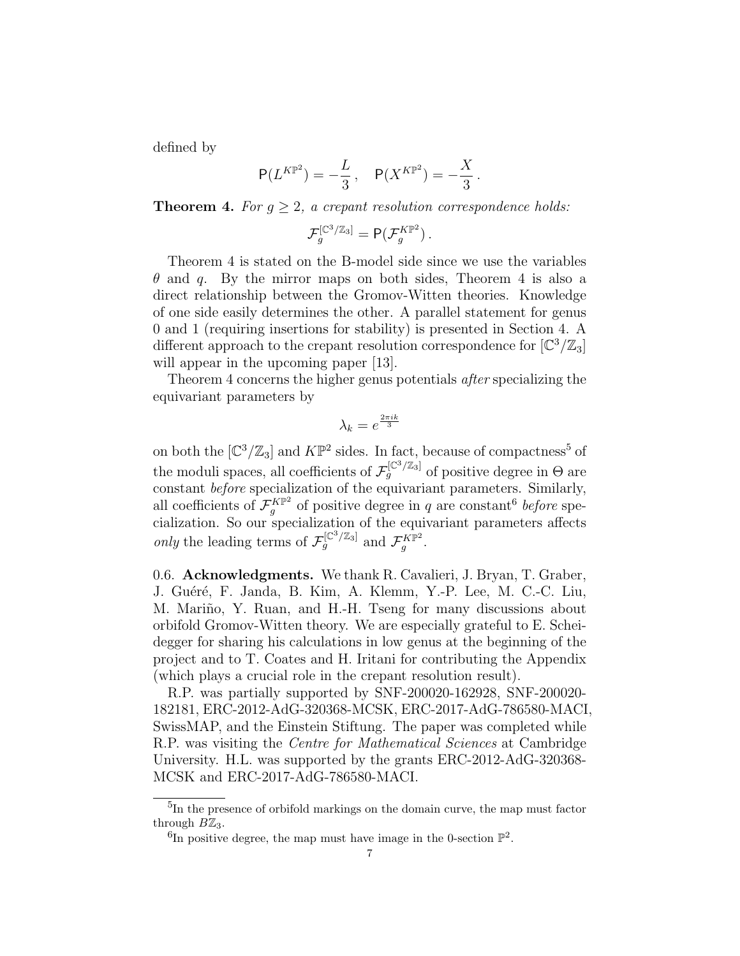defined by

$$
P(L^{K\mathbb{P}^2}) = -\frac{L}{3}, \quad P(X^{K\mathbb{P}^2}) = -\frac{X}{3}.
$$

**Theorem 4.** For  $q > 2$ , a crepant resolution correspondence holds:

$$
\mathcal{F}_g^{[\mathbb{C}^3/\mathbb{Z}_3]} = \mathsf{P}(\mathcal{F}_g^{K\mathbb{P}^2})\,.
$$

Theorem 4 is stated on the B-model side since we use the variables  $\theta$  and q. By the mirror maps on both sides, Theorem 4 is also a direct relationship between the Gromov-Witten theories. Knowledge of one side easily determines the other. A parallel statement for genus 0 and 1 (requiring insertions for stability) is presented in Section 4. A different approach to the crepant resolution correspondence for  $\left[\mathbb{C}^3/\mathbb{Z}_3\right]$ will appear in the upcoming paper [13].

Theorem 4 concerns the higher genus potentials after specializing the equivariant parameters by

$$
\lambda_k = e^{\frac{2\pi i k}{3}}
$$

on both the  $\left[\mathbb{C}^3/\mathbb{Z}_3\right]$  and  $K\mathbb{P}^2$  sides. In fact, because of compactness<sup>5</sup> of the moduli spaces, all coefficients of  $\mathcal{F}_g^{[\mathbb{C}^3/\mathbb{Z}_3]}$  of positive degree in  $\Theta$  are constant before specialization of the equivariant parameters. Similarly, all coefficients of  $\mathcal{F}^{K\mathbb{P}^2}_{a}$  $g^{K\mathbb{P}^2}$  of positive degree in q are constant<sup>6</sup> before specialization. So our specialization of the equivariant parameters affects only the leading terms of  $\mathcal{F}_g^{[\mathbb{C}^3/\mathbb{Z}_3]}$  and  $\mathcal{F}_g^{K\mathbb{P}^2}$  $_g^{rK\mathbb{P}^2}.$ 

0.6. Acknowledgments. We thank R. Cavalieri, J. Bryan, T. Graber, J. Guéré, F. Janda, B. Kim, A. Klemm, Y.-P. Lee, M. C.-C. Liu, M. Mariño, Y. Ruan, and H.-H. Tseng for many discussions about orbifold Gromov-Witten theory. We are especially grateful to E. Scheidegger for sharing his calculations in low genus at the beginning of the project and to T. Coates and H. Iritani for contributing the Appendix (which plays a crucial role in the crepant resolution result).

R.P. was partially supported by SNF-200020-162928, SNF-200020- 182181, ERC-2012-AdG-320368-MCSK, ERC-2017-AdG-786580-MACI, SwissMAP, and the Einstein Stiftung. The paper was completed while R.P. was visiting the Centre for Mathematical Sciences at Cambridge University. H.L. was supported by the grants ERC-2012-AdG-320368- MCSK and ERC-2017-AdG-786580-MACI.

<sup>&</sup>lt;sup>5</sup>In the presence of orbifold markings on the domain curve, the map must factor through  $B\mathbb{Z}_3$ .

<sup>&</sup>lt;sup>6</sup>In positive degree, the map must have image in the 0-section  $\mathbb{P}^2$ .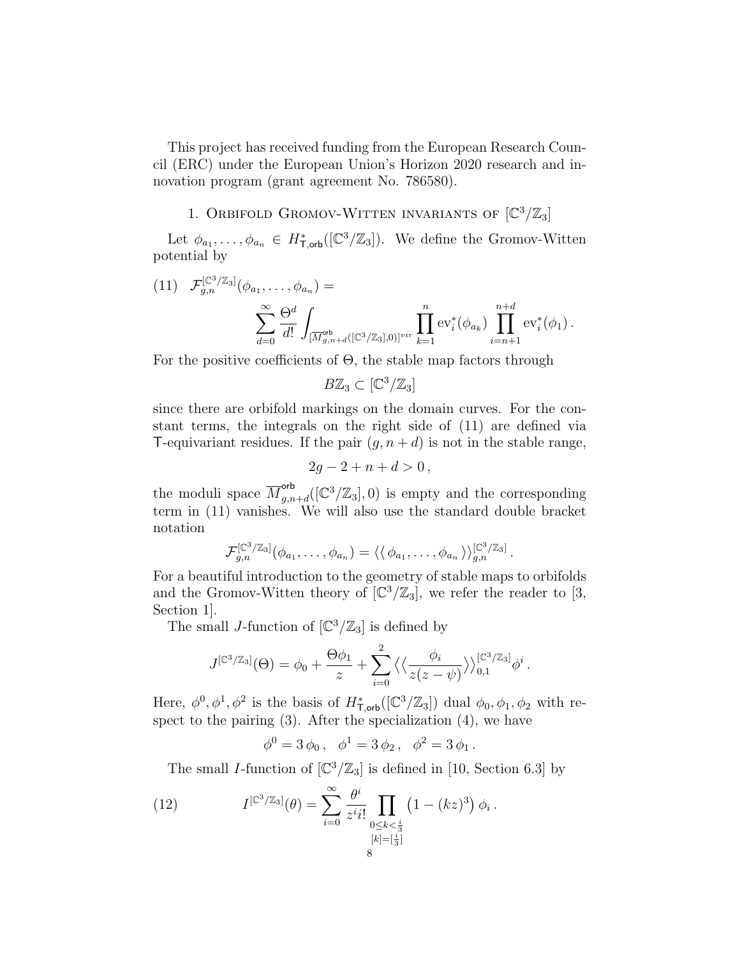This project has received funding from the European Research Council (ERC) under the European Union's Horizon 2020 research and innovation program (grant agreement No. 786580).

# 1. ORBIFOLD GROMOV-WITTEN INVARIANTS OF  $[\mathbb{C}^3/\mathbb{Z}_3]$

Let  $\phi_{a_1}, \ldots, \phi_{a_n} \in H^*_{\mathsf{T},\mathsf{orb}}([\mathbb{C}^3/\mathbb{Z}_3])$ . We define the Gromov-Witten potential by

(11)  $\mathcal{F}_{g,n}^{[\mathbb{C}^3/\mathbb{Z}_3]}(\phi_{a_1},\ldots,\phi_{a_n})=$  $\sum^{\infty}$  $d=0$  $\Theta^d$ d! Z  $[\overline{M}_{g,n+d}^{\text{orb}}([\mathbb{C}^3/\mathbb{Z}_3],0)]^{vir}$  $\prod^n$  $k=1$  $\operatorname{ev}_i^*(\phi_{a_k})$ n $\Pi$  $+d$  $i=n+1$  $ev_i^*(\phi_1)$ .

For the positive coefficients of  $\Theta$ , the stable map factors through

$$
B\mathbb{Z}_3\subset [\mathbb{C}^3/\mathbb{Z}_3]
$$

since there are orbifold markings on the domain curves. For the constant terms, the integrals on the right side of (11) are defined via T-equivariant residues. If the pair  $(g, n+d)$  is not in the stable range,

$$
2g - 2 + n + d > 0
$$

the moduli space  $\overline{M}_{a,n}^{\text{orb}}$  $g_{g,n+d}^{orb}([\mathbb{C}^3/\mathbb{Z}_3],0)$  is empty and the corresponding term in (11) vanishes. We will also use the standard double bracket notation

$$
\mathcal{F}_{g,n}^{[\mathbb{C}^3/\mathbb{Z}_3]}(\phi_{a_1},\ldots,\phi_{a_n})=\langle\langle \phi_{a_1},\ldots,\phi_{a_n}\rangle\rangle_{g,n}^{[\mathbb{C}^3/\mathbb{Z}_3]}.
$$

For a beautiful introduction to the geometry of stable maps to orbifolds and the Gromov-Witten theory of  $\left[\mathbb{C}^3/\mathbb{Z}_3\right]$ , we refer the reader to [3, Section 1].

The small J-function of  $\left[\mathbb{C}^3/\mathbb{Z}_3\right]$  is defined by

$$
J^{[\mathbb{C}^3/\mathbb{Z}_3]}(\Theta) = \phi_0 + \frac{\Theta \phi_1}{z} + \sum_{i=0}^2 \left\langle \left\langle \frac{\phi_i}{z(z-\psi)} \right\rangle \right\rangle_{0,1}^{[\mathbb{C}^3/\mathbb{Z}_3]} \phi^i.
$$

Here,  $\phi^0, \phi^1, \phi^2$  is the basis of  $H^*_{\text{Toob}}([\mathbb{C}^3/\mathbb{Z}_3])$  dual  $\phi_0, \phi_1, \phi_2$  with respect to the pairing  $(3)$ . After the specialization  $(4)$ , we have

 $\phi^0 = 3 \, \phi_0 \,, \ \ \phi^1 = 3 \, \phi_2 \,, \ \ \phi^2 = 3 \, \phi_1 \,.$ 

The small *I*-function of  $\left[\mathbb{C}^3/\mathbb{Z}_3\right]$  is defined in [10, Section 6.3] by

(12) 
$$
I^{[\mathbb{C}^3/\mathbb{Z}_3]}(\theta) = \sum_{i=0}^{\infty} \frac{\theta^i}{z^i i!} \prod_{\substack{0 \le k < \frac{i}{3} \\ [k] = [\frac{i}{3}]}} (1 - (kz)^3) \phi_i.
$$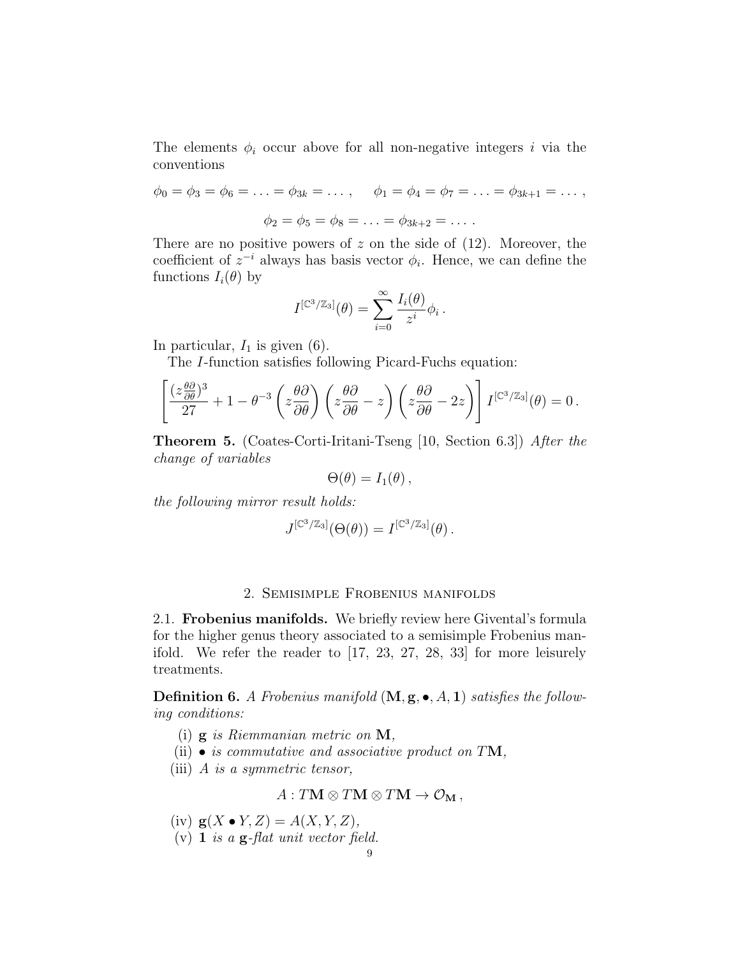The elements  $\phi_i$  occur above for all non-negative integers i via the conventions

$$
\phi_0 = \phi_3 = \phi_6 = \dots = \phi_{3k} = \dots
$$
,  $\phi_1 = \phi_4 = \phi_7 = \dots = \phi_{3k+1} = \dots$ ,  
 $\phi_2 = \phi_5 = \phi_8 = \dots = \phi_{3k+2} = \dots$ .

There are no positive powers of z on the side of  $(12)$ . Moreover, the coefficient of  $z^{-i}$  always has basis vector  $\phi_i$ . Hence, we can define the functions  $I_i(\theta)$  by

$$
I^{[\mathbb{C}^3/\mathbb{Z}_3]}(\theta) = \sum_{i=0}^{\infty} \frac{I_i(\theta)}{z^i} \phi_i.
$$

In particular,  $I_1$  is given (6).

The I-function satisfies following Picard-Fuchs equation:

$$
\left[\frac{(z\frac{\theta\partial}{\partial\theta})^3}{27} + 1 - \theta^{-3}\left(z\frac{\theta\partial}{\partial\theta}\right)\left(z\frac{\theta\partial}{\partial\theta} - z\right)\left(z\frac{\theta\partial}{\partial\theta} - 2z\right)\right]I^{[\mathbb{C}^3/\mathbb{Z}_3]}(\theta) = 0.
$$

Theorem 5. (Coates-Corti-Iritani-Tseng [10, Section 6.3]) After the change of variables

$$
\Theta(\theta)=I_1(\theta)\,,
$$

the following mirror result holds:

$$
J^{[\mathbb{C}^3/\mathbb{Z}_3]}(\Theta(\theta)) = I^{[\mathbb{C}^3/\mathbb{Z}_3]}(\theta) .
$$

## 2. Semisimple Frobenius manifolds

2.1. Frobenius manifolds. We briefly review here Givental's formula for the higher genus theory associated to a semisimple Frobenius manifold. We refer the reader to [17, 23, 27, 28, 33] for more leisurely treatments.

**Definition 6.** A Frobenius manifold  $(M, g, \bullet, A, 1)$  satisfies the following conditions:

- (i)  $\mathbf{g}$  is Riemmanian metric on  $\mathbf{M}$ ,
- (ii)  $\bullet$  is commutative and associative product on TM,
- (iii) A is a symmetric tensor,

$$
A: T\mathbf{M} \otimes T\mathbf{M} \otimes T\mathbf{M} \to \mathcal{O}_{\mathbf{M}}\,,
$$

(iv)  $g(X \bullet Y, Z) = A(X, Y, Z),$ 

(v) 1 is a  $g$ -flat unit vector field.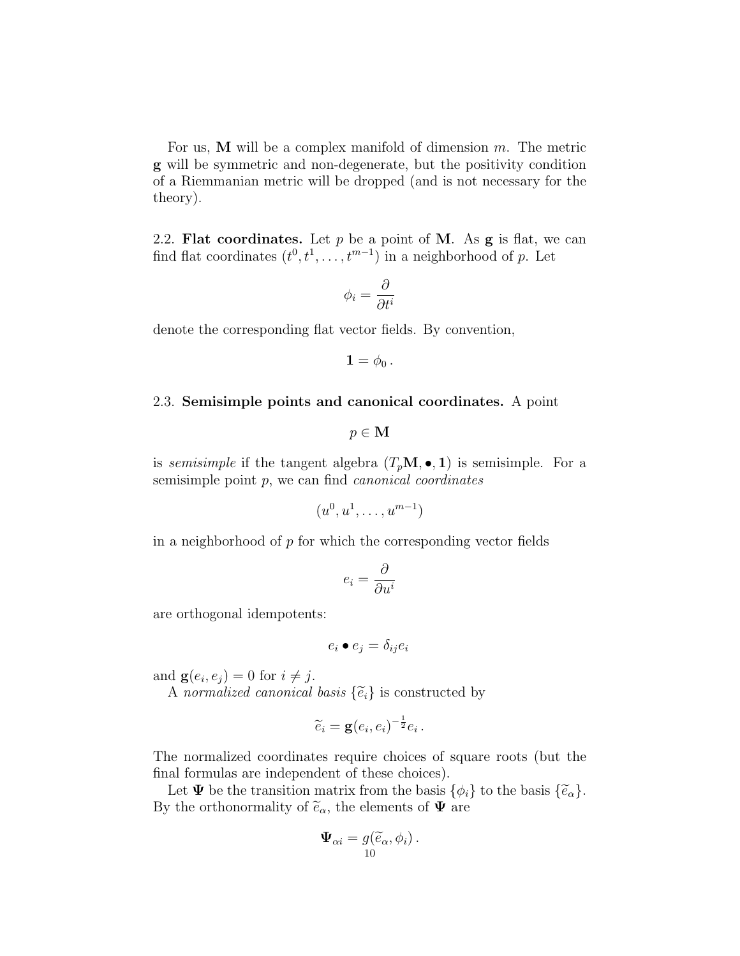For us, **M** will be a complex manifold of dimension  $m$ . The metric g will be symmetric and non-degenerate, but the positivity condition of a Riemmanian metric will be dropped (and is not necessary for the theory).

2.2. Flat coordinates. Let  $p$  be a point of M. As  $g$  is flat, we can find flat coordinates  $(t^0, t^1, \ldots, t^{m-1})$  in a neighborhood of p. Let

$$
\phi_i=\frac{\partial}{\partial t^i}
$$

denote the corresponding flat vector fields. By convention,

$$
{\bf 1}=\phi_0\,.
$$

### 2.3. Semisimple points and canonical coordinates. A point

 $p \in M$ 

is *semisimple* if the tangent algebra  $(T_pM, \bullet, 1)$  is semisimple. For a semisimple point  $p$ , we can find *canonical coordinates* 

$$
(u^0, u^1, \ldots, u^{m-1})
$$

in a neighborhood of  $p$  for which the corresponding vector fields

$$
e_i = \frac{\partial}{\partial u^i}
$$

are orthogonal idempotents:

$$
e_i \bullet e_j = \delta_{ij} e_i
$$

and  $\mathbf{g}(e_i, e_j) = 0$  for  $i \neq j$ .

A normalized canonical basis  $\{\tilde{e}_i\}$  is constructed by

$$
\widetilde{e}_i = \mathbf{g}(e_i, e_i)^{-\frac{1}{2}} e_i.
$$

The normalized coordinates require choices of square roots (but the final formulas are independent of these choices).

Let  $\Psi$  be the transition matrix from the basis  $\{\phi_i\}$  to the basis  $\{\widetilde{e}_\alpha\}.$ By the orthonormality of  $\tilde{e}_{\alpha}$ , the elements of  $\Psi$  are

$$
\Psi_{\alpha i} = g(\widetilde{e}_{\alpha}, \phi_i).
$$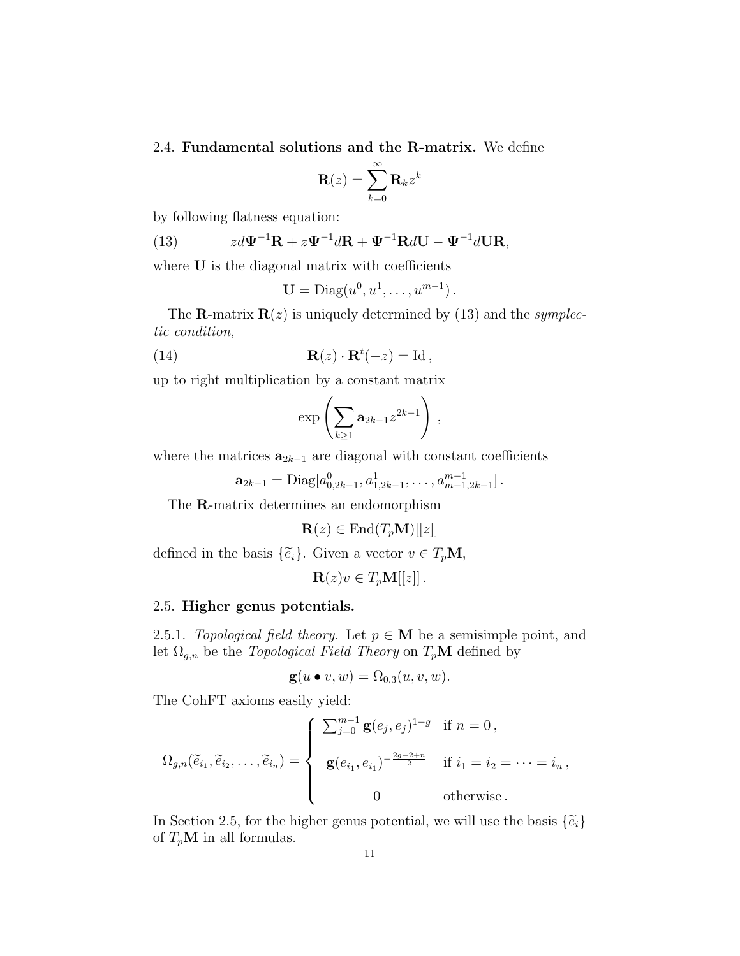2.4. Fundamental solutions and the R-matrix. We define

$$
\mathbf{R}(z) = \sum_{k=0}^{\infty} \mathbf{R}_k z^k
$$

by following flatness equation:

(13) 
$$
z d\Psi^{-1} \mathbf{R} + z \Psi^{-1} d\mathbf{R} + \Psi^{-1} \mathbf{R} d\mathbf{U} - \Psi^{-1} d\mathbf{U} \mathbf{R},
$$

where U is the diagonal matrix with coefficients

$$
\mathbf{U} = \mathrm{Diag}(u^0, u^1, \dots, u^{m-1}).
$$

The **R**-matrix  $\mathbf{R}(z)$  is uniquely determined by (13) and the *symplec*tic condition,

(14) 
$$
\mathbf{R}(z) \cdot \mathbf{R}^t(-z) = \mathrm{Id}\,,
$$

up to right multiplication by a constant matrix

$$
\exp\left(\sum_{k\geq 1}\mathbf{a}_{2k-1}z^{2k-1}\right),\,
$$

where the matrices  $\mathbf{a}_{2k-1}$  are diagonal with constant coefficients

$$
\mathbf{a}_{2k-1} = \text{Diag}[a_{0,2k-1}^0, a_{1,2k-1}^1, \ldots, a_{m-1,2k-1}^{m-1}].
$$

The R-matrix determines an endomorphism

$$
\mathbf{R}(z) \in \text{End}(T_p \mathbf{M})[[z]]
$$

defined in the basis  $\{\tilde{e}_i\}$ . Given a vector  $v \in T_p \mathbf{M}$ ,

$$
\mathbf{R}(z)v \in T_p\mathbf{M}[[z]].
$$

## 2.5. Higher genus potentials.

2.5.1. Topological field theory. Let  $p \in M$  be a semisimple point, and let  $\Omega_{g,n}$  be the *Topological Field Theory* on  $T_p\mathbf{M}$  defined by

$$
\mathbf{g}(u \bullet v, w) = \Omega_{0,3}(u, v, w).
$$

The CohFT axioms easily yield:

$$
\Omega_{g,n}(\tilde{e}_{i_1}, \tilde{e}_{i_2}, \dots, \tilde{e}_{i_n}) = \begin{cases} \sum_{j=0}^{m-1} \mathbf{g}(e_j, e_j)^{1-g} & \text{if } n = 0, \\ \mathbf{g}(e_{i_1}, e_{i_1})^{-\frac{2g-2+n}{2}} & \text{if } i_1 = i_2 = \dots = i_n, \\ 0 & \text{otherwise.} \end{cases}
$$

In Section 2.5, for the higher genus potential, we will use the basis  $\{\tilde{e}_i\}$ of  $T_p$ **M** in all formulas.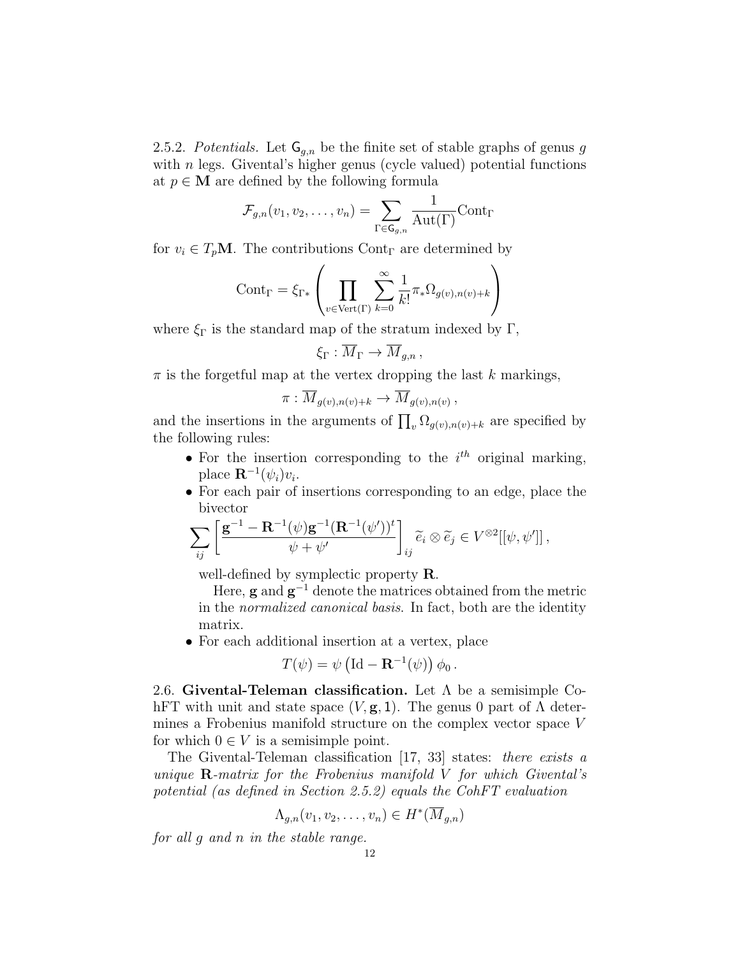2.5.2. Potentials. Let  $\mathsf{G}_{q,n}$  be the finite set of stable graphs of genus g with  $n$  legs. Givental's higher genus (cycle valued) potential functions at  $p \in M$  are defined by the following formula

$$
\mathcal{F}_{g,n}(v_1, v_2, \dots, v_n) = \sum_{\Gamma \in \mathsf{G}_{g,n}} \frac{1}{\mathrm{Aut}(\Gamma)} \mathrm{Cont}_{\Gamma}
$$

for  $v_i \in T_p \mathbf{M}$ . The contributions Cont<sub>r</sub> are determined by

$$
Cont_{\Gamma} = \xi_{\Gamma*} \left( \prod_{v \in Vert(\Gamma)} \sum_{k=0}^{\infty} \frac{1}{k!} \pi_* \Omega_{g(v), n(v) + k} \right)
$$

where  $\xi_{\Gamma}$  is the standard map of the stratum indexed by  $\Gamma$ ,

$$
\xi_{\Gamma}: \overline{M}_{\Gamma} \to \overline{M}_{g,n},
$$

 $\pi$  is the forgetful map at the vertex dropping the last k markings,

$$
\pi: \overline{M}_{g(v),n(v)+k} \to \overline{M}_{g(v),n(v)},
$$

and the insertions in the arguments of  $\prod_{v} \Omega_{g(v),n(v)+k}$  are specified by the following rules:

- For the insertion corresponding to the  $i<sup>th</sup>$  original marking, place  $\mathbf{R}^{-1}(\psi_i)v_i$ .
- For each pair of insertions corresponding to an edge, place the bivector

$$
\sum_{ij} \left[ \frac{\mathbf{g}^{-1} - \mathbf{R}^{-1}(\psi)\mathbf{g}^{-1}(\mathbf{R}^{-1}(\psi'))^t}{\psi + \psi'} \right]_{ij} \widetilde{e}_i \otimes \widetilde{e}_j \in V^{\otimes 2}[[\psi, \psi']]
$$

well-defined by symplectic property R.

Here, **g** and  $\mathbf{g}^{-1}$  denote the matrices obtained from the metric in the normalized canonical basis. In fact, both are the identity matrix.

• For each additional insertion at a vertex, place

$$
T(\psi) = \psi \left( \mathrm{Id} - \mathbf{R}^{-1}(\psi) \right) \phi_0.
$$

2.6. Givental-Teleman classification. Let  $\Lambda$  be a semisimple CohFT with unit and state space  $(V, g, 1)$ . The genus 0 part of  $\Lambda$  determines a Frobenius manifold structure on the complex vector space V for which  $0 \in V$  is a semisimple point.

The Givental-Teleman classification [17, 33] states: there exists a unique  $\bf R$ -matrix for the Frobenius manifold V for which Givental's potential (as defined in Section 2.5.2) equals the CohFT evaluation

$$
\Lambda_{g,n}(v_1,v_2,\ldots,v_n)\in H^*(\overline{M}_{g,n})
$$

for all g and n in the stable range.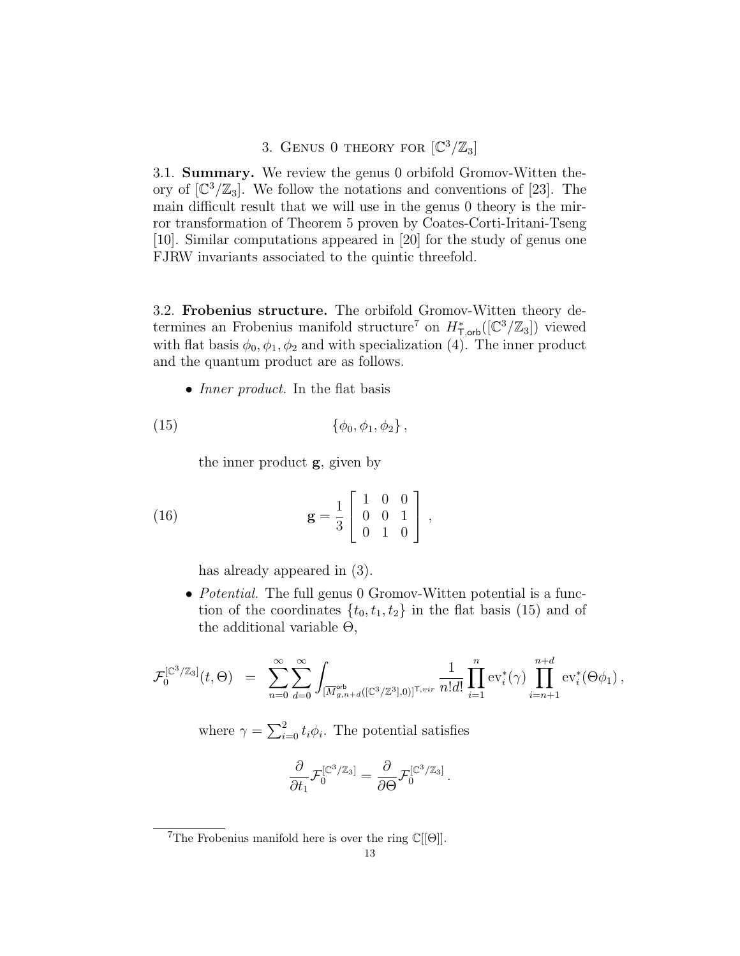3. GENUS 0 THEORY FOR  $\left[\mathbb{C}^3/\mathbb{Z}_3\right]$ 

3.1. Summary. We review the genus 0 orbifold Gromov-Witten theory of  $\left[\mathbb{C}^3/\mathbb{Z}_3\right]$ . We follow the notations and conventions of [23]. The main difficult result that we will use in the genus 0 theory is the mirror transformation of Theorem 5 proven by Coates-Corti-Iritani-Tseng [10]. Similar computations appeared in [20] for the study of genus one FJRW invariants associated to the quintic threefold.

3.2. Frobenius structure. The orbifold Gromov-Witten theory determines an Frobenius manifold structure<sup>7</sup> on  $H^*_{\mathsf{T},\mathsf{orb}}([\mathbb{C}^3/\mathbb{Z}_3])$  viewed with flat basis  $\phi_0, \phi_1, \phi_2$  and with specialization (4). The inner product and the quantum product are as follows.

• *Inner product*. In the flat basis

(15) 
$$
\{\phi_0, \phi_1, \phi_2\},
$$

the inner product g, given by

(16) 
$$
\mathbf{g} = \frac{1}{3} \begin{bmatrix} 1 & 0 & 0 \\ 0 & 0 & 1 \\ 0 & 1 & 0 \end{bmatrix},
$$

has already appeared in (3).

• *Potential.* The full genus 0 Gromov-Witten potential is a function of the coordinates  $\{t_0, t_1, t_2\}$  in the flat basis (15) and of the additional variable  $\Theta$ ,

$$
\mathcal{F}_0^{[\mathbb{C}^3/\mathbb{Z}_3]}(t,\Theta) = \sum_{n=0}^{\infty} \sum_{d=0}^{\infty} \int_{[\overline{M}_{g,n+d}^{\text{orb}}([\mathbb{C}^3/\mathbb{Z}^3],0)]^{\mathsf{T},vir}} \frac{1}{n!d!} \prod_{i=1}^n \text{ev}_i^*(\gamma) \prod_{i=n+1}^{n+d} \text{ev}_i^*(\Theta \phi_1),
$$

.

where  $\gamma = \sum_{i=0}^{2} t_i \phi_i$ . The potential satisfies

$$
\frac{\partial}{\partial t_1}\mathcal{F}_0^{[\mathbb{C}^3/\mathbb{Z}_3]}=\frac{\partial}{\partial\Theta}\mathcal{F}_0^{[\mathbb{C}^3/\mathbb{Z}_3]}
$$

<sup>&</sup>lt;sup>7</sup>The Frobenius manifold here is over the ring  $\mathbb{C}[[\Theta]].$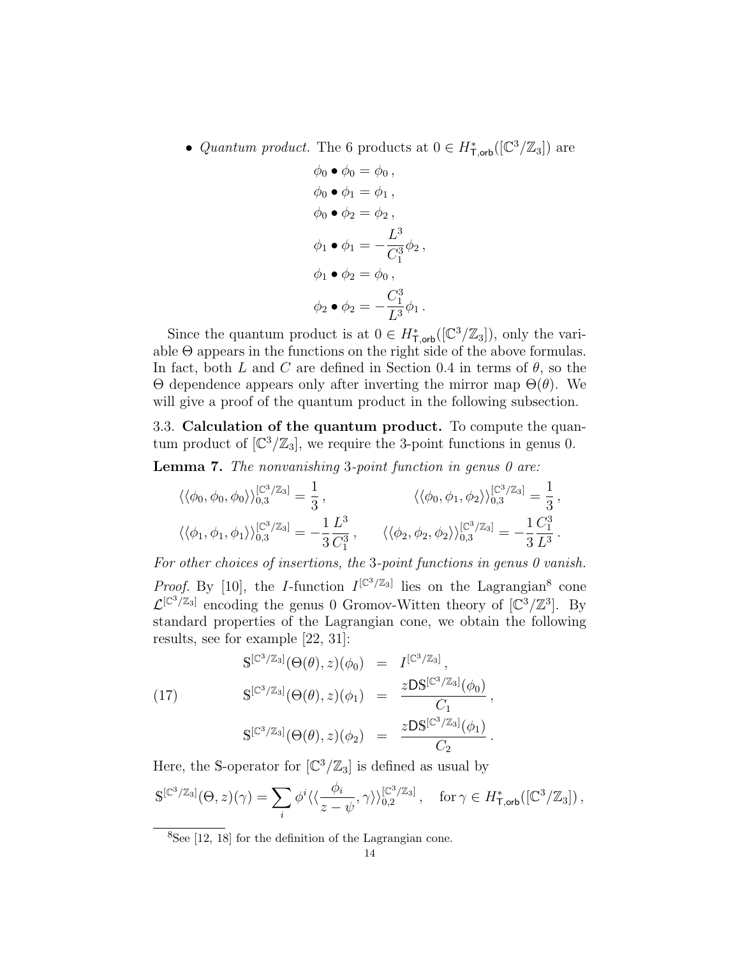• Quantum product. The 6 products at  $0 \in H^*_{\text{Toob}}([\mathbb{C}^3/\mathbb{Z}_3])$  are

$$
\phi_0 \bullet \phi_0 = \phi_0 ,
$$
  
\n
$$
\phi_0 \bullet \phi_1 = \phi_1 ,
$$
  
\n
$$
\phi_0 \bullet \phi_2 = \phi_2 ,
$$
  
\n
$$
\phi_1 \bullet \phi_1 = -\frac{L^3}{C_1^3} \phi_2 ,
$$
  
\n
$$
\phi_1 \bullet \phi_2 = \phi_0 ,
$$
  
\n
$$
\phi_2 \bullet \phi_2 = -\frac{C_1^3}{L^3} \phi_1 .
$$

Since the quantum product is at  $0 \in H^*_{\mathsf{T},\mathsf{orb}}([\mathbb{C}^3/\mathbb{Z}_3])$ , only the variable  $\Theta$  appears in the functions on the right side of the above formulas. In fact, both L and C are defined in Section 0.4 in terms of  $\theta$ , so the Θ dependence appears only after inverting the mirror map Θ(θ). We will give a proof of the quantum product in the following subsection.

3.3. Calculation of the quantum product. To compute the quantum product of  $[\mathbb{C}^3/\mathbb{Z}_3]$ , we require the 3-point functions in genus 0.

**Lemma 7.** The nonvanishing 3-point function in genus  $\theta$  are:

$$
\langle \langle \phi_0, \phi_0, \phi_0 \rangle \rangle_{0,3}^{[\mathbb{C}^3/\mathbb{Z}_3]} = \frac{1}{3}, \qquad \langle \langle \phi_0, \phi_1, \phi_2 \rangle \rangle_{0,3}^{[\mathbb{C}^3/\mathbb{Z}_3]} = \frac{1}{3}, \langle \langle \phi_1, \phi_1, \phi_1 \rangle \rangle_{0,3}^{[\mathbb{C}^3/\mathbb{Z}_3]} = -\frac{1}{3} \frac{L^3}{C_1^3}, \qquad \langle \langle \phi_2, \phi_2, \phi_2 \rangle \rangle_{0,3}^{[\mathbb{C}^3/\mathbb{Z}_3]} = -\frac{1}{3} \frac{C_1^3}{L^3}.
$$

For other choices of insertions, the 3-point functions in genus 0 vanish. *Proof.* By [10], the *I*-function  $I^{[\mathbb{C}^3/\mathbb{Z}_3]}$  lies on the Lagrangian<sup>8</sup> cone  $\mathcal{L}^{[\mathbb{C}^3/\mathbb{Z}_3]}$  encoding the genus 0 Gromov-Witten theory of  $[\mathbb{C}^3/\mathbb{Z}^3]$ . By standard properties of the Lagrangian cone, we obtain the following results, see for example [22, 31]:

$$
S^{[\mathbb{C}^3/\mathbb{Z}_3]}(\Theta(\theta), z)(\phi_0) = I^{[\mathbb{C}^3/\mathbb{Z}_3]},
$$
  
\n
$$
S^{[\mathbb{C}^3/\mathbb{Z}_3]}(\Theta(\theta), z)(\phi_1) = \frac{zDS^{[\mathbb{C}^3/\mathbb{Z}_3]}(\phi_0)}{C_1},
$$
  
\n
$$
S^{[\mathbb{C}^3/\mathbb{Z}_3]}(\Theta(\theta), z)(\phi_2) = \frac{zDS^{[\mathbb{C}^3/\mathbb{Z}_3]}(\phi_1)}{C_2}.
$$

Here, the S-operator for  $\left[\mathbb{C}^3/\mathbb{Z}_3\right]$  is defined as usual by

$$
\mathbb{S}^{[\mathbb{C}^3/\mathbb{Z}_3]}(\Theta, z)(\gamma) = \sum_i \phi^i \langle \langle \frac{\phi_i}{z - \psi}, \gamma \rangle \rangle_{0,2}^{[\mathbb{C}^3/\mathbb{Z}_3]}, \quad \text{for } \gamma \in H_{\textsf{T},\textsf{orb}}^*([\mathbb{C}^3/\mathbb{Z}_3]),
$$

 ${}^{8}$ See [12, 18] for the definition of the Lagrangian cone.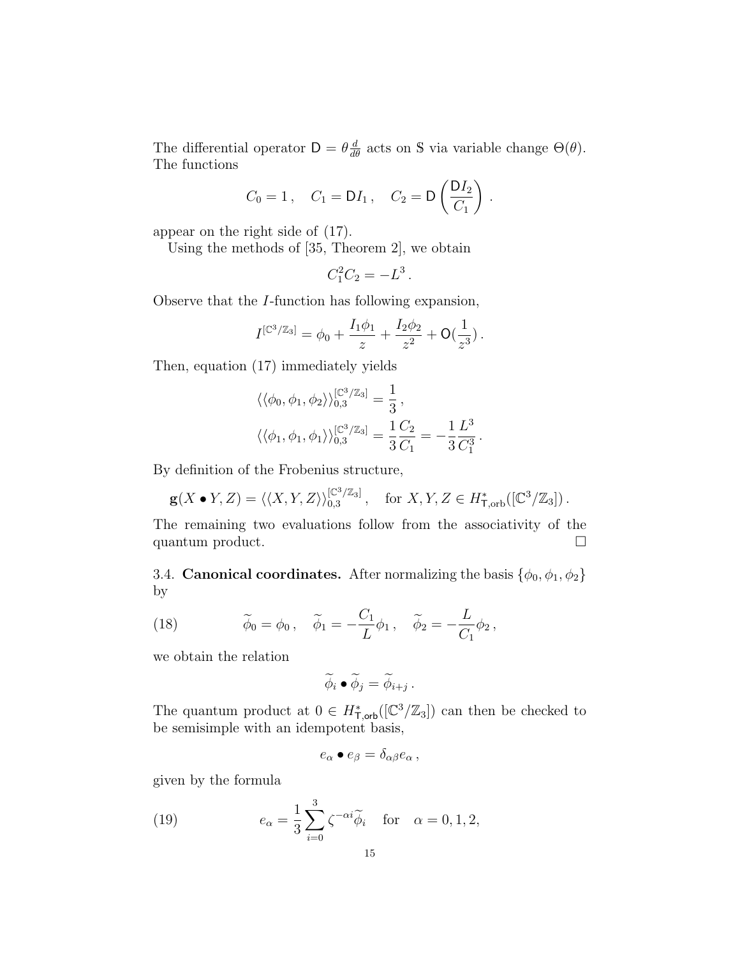The differential operator  $D = \theta \frac{d}{d\theta}$  acts on S via variable change  $\Theta(\theta)$ . The functions

$$
C_0 = 1
$$
,  $C_1 = DI_1$ ,  $C_2 = D\left(\frac{DI_2}{C_1}\right)$ .

appear on the right side of (17).

Using the methods of [35, Theorem 2], we obtain

$$
C_1^2 C_2 = -L^3.
$$

Observe that the I-function has following expansion,

$$
I^{[\mathbb{C}^3/\mathbb{Z}_3]} = \phi_0 + \frac{I_1\phi_1}{z} + \frac{I_2\phi_2}{z^2} + \mathsf{O}(\frac{1}{z^3}).
$$

Then, equation (17) immediately yields

$$
\langle \langle \phi_0, \phi_1, \phi_2 \rangle \rangle_{0,3}^{[\mathbb{C}^3/\mathbb{Z}_3]} = \frac{1}{3},
$$
  

$$
\langle \langle \phi_1, \phi_1, \phi_1 \rangle \rangle_{0,3}^{[\mathbb{C}^3/\mathbb{Z}_3]} = \frac{1}{3} \frac{C_2}{C_1} = -\frac{1}{3} \frac{L^3}{C_1^3}.
$$

By definition of the Frobenius structure,

$$
\mathbf{g}(X \bullet Y, Z) = \langle \langle X, Y, Z \rangle \rangle_{0,3}^{[\mathbb{C}^3/\mathbb{Z}_3]}, \quad \text{for } X, Y, Z \in H^*_{\mathsf{T}, \text{orb}}([\mathbb{C}^3/\mathbb{Z}_3]).
$$

The remaining two evaluations follow from the associativity of the quantum product.

3.4. **Canonical coordinates.** After normalizing the basis  $\{\phi_0, \phi_1, \phi_2\}$ by

(18) 
$$
\widetilde{\phi}_0 = \phi_0, \quad \widetilde{\phi}_1 = -\frac{C_1}{L} \phi_1, \quad \widetilde{\phi}_2 = -\frac{L}{C_1} \phi_2,
$$

we obtain the relation

$$
\widetilde{\phi}_i \bullet \widetilde{\phi}_j = \widetilde{\phi}_{i+j} .
$$

The quantum product at  $0 \in H^*_{\mathsf{T},\mathsf{orb}}([\mathbb{C}^3/\mathbb{Z}_3])$  can then be checked to be semisimple with an idempotent basis,

$$
e_{\alpha} \bullet e_{\beta} = \delta_{\alpha\beta} e_{\alpha} ,
$$

given by the formula

(19) 
$$
e_{\alpha} = \frac{1}{3} \sum_{i=0}^{3} \zeta^{-\alpha i} \widetilde{\phi}_{i} \quad \text{for} \quad \alpha = 0, 1, 2,
$$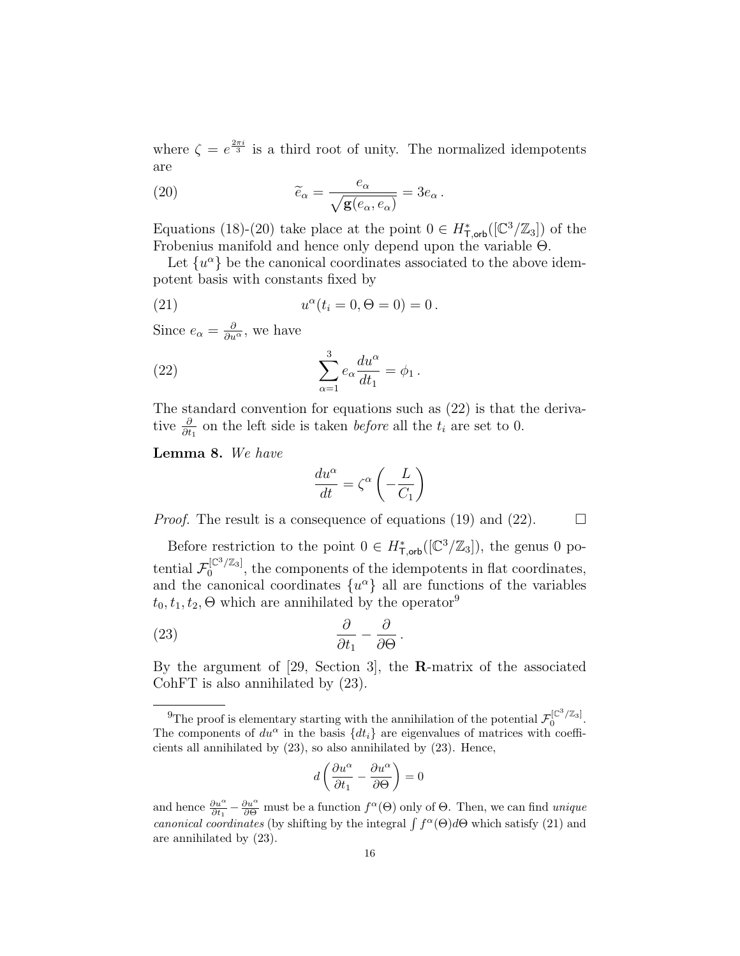where  $\zeta = e^{\frac{2\pi i}{3}}$  is a third root of unity. The normalized idempotents are

(20) 
$$
\widetilde{e}_{\alpha} = \frac{e_{\alpha}}{\sqrt{\mathbf{g}(e_{\alpha}, e_{\alpha})}} = 3e_{\alpha}.
$$

Equations (18)-(20) take place at the point  $0 \in H^*_{\mathsf{T},\mathsf{orb}}([\mathbb{C}^3/\mathbb{Z}_3])$  of the Frobenius manifold and hence only depend upon the variable Θ.

Let  $\{u^{\alpha}\}\$ be the canonical coordinates associated to the above idempotent basis with constants fixed by

(21) 
$$
u^{\alpha}(t_i = 0, \Theta = 0) = 0.
$$

Since  $e_{\alpha} = \frac{\partial}{\partial u^{\alpha}}$ , we have

(22) 
$$
\sum_{\alpha=1}^{3} e_{\alpha} \frac{du^{\alpha}}{dt_1} = \phi_1.
$$

The standard convention for equations such as (22) is that the derivative  $\frac{\partial}{\partial t_1}$  on the left side is taken *before* all the  $t_i$  are set to 0.

Lemma 8. We have

$$
\frac{du^{\alpha}}{dt} = \zeta^{\alpha} \left( -\frac{L}{C_1} \right)
$$

*Proof.* The result is a consequence of equations (19) and (22).  $\Box$ 

Before restriction to the point  $0 \in H^*_{\mathsf{T},\mathsf{orb}}([\mathbb{C}^3/\mathbb{Z}_3])$ , the genus 0 potential  $\mathcal{F}_0^{[\mathbb{C}^3/\mathbb{Z}_3]}$  $\int_0^{\lfloor t \sqrt{2}a_3 \rfloor}$ , the components of the idempotents in flat coordinates, and the canonical coordinates  $\{u^{\alpha}\}\$ all are functions of the variables  $t_0, t_1, t_2, \Theta$  which are annihilated by the operator<sup>9</sup>

(23) 
$$
\frac{\partial}{\partial t_1} - \frac{\partial}{\partial \Theta}.
$$

By the argument of [29, Section 3], the R-matrix of the associated CohFT is also annihilated by (23).

$$
d\left(\frac{\partial u^{\alpha}}{\partial t_{1}} - \frac{\partial u^{\alpha}}{\partial \Theta}\right) = 0
$$

<sup>&</sup>lt;sup>9</sup>The proof is elementary starting with the annihilation of the potential  $\mathcal{F}_0^{[\mathbb{C}^3/\mathbb{Z}_3]}$ . The components of  $du^{\alpha}$  in the basis  $\{dt_i\}$  are eigenvalues of matrices with coefficients all annihilated by (23), so also annihilated by (23). Hence,

and hence  $\frac{\partial u^{\alpha}}{\partial t_1} - \frac{\partial u^{\alpha}}{\partial \Theta}$  must be a function  $f^{\alpha}(\Theta)$  only of  $\Theta$ . Then, we can find *unique* canonical coordinates (by shifting by the integral  $\int f^{\alpha}(\Theta) d\Theta$  which satisfy (21) and are annihilated by (23).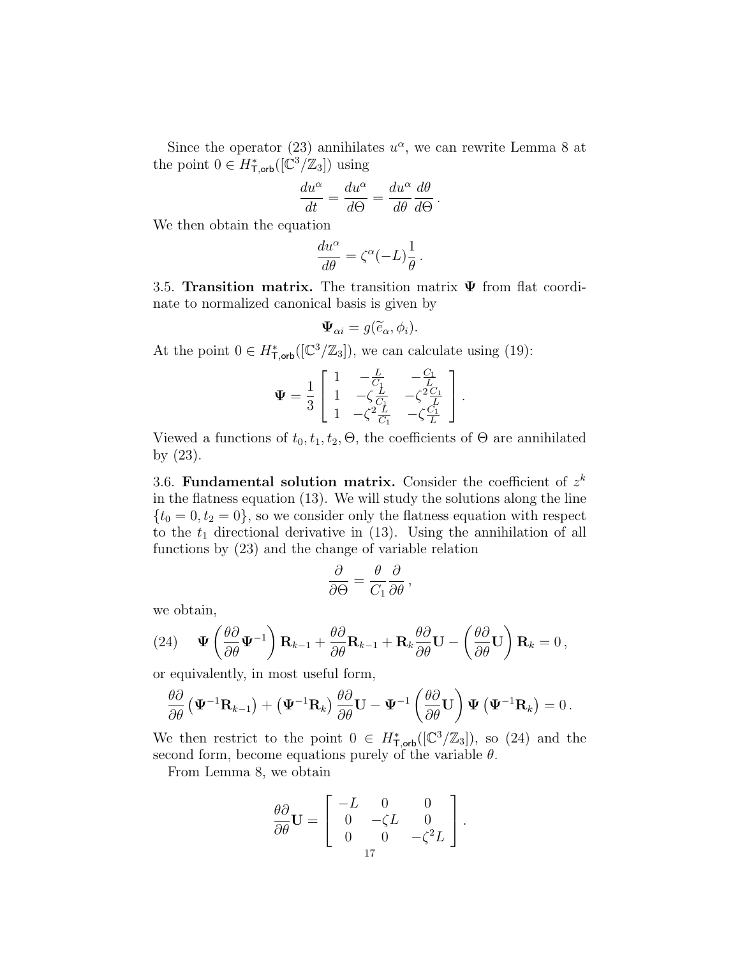Since the operator (23) annihilates  $u^{\alpha}$ , we can rewrite Lemma 8 at the point  $0 \in H^*_{\mathsf{T},\mathsf{orb}}([\mathbb{C}^3/\mathbb{Z}_3])$  using

$$
\frac{du^{\alpha}}{dt} = \frac{du^{\alpha}}{d\Theta} = \frac{du^{\alpha}}{d\theta} \frac{d\theta}{d\Theta}.
$$

We then obtain the equation

$$
\frac{du^{\alpha}}{d\theta} = \zeta^{\alpha} (-L) \frac{1}{\theta} .
$$

3.5. Transition matrix. The transition matrix  $\Psi$  from flat coordinate to normalized canonical basis is given by

$$
\Psi_{\alpha i} = g(\widetilde{e}_{\alpha}, \phi_i).
$$

At the point  $0 \in H^*_{\mathsf{T},\mathsf{orb}}([\mathbb{C}^3/\mathbb{Z}_3])$ , we can calculate using (19):

$$
\Psi = \frac{1}{3} \begin{bmatrix} 1 & -\frac{L}{C_1} & -\frac{C_1}{L} \\ 1 & -\zeta \frac{L}{C_1} & -\zeta^2 \frac{C_1}{L} \\ 1 & -\zeta^2 \frac{L}{C_1} & -\zeta \frac{C_1}{L} \end{bmatrix}.
$$

Viewed a functions of  $t_0, t_1, t_2, \Theta$ , the coefficients of  $\Theta$  are annihilated by (23).

3.6. Fundamental solution matrix. Consider the coefficient of  $z^k$ in the flatness equation (13). We will study the solutions along the line  $\{t_0 = 0, t_2 = 0\}$ , so we consider only the flatness equation with respect to the  $t_1$  directional derivative in (13). Using the annihilation of all functions by (23) and the change of variable relation

$$
\frac{\partial}{\partial \Theta} = \frac{\theta}{C_1} \frac{\partial}{\partial \theta},
$$

we obtain,

(24) 
$$
\Psi\left(\frac{\partial\partial}{\partial\theta}\Psi^{-1}\right)\mathbf{R}_{k-1} + \frac{\partial\partial}{\partial\theta}\mathbf{R}_{k-1} + \mathbf{R}_k\frac{\partial\partial}{\partial\theta}\mathbf{U} - \left(\frac{\partial\partial}{\partial\theta}\mathbf{U}\right)\mathbf{R}_k = 0,
$$

or equivalently, in most useful form,

$$
\frac{\theta\partial}{\partial\theta}\left(\mathbf{\Psi}^{-1}\mathbf{R}_{k-1}\right)+\left(\mathbf{\Psi}^{-1}\mathbf{R}_{k}\right)\frac{\theta\partial}{\partial\theta}\mathbf{U}-\mathbf{\Psi}^{-1}\left(\frac{\theta\partial}{\partial\theta}\mathbf{U}\right)\mathbf{\Psi}\left(\mathbf{\Psi}^{-1}\mathbf{R}_{k}\right)=0.
$$

We then restrict to the point  $0 \in H^*_{\mathsf{T},\mathsf{orb}}([\mathbb{C}^3/\mathbb{Z}_3])$ , so (24) and the second form, become equations purely of the variable  $\theta$ .

From Lemma 8, we obtain

$$
\frac{\theta \partial}{\partial \theta} \mathbf{U} = \left[ \begin{array}{ccc} -L & 0 & 0 \\ 0 & -\zeta L & 0 \\ 0 & 0 & -\zeta^2 L \end{array} \right].
$$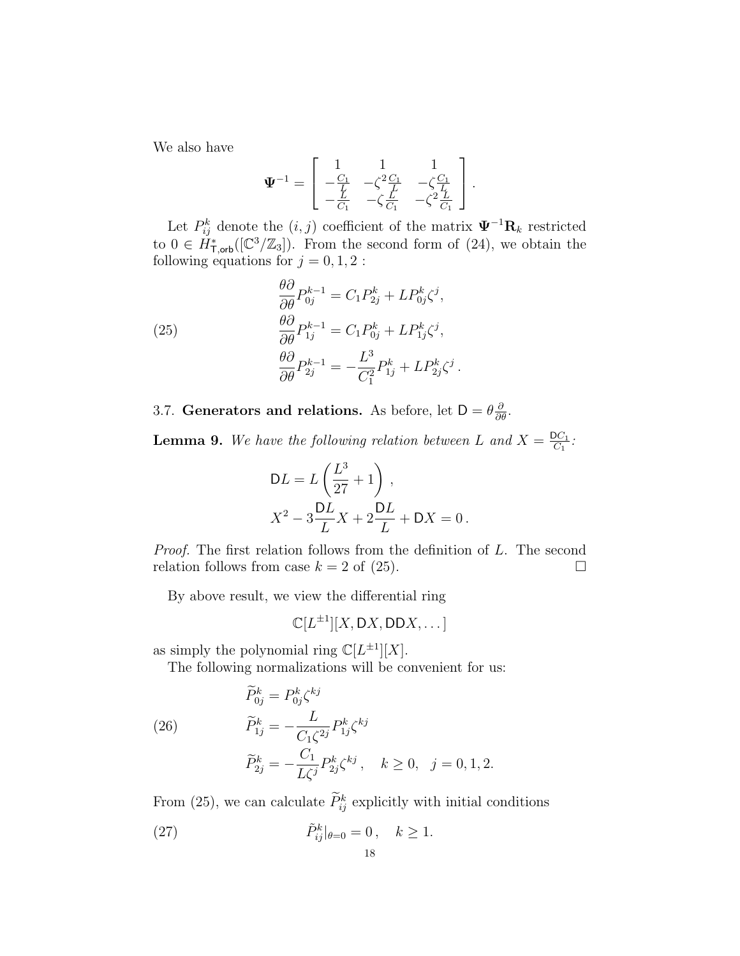We also have

$$
\mathbf{\Psi}^{-1} = \begin{bmatrix} 1 & 1 & 1 \\ -\frac{C_1}{L} & -\zeta^2 \frac{C_1}{L} & -\zeta \frac{C_1}{L} \\ -\frac{L}{C_1} & -\zeta \frac{L}{C_1} & -\zeta^2 \frac{L}{C_1} \end{bmatrix}.
$$

Let  $P_{ij}^k$  denote the  $(i, j)$  coefficient of the matrix  $\Psi^{-1} \mathbf{R}_k$  restricted to  $0 \in \tilde{H}^*_{\mathsf{T},\mathsf{orb}}([\mathbb{C}^3/\mathbb{Z}_3])$ . From the second form of  $(24)$ , we obtain the following equations for  $j = 0, 1, 2$ :

(25)  
\n
$$
\frac{\theta \partial}{\partial \theta} P_{0j}^{k-1} = C_1 P_{2j}^k + L P_{0j}^k \zeta^j,
$$
\n
$$
\frac{\theta \partial}{\partial \theta} P_{1j}^{k-1} = C_1 P_{0j}^k + L P_{1j}^k \zeta^j,
$$
\n
$$
\frac{\theta \partial}{\partial \theta} P_{2j}^{k-1} = -\frac{L^3}{C_1^2} P_{1j}^k + L P_{2j}^k \zeta^j
$$

3.7. Generators and relations. As before, let  $D = \theta \frac{\partial}{\partial \theta}$ .

**Lemma 9.** We have the following relation between L and  $X = \frac{DC_1}{C_1}$  $\frac{OC_1}{C_1}$  :

.

$$
DL = L\left(\frac{L^3}{27} + 1\right),
$$
  

$$
X^2 - 3\frac{DL}{L}X + 2\frac{DL}{L} + DX = 0.
$$

Proof. The first relation follows from the definition of L. The second relation follows from case  $k = 2$  of (25).

By above result, we view the differential ring

$$
\mathbb{C}[L^{\pm 1}][X, \mathsf{D} X, \mathsf{D} \mathsf{D} X, \dots]
$$

as simply the polynomial ring  $\mathbb{C}[L^{\pm 1}][X]$ .

The following normalizations will be convenient for us:

(26) 
$$
\widetilde{P}_{0j}^{k} = P_{0j}^{k} \zeta^{kj}
$$

$$
\widetilde{P}_{1j}^{k} = -\frac{L}{C_{1} \zeta^{2j}} P_{1j}^{k} \zeta^{kj}
$$

$$
\widetilde{P}_{2j}^{k} = -\frac{C_{1}}{L \zeta^{j}} P_{2j}^{k} \zeta^{kj}, \quad k \ge 0, \quad j = 0, 1, 2.
$$

From (25), we can calculate  $\tilde{P}_{ij}^k$  explicitly with initial conditions

(27) 
$$
\tilde{P}_{ij}^{k}|_{\theta=0} = 0, \quad k \ge 1.
$$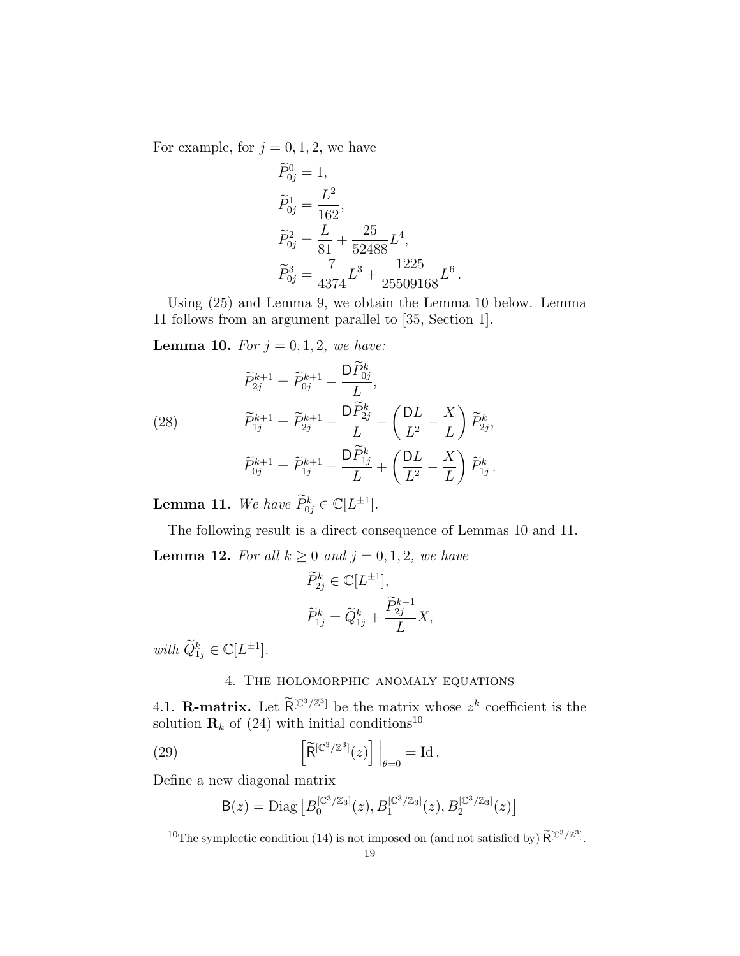For example, for  $j = 0, 1, 2$ , we have

$$
\widetilde{P}_{0j}^{0} = 1,
$$
\n
$$
\widetilde{P}_{0j}^{1} = \frac{L^{2}}{162},
$$
\n
$$
\widetilde{P}_{0j}^{2} = \frac{L}{81} + \frac{25}{52488}L^{4},
$$
\n
$$
\widetilde{P}_{0j}^{3} = \frac{7}{4374}L^{3} + \frac{1225}{25509168}L^{6}.
$$

Using (25) and Lemma 9, we obtain the Lemma 10 below. Lemma 11 follows from an argument parallel to [35, Section 1].

**Lemma 10.** For  $j = 0, 1, 2$ , we have:

(28) 
$$
\widetilde{P}_{2j}^{k+1} = \widetilde{P}_{0j}^{k+1} - \frac{\mathsf{D}\widetilde{P}_{0j}^{k}}{L},
$$

$$
\widetilde{P}_{1j}^{k+1} = \widetilde{P}_{2j}^{k+1} - \frac{\mathsf{D}\widetilde{P}_{2j}^{k}}{L} - \left(\frac{\mathsf{D}L}{L^{2}} - \frac{X}{L}\right)\widetilde{P}_{2j}^{k},
$$

$$
\widetilde{P}_{0j}^{k+1} = \widetilde{P}_{1j}^{k+1} - \frac{\mathsf{D}\widetilde{P}_{1j}^{k}}{L} + \left(\frac{\mathsf{D}L}{L^{2}} - \frac{X}{L}\right)\widetilde{P}_{1j}^{k}.
$$

**Lemma 11.** We have  $\widetilde{P}_{0j}^k \in \mathbb{C}[L^{\pm 1}].$ 

The following result is a direct consequence of Lemmas 10 and 11.

.

**Lemma 12.** For all  $k \geq 0$  and  $j = 0, 1, 2$ , we have

$$
\begin{aligned} \widetilde{P}^k_{2j} &\in \mathbb{C}[L^{\pm 1}],\\ \widetilde{P}^k_{1j} &= \widetilde{Q}^k_{1j} + \frac{\widetilde{P}^{k-1}_{2j}}{L}X, \end{aligned}
$$

with  $\widetilde{Q}_{1j}^k \in \mathbb{C}[L^{\pm 1}].$ 

## 4. The holomorphic anomaly equations

4.1. **R-matrix.** Let  $\widetilde{R}^{[\mathbb{C}^3/\mathbb{Z}^3]}$  be the matrix whose  $z^k$  coefficient is the solution  $\mathbf{R}_k$  of (24) with initial conditions<sup>10</sup>

(29) 
$$
\left[\widetilde{\mathsf{R}}^{[\mathbb{C}^3/\mathbb{Z}^3]}(z)\right]\Big|_{\theta=0} = \mathrm{Id}.
$$

Define a new diagonal matrix

$$
B(z) = \text{Diag}\left[B_0^{[\mathbb{C}^3/\mathbb{Z}_3]}(z), B_1^{[\mathbb{C}^3/\mathbb{Z}_3]}(z), B_2^{[\mathbb{C}^3/\mathbb{Z}_3]}(z)\right]
$$

<sup>&</sup>lt;sup>10</sup>The symplectic condition (14) is not imposed on (and not satisfied by)  $\widetilde{\mathsf{R}}^{[\mathbb{C}^3/\mathbb{Z}^3]}$ .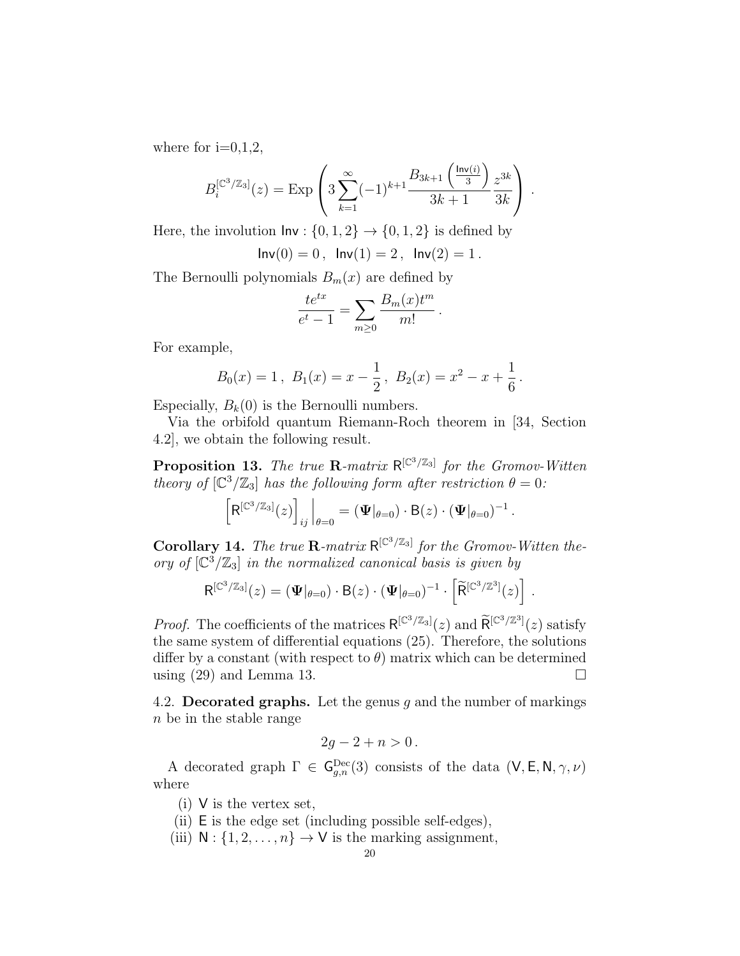where for  $i=0,1,2$ ,

$$
B_i^{[\mathbb{C}^3/\mathbb{Z}_3]}(z) = \text{Exp}\left(3\sum_{k=1}^{\infty}(-1)^{k+1}\frac{B_{3k+1}\left(\frac{\text{Inv}(i)}{3}\right)}{3k+1}\frac{z^{3k}}{3k}\right).
$$

Here, the involution  $\mathsf{Inv}: \{0,1,2\} \to \{0,1,2\}$  is defined by

 $Inv(0) = 0$ ,  $Inv(1) = 2$ ,  $Inv(2) = 1$ .

The Bernoulli polynomials  $B_m(x)$  are defined by

$$
\frac{te^{tx}}{e^t - 1} = \sum_{m \ge 0} \frac{B_m(x)t^m}{m!}
$$

.

For example,

$$
B_0(x) = 1
$$
,  $B_1(x) = x - \frac{1}{2}$ ,  $B_2(x) = x^2 - x + \frac{1}{6}$ .

Especially,  $B_k(0)$  is the Bernoulli numbers.

Via the orbifold quantum Riemann-Roch theorem in [34, Section 4.2], we obtain the following result.

**Proposition 13.** The true R-matrix  $R^{[C^3/\mathbb{Z}_3]}$  for the Gromov-Witten theory of  $\left[\mathbb{C}^3/\mathbb{Z}_3\right]$  has the following form after restriction  $\theta = 0$ :

$$
\left[\mathsf{R}^{[\mathbb{C}^3/\mathbb{Z}_3]}(z)\right]_{ij}\Big|_{\theta=0}=(\mathbf{\Psi}|_{\theta=0})\cdot\mathsf{B}(z)\cdot(\mathbf{\Psi}|_{\theta=0})^{-1}.
$$

**Corollary 14.** The true **R**-matrix  $R^{[\mathbb{C}^3/\mathbb{Z}_3]}$  for the Gromov-Witten theory of  $\left[\mathbb{C}^3/\mathbb{Z}_3\right]$  in the normalized canonical basis is given by

$$
\mathsf{R}^{[\mathbb{C}^3/\mathbb{Z}_3]}(z) = (\mathbf{\Psi}|_{\theta=0}) \cdot \mathsf{B}(z) \cdot (\mathbf{\Psi}|_{\theta=0})^{-1} \cdot \left[\widetilde{\mathsf{R}}^{[\mathbb{C}^3/\mathbb{Z}^3]}(z)\right].
$$

*Proof.* The coefficients of the matrices  $R^{[\mathbb{C}^3/\mathbb{Z}_3]}(z)$  and  $\widetilde{R}^{[\mathbb{C}^3/\mathbb{Z}_3]}(z)$  satisfy the same system of differential equations (25). Therefore, the solutions differ by a constant (with respect to  $\theta$ ) matrix which can be determined using  $(29)$  and Lemma 13.

4.2. Decorated graphs. Let the genus  $g$  and the number of markings n be in the stable range

$$
2g-2+n>0.
$$

A decorated graph  $\Gamma \in \mathsf{G}^{\mathrm{Dec}}_{g,n}(3)$  consists of the data  $(\mathsf{V}, \mathsf{E}, \mathsf{N}, \gamma, \nu)$ where

- (i) V is the vertex set,
- (ii) E is the edge set (including possible self-edges),
- (iii)  $N : \{1, 2, \ldots, n\} \rightarrow V$  is the marking assignment,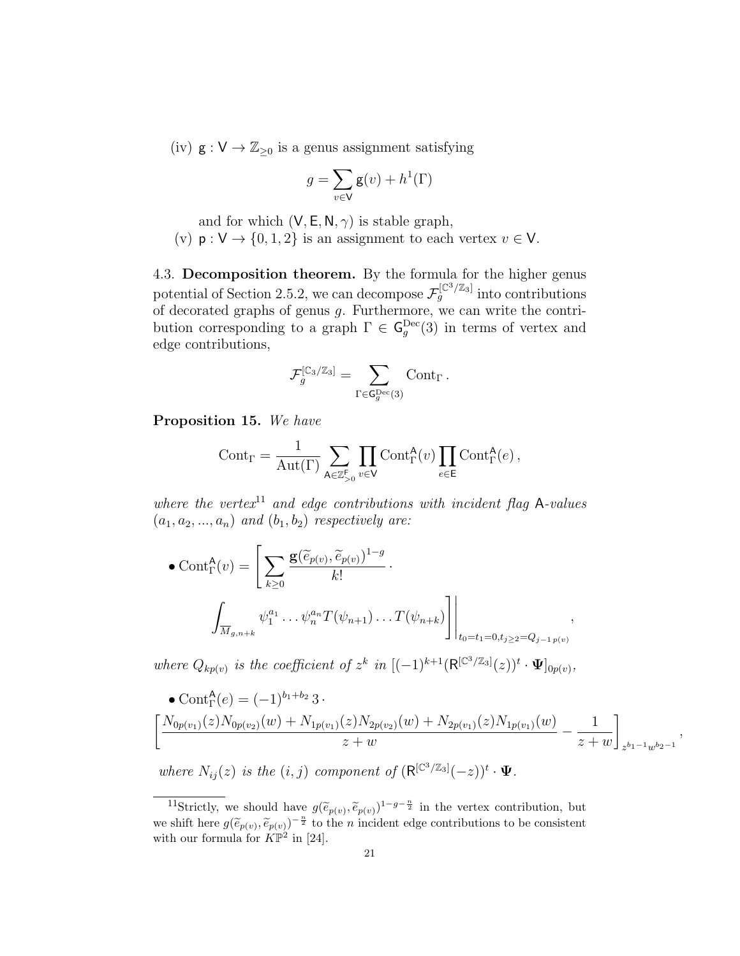(iv)  $g: V \to \mathbb{Z}_{\geq 0}$  is a genus assignment satisfying

$$
g = \sum_{v \in V} \mathbf{g}(v) + h^1(\Gamma)
$$

and for which  $(V, E, N, \gamma)$  is stable graph,

(v)  $p: V \to \{0, 1, 2\}$  is an assignment to each vertex  $v \in V$ .

4.3. Decomposition theorem. By the formula for the higher genus potential of Section 2.5.2, we can decompose  $\mathcal{F}_g^{[\mathbb{C}^3/\mathbb{Z}_3]}$  into contributions of decorated graphs of genus  $g$ . Furthermore, we can write the contribution corresponding to a graph  $\Gamma \in \mathsf{G}^{\mathrm{Dec}}_g(3)$  in terms of vertex and edge contributions,

$$
\mathcal{F}_g^{[\mathbb{C}_3/\mathbb{Z}_3]} = \sum_{\Gamma \in \mathsf{G}_g^{\mathrm{Dec}}(3)} \mathrm{Cont}_\Gamma \,.
$$

Proposition 15. We have

$$
\text{Cont}_{\Gamma} = \frac{1}{\text{Aut}(\Gamma)} \sum_{\mathsf{A} \in \mathbb{Z}_{>0}^{\mathsf{F}}} \prod_{v \in \mathsf{V}} \text{Cont}_{\Gamma}^{\mathsf{A}}(v) \prod_{e \in \mathsf{E}} \text{Cont}_{\Gamma}^{\mathsf{A}}(e) ,
$$

where the vertex<sup>11</sup> and edge contributions with incident flag A-values  $(a_1, a_2, ..., a_n)$  and  $(b_1, b_2)$  respectively are:

• 
$$
\text{Cont}_{\Gamma}^{A}(v) = \left[ \sum_{k \geq 0} \frac{\mathbf{g}(\widetilde{e}_{p(v)}, \widetilde{e}_{p(v)})^{1-g}}{k!} \right]
$$
  

$$
\int_{\overline{M}_{g,n+k}} \psi_{1}^{a_{1}} \dots \psi_{n}^{a_{n}} T(\psi_{n+1}) \dots T(\psi_{n+k}) \right] \Big|_{t_{0}=t_{1}=0, t_{j} \geq 2} = Q_{j-1 p(v)},
$$

where  $Q_{kp(v)}$  is the coefficient of  $z^k$  in  $[(-1)^{k+1} (R^{[\mathbb{C}^3/\mathbb{Z}_3]}(z))^t \cdot \Psi]_{0p(v)}$ ,

• 
$$
\text{Cont}_{\Gamma}^{A}(e) = (-1)^{b_1+b_2} 3
$$
.  
\n
$$
\left[ \frac{N_{0p(v_1)}(z)N_{0p(v_2)}(w) + N_{1p(v_1)}(z)N_{2p(v_2)}(w) + N_{2p(v_1)}(z)N_{1p(v_1)}(w)}{z+w} - \frac{1}{z+w} \right]_{z^{b_1-1}w^{b_2-1}},
$$

where  $N_{ij}(z)$  is the  $(i, j)$  component of  $(R^{[\mathbb{C}^3/\mathbb{Z}_3]}(-z))$ <sup>t</sup> ·  $\Psi$ .

<sup>&</sup>lt;sup>11</sup>Strictly, we should have  $g(\tilde{e}_{p(v)}, \tilde{e}_{p(v)})^{1-g-\frac{n}{2}}$  in the vertex contribution, but we shift here  $g(\tilde{e}_{p(v)}, \tilde{e}_{p(v)})^{-\frac{n}{2}}$  to the *n* incident edge contributions to be consistent with our formula for  $K\mathbb{P}^2$  in [24].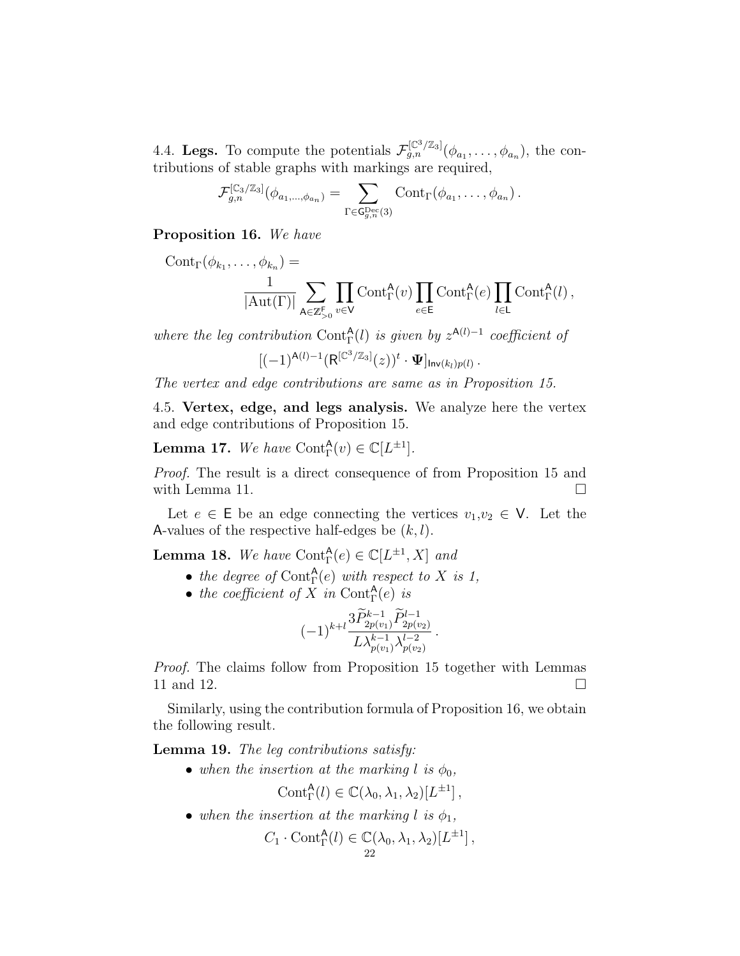4.4. Legs. To compute the potentials  $\mathcal{F}_{g,n}^{[\mathbb{C}^3/\mathbb{Z}_3]}(\phi_{a_1},\ldots,\phi_{a_n}),$  the contributions of stable graphs with markings are required,

$$
\mathcal{F}_{g,n}^{[\mathbb{C}_3/\mathbb{Z}_3]}(\phi_{a_1,\ldots,a_{a_n}})=\sum_{\Gamma\in\mathsf{G}_{g,n}^{\mathrm{Dec}}(3)}\mathrm{Cont}_{\Gamma}(\phi_{a_1},\ldots,\phi_{a_n})\,.
$$

Proposition 16. We have

$$
Cont_{\Gamma}(\phi_{k_1}, \ldots, \phi_{k_n}) = \frac{1}{|\mathrm{Aut}(\Gamma)|} \sum_{\mathbf{A} \in \mathbb{Z}_{>0}^{\mathsf{F}}} \prod_{v \in \mathsf{V}} Cont_{\Gamma}^{\mathbf{A}}(v) \prod_{e \in \mathsf{E}} Cont_{\Gamma}^{\mathbf{A}}(e) \prod_{l \in \mathsf{L}} Cont_{\Gamma}^{\mathbf{A}}(l),
$$

where the leg contribution Cont $_{\Gamma}^{A}(l)$  is given by  $z^{A(l)-1}$  coefficient of

$$
[(-1)^{{\sf A}(l)-1}({\sf R}^{[\mathbb{C}^3/\mathbb{Z}_3]}(z))^t\cdot \Psi]_{{\sf Inv}(k_l)p(l)}\,.
$$

The vertex and edge contributions are same as in Proposition 15.

4.5. Vertex, edge, and legs analysis. We analyze here the vertex and edge contributions of Proposition 15.

**Lemma 17.** We have  $\text{Cont}_{\Gamma}^{\mathsf{A}}(v) \in \mathbb{C}[L^{\pm 1}].$ 

Proof. The result is a direct consequence of from Proposition 15 and with Lemma 11.  $\Box$ 

Let  $e \in \mathsf{E}$  be an edge connecting the vertices  $v_1, v_2 \in \mathsf{V}$ . Let the A-values of the respective half-edges be  $(k, l)$ .

**Lemma 18.** We have  $\text{Cont}_{\Gamma}^{\mathsf{A}}(e) \in \mathbb{C}[L^{\pm 1}, X]$  and

- the degree of Cont $_{\Gamma}^{A}(e)$  with respect to X is 1,
- the coefficient of X in Cont $_{\Gamma}^{A}(e)$  is

$$
(-1)^{k+l} \frac{3 \widetilde{P}_{2p(v_1)}^{k-1} \widetilde{P}_{2p(v_2)}^{l-1}}{L \lambda_{p(v_1)}^{k-1} \lambda_{p(v_2)}^{l-2}}.
$$

Proof. The claims follow from Proposition 15 together with Lemmas 11 and 12.

Similarly, using the contribution formula of Proposition 16, we obtain the following result.

Lemma 19. The leg contributions satisfy:

• when the insertion at the marking l is  $\phi_0$ ,

$$
Cont^{\mathsf{A}}_{\Gamma}(l) \in \mathbb{C}(\lambda_0, \lambda_1, \lambda_2)[L^{\pm 1}],
$$

• when the insertion at the marking l is  $\phi_1$ ,

$$
C_1 \cdot \text{Cont}_{\Gamma}^{\mathsf{A}}(l) \in \mathbb{C}(\lambda_0, \lambda_1, \lambda_2)[L^{\pm 1}],
$$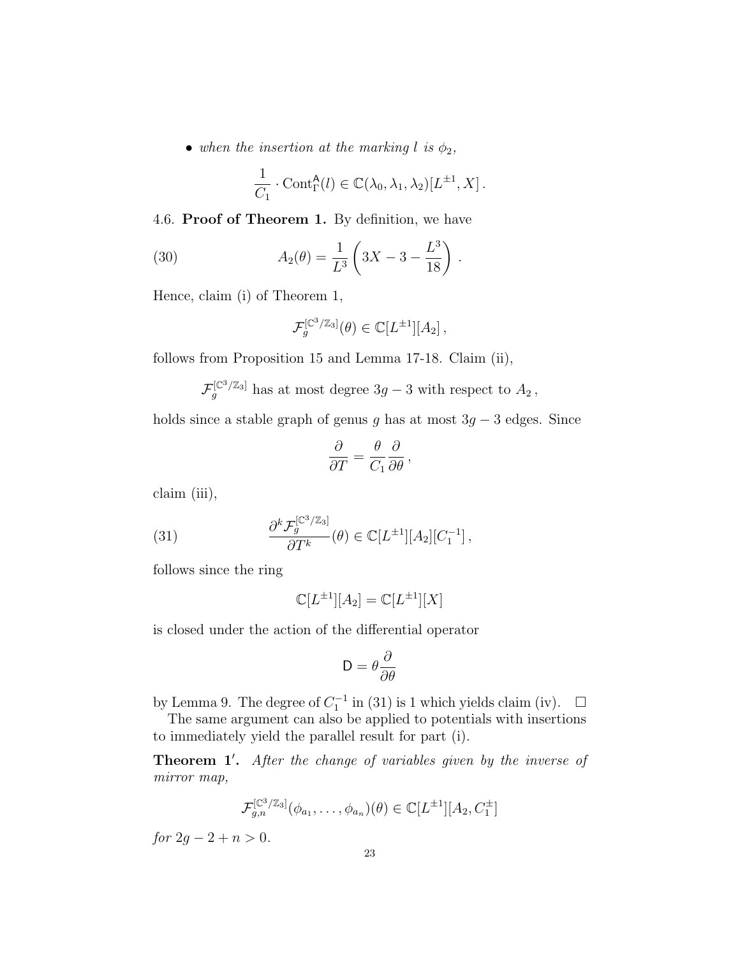• when the insertion at the marking l is  $\phi_2$ ,

$$
\frac{1}{C_1} \cdot \text{Cont}_{\Gamma}^{\mathsf{A}}(l) \in \mathbb{C}(\lambda_0, \lambda_1, \lambda_2)[L^{\pm 1}, X].
$$

4.6. Proof of Theorem 1. By definition, we have

(30) 
$$
A_2(\theta) = \frac{1}{L^3} \left( 3X - 3 - \frac{L^3}{18} \right).
$$

Hence, claim (i) of Theorem 1,

$$
\mathcal{F}_g^{[\mathbb{C}^3/\mathbb{Z}_3]}(\theta) \in \mathbb{C}[L^{\pm 1}][A_2],
$$

follows from Proposition 15 and Lemma 17-18. Claim (ii),

 $\mathcal{F}_g^{[\mathbb{C}^3/\mathbb{Z}_3]}$  has at most degree  $3g-3$  with respect to  $A_2$ ,

holds since a stable graph of genus g has at most  $3g - 3$  edges. Since

$$
\frac{\partial}{\partial T} = \frac{\theta}{C_1} \frac{\partial}{\partial \theta},
$$

claim (iii),

(31) 
$$
\frac{\partial^k \mathcal{F}_g^{[C^3/\mathbb{Z}_3]}}{\partial T^k}(\theta) \in \mathbb{C}[L^{\pm 1}][A_2][C_1^{-1}],
$$

follows since the ring

$$
\mathbb{C}[L^{\pm 1}][A_2] = \mathbb{C}[L^{\pm 1}][X]
$$

is closed under the action of the differential operator

$$
\mathsf{D}=\theta\frac{\partial}{\partial\theta}
$$

by Lemma 9. The degree of  $C_1^{-1}$  in (31) is 1 which yields claim (iv).  $\Box$ 

The same argument can also be applied to potentials with insertions to immediately yield the parallel result for part (i).

Theorem 1'. After the change of variables given by the inverse of mirror map,

$$
\mathcal{F}_{g,n}^{[C^3/\mathbb{Z}_3]}(\phi_{a_1},\ldots,\phi_{a_n})(\theta) \in \mathbb{C}[L^{\pm 1}][A_2,C_1^{\pm}]
$$

for  $2q - 2 + n > 0$ .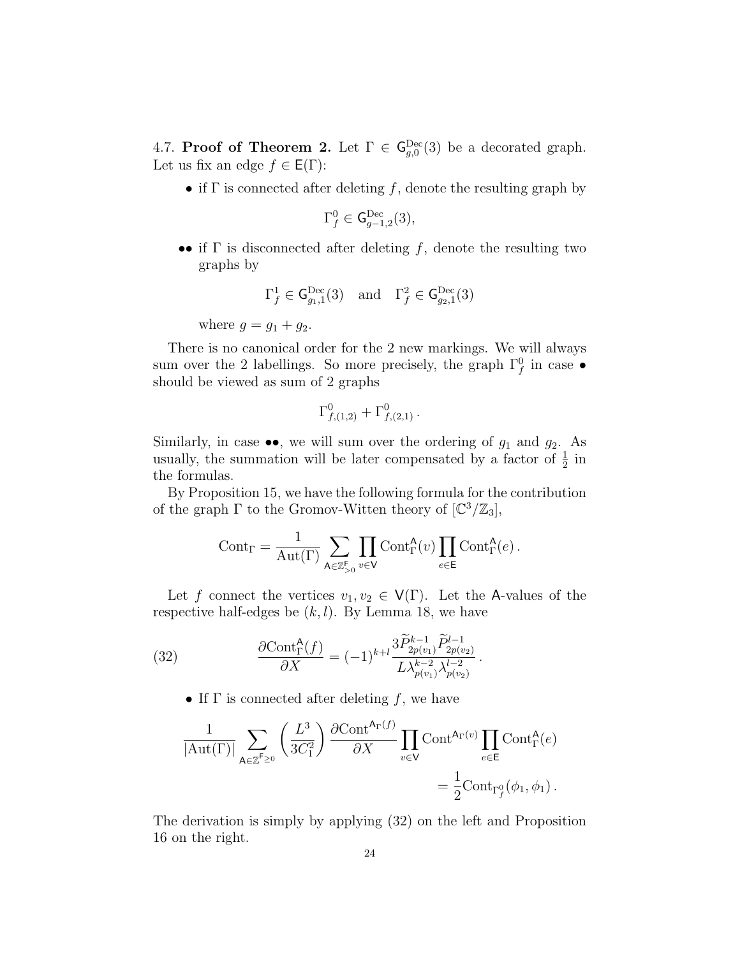4.7. Proof of Theorem 2. Let  $\Gamma \in \mathsf{G}^{\mathrm{Dec}}_{g,0}(3)$  be a decorated graph. Let us fix an edge  $f \in E(\Gamma)$ :

• if  $\Gamma$  is connected after deleting f, denote the resulting graph by

$$
\Gamma_f^0 \in \mathsf{G}^{\mathrm{Dec}}_{g-1,2}(3),
$$

•• if  $\Gamma$  is disconnected after deleting f, denote the resulting two graphs by

$$
\Gamma_f^1 \in \mathsf{G}^{\mathrm{Dec}}_{g_1,1}(3) \quad \text{and} \quad \Gamma_f^2 \in \mathsf{G}^{\mathrm{Dec}}_{g_2,1}(3)
$$

where  $g = g_1 + g_2$ .

There is no canonical order for the 2 new markings. We will always sum over the 2 labellings. So more precisely, the graph  $\Gamma_f^0$  in case  $\bullet$ should be viewed as sum of 2 graphs

$$
\Gamma^0_{f,(1,2)} + \Gamma^0_{f,(2,1)} \, .
$$

Similarly, in case  $\bullet\bullet$ , we will sum over the ordering of  $g_1$  and  $g_2$ . As usually, the summation will be later compensated by a factor of  $\frac{1}{2}$  in the formulas.

By Proposition 15, we have the following formula for the contribution of the graph  $\Gamma$  to the Gromov-Witten theory of  $\lbrack \mathbb{C}^3/\mathbb{Z}_3 \rbrack$ ,

$$
\mathrm{Cont}_\Gamma=\frac{1}{\mathrm{Aut}(\Gamma)}\sum_{\mathsf{A}\in\mathbb{Z}_{>0}^\mathsf{F}}\prod_{v\in\mathsf{V}}\mathrm{Cont}^\mathsf{A}_\Gamma(v)\prod_{e\in\mathsf{E}}\mathrm{Cont}^\mathsf{A}_\Gamma(e)\,.
$$

Let f connect the vertices  $v_1, v_2 \in V(\Gamma)$ . Let the A-values of the respective half-edges be  $(k, l)$ . By Lemma 18, we have

(32) 
$$
\frac{\partial \text{Cont}_{\Gamma}^{\mathsf{A}}(f)}{\partial X} = (-1)^{k+l} \frac{3 \widetilde{P}_{2p(v_1)}^{k-1} \widetilde{P}_{2p(v_2)}^{l-1}}{L \lambda_{p(v_1)}^{k-2} \lambda_{p(v_2)}^{l-2}}.
$$

• If  $\Gamma$  is connected after deleting f, we have

$$
\frac{1}{|\mathrm{Aut}(\Gamma)|} \sum_{\mathsf{A}\in\mathbb{Z}^{\mathsf{F}}\geq 0} \left(\frac{L^3}{3C_1^2}\right) \frac{\partial \mathrm{Cont}^{\mathsf{A}_{\Gamma}(f)}}{\partial X} \prod_{v\in\mathsf{V}} \mathrm{Cont}^{\mathsf{A}_{\Gamma}(v)} \prod_{e\in\mathsf{E}} \mathrm{Cont}^{\mathsf{A}}_{\Gamma}(e) = \frac{1}{2} \mathrm{Cont}_{\Gamma_f^0}(\phi_1, \phi_1).
$$

The derivation is simply by applying (32) on the left and Proposition 16 on the right.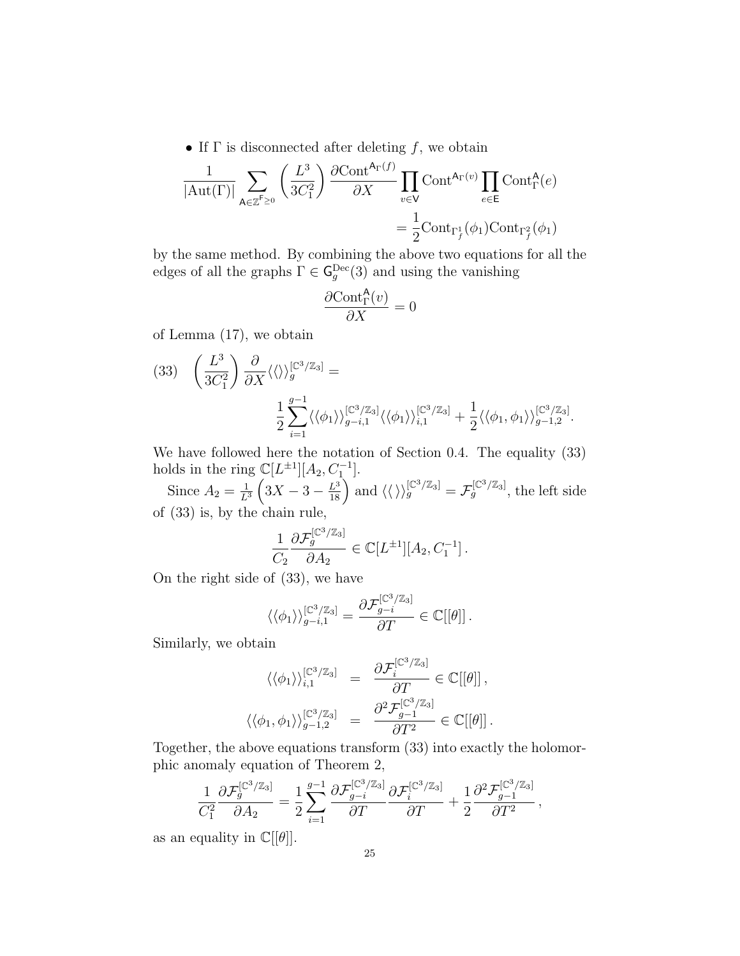• If  $\Gamma$  is disconnected after deleting f, we obtain

$$
\frac{1}{|\mathrm{Aut}(\Gamma)|} \sum_{\mathsf{A}\in\mathbb{Z}^{\mathsf{F}}\geq 0} \left(\frac{L^3}{3C_1^2}\right) \frac{\partial \mathrm{Cont}^{\mathsf{A}_{\Gamma}(f)}}{\partial X} \prod_{v\in\mathsf{V}} \mathrm{Cont}^{\mathsf{A}_{\Gamma}(v)} \prod_{e\in\mathsf{E}} \mathrm{Cont}^{\mathsf{A}}_{\Gamma}(e)
$$

$$
= \frac{1}{2} \mathrm{Cont}_{\Gamma_f^1}(\phi_1) \mathrm{Cont}_{\Gamma_f^2}(\phi_1)
$$

by the same method. By combining the above two equations for all the edges of all the graphs  $\Gamma \in \mathsf{G}^{\mathrm{Dec}}_g(3)$  and using the vanishing

$$
\frac{\partial \text{Cont}^{\mathsf{A}}_{\Gamma}(v)}{\partial X}=0
$$

of Lemma (17), we obtain

$$
(33) \quad \left(\frac{L^3}{3C_1^2}\right) \frac{\partial}{\partial X} \langle \langle \rangle \rangle_g^{[\mathbb{C}^3/\mathbb{Z}_3]} =
$$

$$
\frac{1}{2} \sum_{i=1}^{g-1} \langle \langle \phi_1 \rangle \rangle_{g-i,1}^{[\mathbb{C}^3/\mathbb{Z}_3]} \langle \langle \phi_1 \rangle \rangle_{i,1}^{[\mathbb{C}^3/\mathbb{Z}_3]} + \frac{1}{2} \langle \langle \phi_1, \phi_1 \rangle \rangle_{g-1,2}^{[\mathbb{C}^3/\mathbb{Z}_3]}.
$$

We have followed here the notation of Section 0.4. The equality (33) holds in the ring  $\mathbb{C}[L^{\pm 1}][A_2, C_1^{-1}].$ 

Since  $A_2 = \frac{1}{L^3}$  $\frac{1}{L^3} \left(3X - 3 - \frac{L^3}{18}\right)$  and  $\langle \langle \ \rangle_g^{\left[\mathbb{C}^3/\mathbb{Z}_3\right]} = \mathcal{F}_g^{\left[\mathbb{C}^3/\mathbb{Z}_3\right]}$ , the left side of (33) is, by the chain rule,

$$
\frac{1}{C_2} \frac{\partial \mathcal{F}_g^{[\mathbb{C}^3/\mathbb{Z}_3]}}{\partial A_2} \in \mathbb{C}[L^{\pm 1}][A_2, C_1^{-1}].
$$

On the right side of (33), we have

$$
\langle\langle\phi_1\rangle\rangle_{g-i,1}^{[\mathbb{C}^3/\mathbb{Z}_3]}=\frac{\partial \mathcal{F}_{g-i}^{[\mathbb{C}^3/\mathbb{Z}_3]}}{\partial T}\in\mathbb{C}[[\theta]]\,.
$$

Similarly, we obtain

$$
\langle \langle \phi_1 \rangle \rangle_{i,1}^{[\mathbb{C}^3/\mathbb{Z}_3]} = \frac{\partial \mathcal{F}_i^{[\mathbb{C}^3/\mathbb{Z}_3]}}{\partial T} \in \mathbb{C}[[\theta]],
$$
  

$$
\langle \langle \phi_1, \phi_1 \rangle \rangle_{g-1,2}^{[\mathbb{C}^3/\mathbb{Z}_3]} = \frac{\partial^2 \mathcal{F}_{g-1}^{[\mathbb{C}^3/\mathbb{Z}_3]}}{\partial T^2} \in \mathbb{C}[[\theta]].
$$

Together, the above equations transform (33) into exactly the holomorphic anomaly equation of Theorem 2,

$$
\frac{1}{C_1^2}\frac{\partial \mathcal{F}_g^{[\mathbb{C}^3/\mathbb{Z}_3]}}{\partial A_2} = \frac{1}{2}\sum_{i=1}^{g-1}\frac{\partial \mathcal{F}_{g-i}^{[\mathbb{C}^3/\mathbb{Z}_3]}}{\partial T}\frac{\partial \mathcal{F}_i^{[\mathbb{C}^3/\mathbb{Z}_3]}}{\partial T} + \frac{1}{2}\frac{\partial^2 \mathcal{F}_{g-1}^{[\mathbb{C}^3/\mathbb{Z}_3]}}{\partial T^2},
$$

as an equality in  $\mathbb{C}[[\theta]].$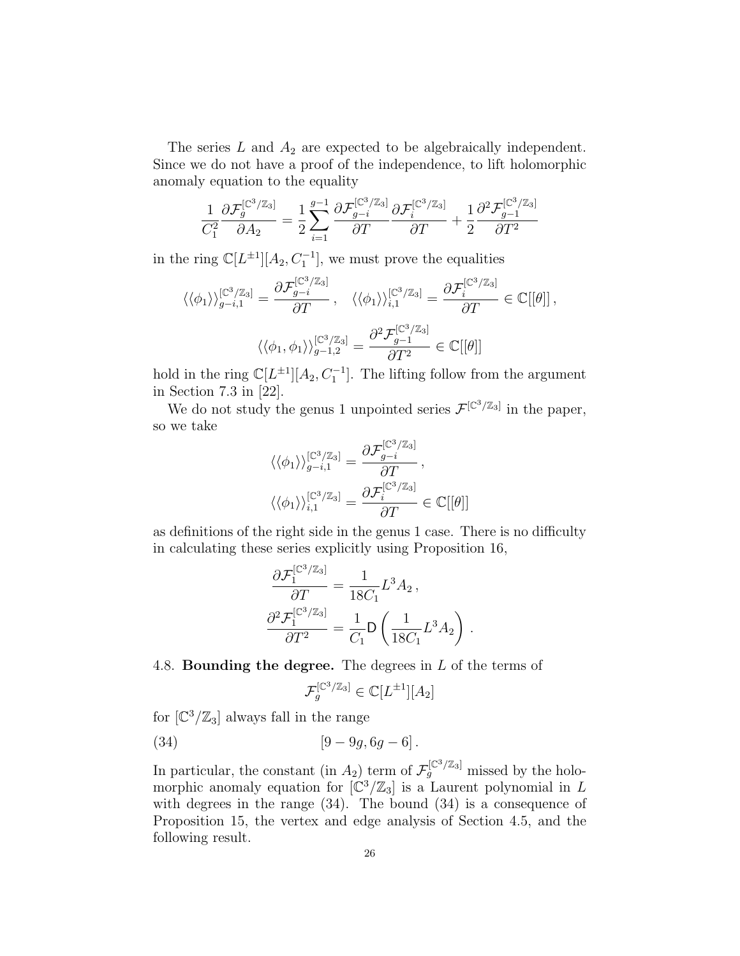The series  $L$  and  $A_2$  are expected to be algebraically independent. Since we do not have a proof of the independence, to lift holomorphic anomaly equation to the equality

$$
\frac{1}{C_1^2} \frac{\partial \mathcal{F}_g^{[\mathbb{C}^3/\mathbb{Z}_3]}}{\partial A_2} = \frac{1}{2} \sum_{i=1}^{g-1} \frac{\partial \mathcal{F}_{g-i}^{[\mathbb{C}^3/\mathbb{Z}_3]}}{\partial T} \frac{\partial \mathcal{F}_i^{[\mathbb{C}^3/\mathbb{Z}_3]}}{\partial T} + \frac{1}{2} \frac{\partial^2 \mathcal{F}_{g-1}^{[\mathbb{C}^3/\mathbb{Z}_3]}}{\partial T^2}
$$

in the ring  $\mathbb{C}[L^{\pm 1}][A_2, C_1^{-1}]$ , we must prove the equalities

$$
\langle \langle \phi_1 \rangle \rangle_{g-i,1}^{[\mathbb{C}^3/\mathbb{Z}_3]} = \frac{\partial \mathcal{F}_{g-i}^{[\mathbb{C}^3/\mathbb{Z}_3]}}{\partial T}, \quad \langle \langle \phi_1 \rangle \rangle_{i,1}^{[\mathbb{C}^3/\mathbb{Z}_3]} = \frac{\partial \mathcal{F}_i^{[\mathbb{C}^3/\mathbb{Z}_3]}}{\partial T} \in \mathbb{C}[[\theta]],
$$

$$
\langle \langle \phi_1, \phi_1 \rangle \rangle_{g-1,2}^{[\mathbb{C}^3/\mathbb{Z}_3]} = \frac{\partial^2 \mathcal{F}_{g-1}^{[\mathbb{C}^3/\mathbb{Z}_3]}}{\partial T^2} \in \mathbb{C}[[\theta]]
$$

hold in the ring  $\mathbb{C}[L^{\pm 1}][A_2, C_1^{-1}]$ . The lifting follow from the argument in Section 7.3 in [22].

We do not study the genus 1 unpointed series  $\mathcal{F}^{[\mathbb{C}^3/\mathbb{Z}_3]}$  in the paper, so we take

$$
\langle \langle \phi_1 \rangle \rangle_{g-i,1}^{[\mathbb{C}^3/\mathbb{Z}_3]} = \frac{\partial \mathcal{F}_{g-i}^{[\mathbb{C}^3/\mathbb{Z}_3]}}{\partial T},
$$

$$
\langle \langle \phi_1 \rangle \rangle_{i,1}^{[\mathbb{C}^3/\mathbb{Z}_3]} = \frac{\partial \mathcal{F}_i^{[\mathbb{C}^3/\mathbb{Z}_3]}}{\partial T} \in \mathbb{C}[[\theta]]
$$

as definitions of the right side in the genus 1 case. There is no difficulty in calculating these series explicitly using Proposition 16,

$$
\frac{\partial \mathcal{F}_1^{[\mathbb{C}^3/\mathbb{Z}_3]}}{\partial T} = \frac{1}{18C_1} L^3 A_2 ,
$$

$$
\frac{\partial^2 \mathcal{F}_1^{[\mathbb{C}^3/\mathbb{Z}_3]}}{\partial T^2} = \frac{1}{C_1} \mathsf{D} \left( \frac{1}{18C_1} L^3 A_2 \right) .
$$

4.8. **Bounding the degree.** The degrees in L of the terms of

$$
\mathcal{F}_g^{[\mathbb{C}^3/\mathbb{Z}_3]} \in \mathbb{C}[L^{\pm 1}][A_2]
$$

for  $\left[\mathbb{C}^3/\mathbb{Z}_3\right]$  always fall in the range

(34) 
$$
[9 - 9g, 6g - 6].
$$

In particular, the constant (in  $A_2$ ) term of  $\mathcal{F}_g^{[\mathbb{C}^3/\mathbb{Z}_3]}$  missed by the holomorphic anomaly equation for  $\left[\mathbb{C}^3/\mathbb{Z}_3\right]$  is a Laurent polynomial in L with degrees in the range  $(34)$ . The bound  $(34)$  is a consequence of Proposition 15, the vertex and edge analysis of Section 4.5, and the following result.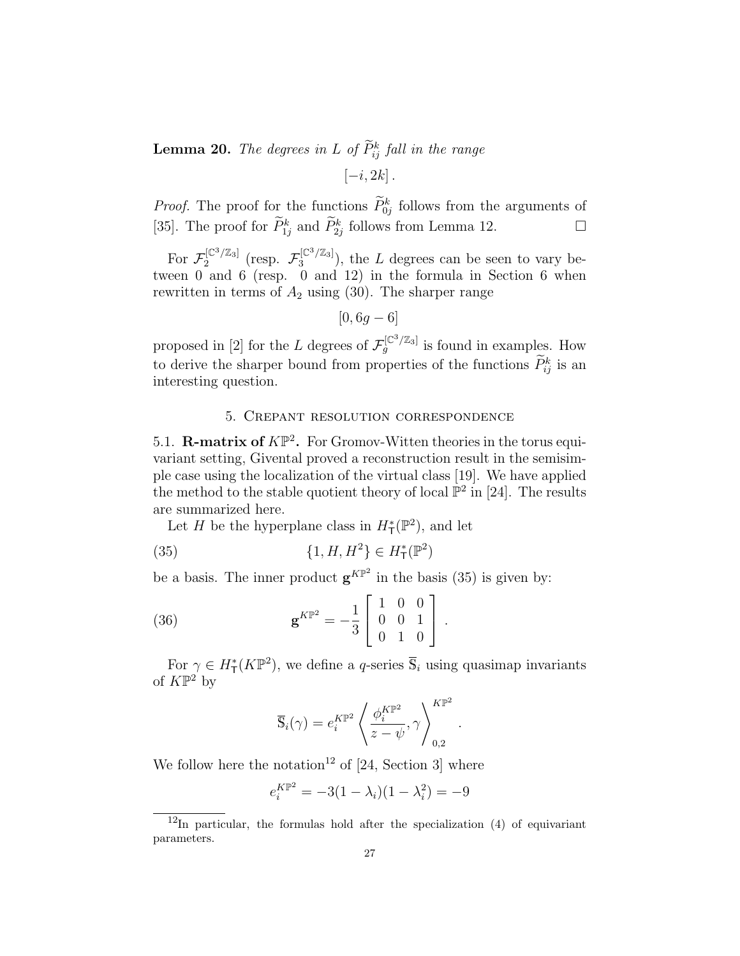**Lemma 20.** The degrees in L of  $P_{ij}^k$  fall in the range  $[-i, 2k]$ .

*Proof.* The proof for the functions  $\tilde{P}_{0j}^k$  follows from the arguments of [35]. The proof for  $\widetilde{P}_{1j}^k$  and  $\widetilde{P}_{2j}^k$  follows from Lemma 12.

For  $\mathcal{F}_2^{[\mathbb{C}^3/\mathbb{Z}_3]}$  $E_2^{[\mathbb{C}^3/\mathbb{Z}_3]}$  (resp.  $\mathcal{F}_3^{[\mathbb{C}^3/\mathbb{Z}_3]}$  $3^{[\mathbb{C}^{\circ}/\mathbb{Z}_3]}$ , the L degrees can be seen to vary between 0 and 6 (resp. 0 and 12) in the formula in Section 6 when rewritten in terms of  $A_2$  using (30). The sharper range

$$
[0, 6g - 6]
$$

proposed in [2] for the L degrees of  $\mathcal{F}_g^{[\mathbb{C}^3/\mathbb{Z}_3]}$  is found in examples. How to derive the sharper bound from properties of the functions  $\tilde{P}_{ij}^k$  is an interesting question.

### 5. Crepant resolution correspondence

5.1. **R-matrix of**  $K\mathbb{P}^2$ . For Gromov-Witten theories in the torus equivariant setting, Givental proved a reconstruction result in the semisimple case using the localization of the virtual class [19]. We have applied the method to the stable quotient theory of local  $\mathbb{P}^2$  in [24]. The results are summarized here.

Let H be the hyperplane class in  $H^*_{\mathsf{T}}(\mathbb{P}^2)$ , and let

(35) 
$$
\{1, H, H^2\} \in H^*_{\mathsf{T}}(\mathbb{P}^2)
$$

be a basis. The inner product  $\mathbf{g}^{K\mathbb{P}^2}$  in the basis (35) is given by:

(36) 
$$
\mathbf{g}^{K\mathbb{P}^2} = -\frac{1}{3} \begin{bmatrix} 1 & 0 & 0 \\ 0 & 0 & 1 \\ 0 & 1 & 0 \end{bmatrix}.
$$

For  $\gamma \in H^*_{\mathsf{T}}(K\mathbb{P}^2)$ , we define a *q*-series  $\overline{\mathbb{S}}_i$  using quasimap invariants of  $K\mathbb{P}^2$  by

$$
\overline{\mathbb{S}}_i(\gamma) = e_i^{K\mathbb{P}^2} \left\langle \frac{\phi_i^{K\mathbb{P}^2}}{z - \psi}, \gamma \right\rangle_{0,2}^{K\mathbb{P}^2}
$$

.

We follow here the notation<sup>12</sup> of  $[24, Section 3]$  where

$$
e_i^{K\mathbb{P}^2} = -3(1 - \lambda_i)(1 - \lambda_i^2) = -9
$$

 $\frac{12}{\ln \rho}$  particular, the formulas hold after the specialization (4) of equivariant parameters.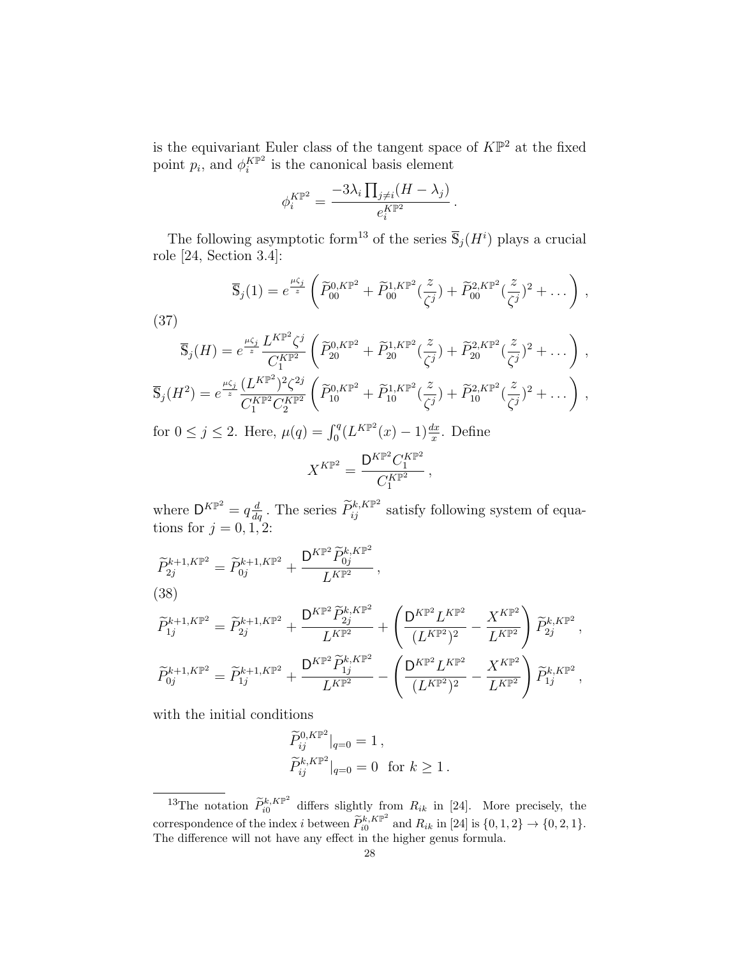is the equivariant Euler class of the tangent space of  $K\mathbb{P}^2$  at the fixed point  $p_i$ , and  $\phi_i^{K\mathbb{P}^2}$  $i^{KP^2}$  is the canonical basis element

$$
\phi_i^{K\mathbb{P}^2} = \frac{-3\lambda_i \prod_{j \neq i} (H - \lambda_j)}{e_i^{K\mathbb{P}^2}}.
$$

The following asymptotic form<sup>13</sup> of the series  $\overline{S}_j(H^i)$  plays a crucial role [24, Section 3.4]:

$$
\overline{\mathbb{S}}_{j}(1) = e^{\frac{\mu\zeta_{j}}{z}} \left( \widetilde{P}_{00}^{0,K\mathbb{P}^{2}} + \widetilde{P}_{00}^{1,K\mathbb{P}^{2}}(\frac{z}{\zeta^{j}}) + \widetilde{P}_{00}^{2,K\mathbb{P}^{2}}(\frac{z}{\zeta^{j}})^{2} + \dots \right),
$$
\n(37)\n
$$
\overline{\mathbb{S}}_{j}(H) = e^{\frac{\mu\zeta_{j}}{z}} \frac{L^{K\mathbb{P}^{2}}\zeta^{j}}{C_{1}^{K\mathbb{P}^{2}}} \left( \widetilde{P}_{20}^{0,K\mathbb{P}^{2}} + \widetilde{P}_{20}^{1,K\mathbb{P}^{2}}(\frac{z}{\zeta^{j}}) + \widetilde{P}_{20}^{2,K\mathbb{P}^{2}}(\frac{z}{\zeta^{j}})^{2} + \dots \right),
$$
\n
$$
\overline{\mathbb{S}}_{j}(H^{2}) = e^{\frac{\mu\zeta_{j}}{z}} \frac{(L^{K\mathbb{P}^{2}})^{2}\zeta^{2j}}{C_{1}^{K\mathbb{P}^{2}}C_{2}^{K\mathbb{P}^{2}}} \left( \widetilde{P}_{10}^{0,K\mathbb{P}^{2}} + \widetilde{P}_{10}^{1,K\mathbb{P}^{2}}(\frac{z}{\zeta^{j}}) + \widetilde{P}_{10}^{2,K\mathbb{P}^{2}}(\frac{z}{\zeta^{j}})^{2} + \dots \right),
$$
\nfor  $0 < j < 2$ . Here,  $\mu(q) = \int_{q}^{q} (L^{K\mathbb{P}^{2}}(x) - 1) \frac{dx}{z}$ . Define

for  $0 \le j \le 2$ . Here,  $\mu(q) = \int_0^q (L^{K\mathbb{P}^2}(x) - 1) \frac{dx}{x}$ . Define

$$
X^{K\mathbb{P}^2} = \frac{\mathsf{D}^{K\mathbb{P}^2} C_1^{K\mathbb{P}^2}}{C_1^{K\mathbb{P}^2}},
$$

where  $D^{KP^2} = q \frac{d}{dq}$ . The series  $\tilde{P}_{ij}^{k, K\mathbb{P}^2}$  satisfy following system of equations for  $j = 0, 1, 2$ :

$$
\begin{split} \widetilde{P}_{2j}^{k+1,K\mathbb{P}^2}&=\widetilde{P}_{0j}^{k+1,K\mathbb{P}^2}+\frac{\mathsf{D}^{K\mathbb{P}^2}\widetilde{P}_{0j}^{k,K\mathbb{P}^2}}{L^{K\mathbb{P}^2}}\,,\\ (38)\\ \widetilde{P}_{1j}^{k+1,K\mathbb{P}^2}&=\widetilde{P}_{2j}^{k+1,K\mathbb{P}^2}+\frac{\mathsf{D}^{K\mathbb{P}^2}\widetilde{P}_{2j}^{k,K\mathbb{P}^2}}{L^{K\mathbb{P}^2}}+\left(\frac{\mathsf{D}^{K\mathbb{P}^2}L^{K\mathbb{P}^2}}{(L^{K\mathbb{P}^2})^2}-\frac{X^{K\mathbb{P}^2}}{L^{K\mathbb{P}^2}}\right)\widetilde{P}_{2j}^{k,K\mathbb{P}^2}\,,\\ \widetilde{P}_{0j}^{k+1,K\mathbb{P}^2}&=\widetilde{P}_{1j}^{k+1,K\mathbb{P}^2}+\frac{\mathsf{D}^{K\mathbb{P}^2}\widetilde{P}_{1j}^{k,K\mathbb{P}^2}}{L^{K\mathbb{P}^2}}-\left(\frac{\mathsf{D}^{K\mathbb{P}^2}L^{K\mathbb{P}^2}}{(L^{K\mathbb{P}^2})^2}-\frac{X^{K\mathbb{P}^2}}{L^{K\mathbb{P}^2}}\right)\widetilde{P}_{1j}^{k,K\mathbb{P}^2}\,, \end{split}
$$

with the initial conditions

$$
\widetilde{P}_{ij}^{0,K\mathbb{P}^2}|_{q=0} = 1 ,
$$
  

$$
\widetilde{P}_{ij}^{k,K\mathbb{P}^2}|_{q=0} = 0 \text{ for } k \ge 1 .
$$

<sup>&</sup>lt;sup>13</sup>The notation  $\widetilde{P}_{i0}^{k,K\mathbb{P}^2}$  $\int_{i0}^{\kappa,\mathbf{A}|\mathbf{F}}$  differs slightly from  $R_{ik}$  in [24]. More precisely, the correspondence of the index *i* between  $\widetilde{P}_{i0}^{k,K\mathbb{P}^2}$  $i_0^{k, K}$ <sup>k</sup> and  $R_{ik}$  in [24] is  $\{0, 1, 2\} \rightarrow \{0, 2, 1\}.$ The difference will not have any effect in the higher genus formula.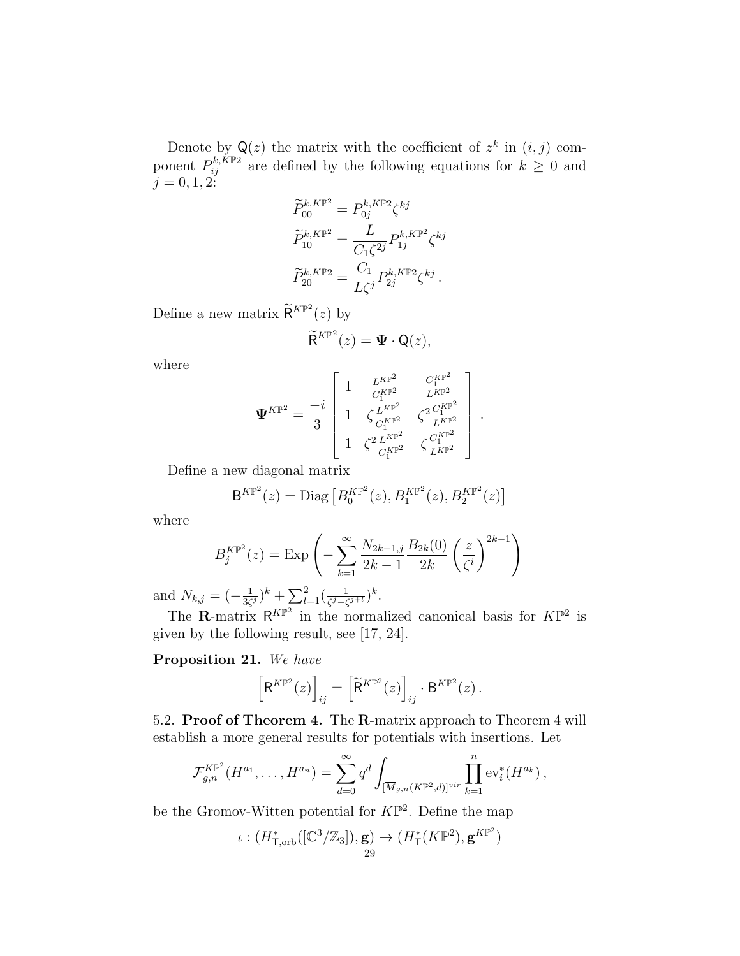Denote by  $\mathsf{Q}(z)$  the matrix with the coefficient of  $z^k$  in  $(i, j)$  component  $P_{ij}^{k,\tilde{K}\mathbb{P}2}$  are defined by the following equations for  $k \geq 0$  and  $j = 0, 1, 2:$ 

$$
\widetilde{P}_{00}^{k,K\mathbb{P}^2} = P_{0j}^{k,K\mathbb{P}2} \zeta^{kj}
$$
\n
$$
\widetilde{P}_{10}^{k,K\mathbb{P}^2} = \frac{L}{C_1 \zeta^{2j}} P_{1j}^{k,K\mathbb{P}^2} \zeta^{kj}
$$
\n
$$
\widetilde{P}_{20}^{k,K\mathbb{P}2} = \frac{C_1}{L\zeta^j} P_{2j}^{k,K\mathbb{P}2} \zeta^{kj}.
$$

Define a new matrix  $\widetilde{\mathsf{R}}^{K\mathbb{P}^2}(z)$  by

$$
\widetilde{\mathsf{R}}^{K\mathbb{P}^2}(z)=\mathbf{\Psi}\cdot\mathsf{Q}(z),
$$

where

$$
\Psi^{K\mathbb{P}^2} = \frac{-i}{3} \left[ \begin{array}{ccc} 1 & \frac{L^{K\mathbb{P}^2}}{C_1^{K\mathbb{P}^2}} & \frac{C_1^{K\mathbb{P}^2}}{L^{K\mathbb{P}^2}} \\ 1 & \zeta \frac{L^{K\mathbb{P}^2}}{C_1^{K\mathbb{P}^2}} & \zeta^2 \frac{C_1^{K\mathbb{P}^2}}{L^{K\mathbb{P}^2}} \\ 1 & \zeta^2 \frac{L^{K\mathbb{P}^2}}{C_1^{K\mathbb{P}^2}} & \zeta \frac{C_1^{K\mathbb{P}^2}}{L^{K\mathbb{P}^2}} \end{array} \right].
$$

Define a new diagonal matrix

$$
B^{K\mathbb{P}^2}(z) = \text{Diag}\left[B_0^{K\mathbb{P}^2}(z), B_1^{K\mathbb{P}^2}(z), B_2^{K\mathbb{P}^2}(z)\right]
$$

where

$$
B_j^{K\mathbb{P}^2}(z) = \text{Exp}\left(-\sum_{k=1}^{\infty} \frac{N_{2k-1,j}}{2k-1} \frac{B_{2k}(0)}{2k} \left(\frac{z}{\zeta^i}\right)^{2k-1}\right)
$$

and  $N_{k,j} = \left(-\frac{1}{3\zeta}\right)$  $(\frac{1}{3\zeta^j})^k + \sum_{l=1}^2 (\frac{1}{\zeta^j - \zeta^j})$  $\frac{1}{\zeta^j-\zeta^{j+l}})^k$ .

The **R**-matrix  $\mathsf{R}^{K\mathbb{P}^2}$  in the normalized canonical basis for  $K\mathbb{P}^2$  is given by the following result, see [17, 24].

## Proposition 21. We have

$$
\left[\mathsf{R}^{K\mathbb{P}^2}(z)\right]_{ij} = \left[\widetilde{\mathsf{R}}^{K\mathbb{P}^2}(z)\right]_{ij} \cdot \mathsf{B}^{K\mathbb{P}^2}(z) .
$$

5.2. Proof of Theorem 4. The R-matrix approach to Theorem 4 will establish a more general results for potentials with insertions. Let

$$
\mathcal{F}_{g,n}^{K\mathbb{P}^2}(H^{a_1},\ldots,H^{a_n})=\sum_{d=0}^{\infty}q^d\int_{[\overline{M}_{g,n}(K\mathbb{P}^2,d)]^{vir}}\prod_{k=1}^n \text{ev}_i^*(H^{a_k}),
$$

be the Gromov-Witten potential for  $K\mathbb{P}^2$ . Define the map

$$
\iota: (H^*_{\mathsf{T},\mathrm{orb}}([\mathbb{C}^3/\mathbb{Z}_3]),\mathbf{g}) \to (H^*_{\mathsf{T}}(K\mathbb{P}^2),\mathbf{g}^{K\mathbb{P}^2})
$$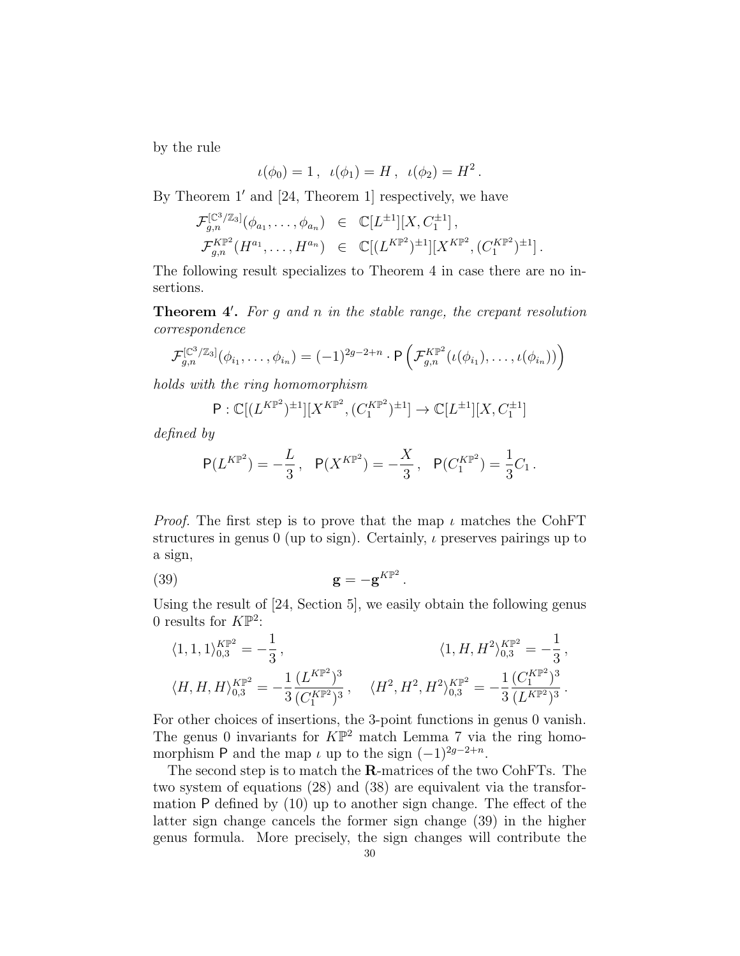by the rule

$$
\iota(\phi_0) = 1 \,, \ \iota(\phi_1) = H \,, \ \iota(\phi_2) = H^2 \,.
$$

By Theorem  $1'$  and [24, Theorem 1] respectively, we have

$$
\mathcal{F}_{g,n}^{[\mathbb{C}^3/\mathbb{Z}_3]}(\phi_{a_1},\ldots,\phi_{a_n}) \in \mathbb{C}[L^{\pm 1}][X,C_1^{\pm 1}],\mathcal{F}_{g,n}^{K\mathbb{P}^2}(H^{a_1},\ldots,H^{a_n}) \in \mathbb{C}[(L^{K\mathbb{P}^2})^{\pm 1}][X^{K\mathbb{P}^2},(C_1^{K\mathbb{P}^2})^{\pm 1}].
$$

The following result specializes to Theorem 4 in case there are no insertions.

**Theorem 4'.** For  $g$  and  $n$  in the stable range, the crepant resolution correspondence

$$
\mathcal{F}_{g,n}^{[\mathbb{C}^3/\mathbb{Z}_3]}(\phi_{i_1},\ldots,\phi_{i_n}) = (-1)^{2g-2+n} \cdot P\left(\mathcal{F}_{g,n}^{K\mathbb{P}^2}(\iota(\phi_{i_1}),\ldots,\iota(\phi_{i_n}))\right)
$$

holds with the ring homomorphism

$$
P: \mathbb{C}[(L^{K\mathbb{P}^2})^{\pm 1}][X^{K\mathbb{P}^2}, (C_1^{K\mathbb{P}^2})^{\pm 1}] \to \mathbb{C}[L^{\pm 1}][X, C_1^{\pm 1}]
$$

defined by

$$
P(L^{K\mathbb{P}^2}) = -\frac{L}{3}, \quad P(X^{K\mathbb{P}^2}) = -\frac{X}{3}, \quad P(C_1^{K\mathbb{P}^2}) = \frac{1}{3}C_1.
$$

*Proof.* The first step is to prove that the map  $\iota$  matches the CohFT structures in genus 0 (up to sign). Certainly,  $\iota$  preserves pairings up to a sign,

$$
\mathbf{g} = -\mathbf{g}^{K\mathbb{P}^2}.
$$

Using the result of [24, Section 5], we easily obtain the following genus 0 results for  $K\mathbb{P}^2$ :

$$
\begin{aligned} &\langle 1,1,1\rangle_{0,3}^{K\mathbb{P}^2}=-\frac{1}{3}\,,\qquad&\langle 1,H,H^2\rangle_{0,3}^{K\mathbb{P}^2}=-\frac{1}{3}\,,\\ &\langle H,H,H\rangle_{0,3}^{K\mathbb{P}^2}=-\frac{1}{3}\frac{(L^{K\mathbb{P}^2})^3}{(C_1^{K\mathbb{P}^2})^3}\,,\quad&\langle H^2,H^2,H^2\rangle_{0,3}^{K\mathbb{P}^2}=-\frac{1}{3}\frac{(C_1^{K\mathbb{P}^2})^3}{(L^{K\mathbb{P}^2})^3}\,. \end{aligned}
$$

For other choices of insertions, the 3-point functions in genus 0 vanish. The genus 0 invariants for  $K\mathbb{P}^2$  match Lemma 7 via the ring homomorphism P and the map  $\iota$  up to the sign  $(-1)^{2g-2+n}$ .

The second step is to match the R-matrices of the two CohFTs. The two system of equations (28) and (38) are equivalent via the transformation P defined by (10) up to another sign change. The effect of the latter sign change cancels the former sign change (39) in the higher genus formula. More precisely, the sign changes will contribute the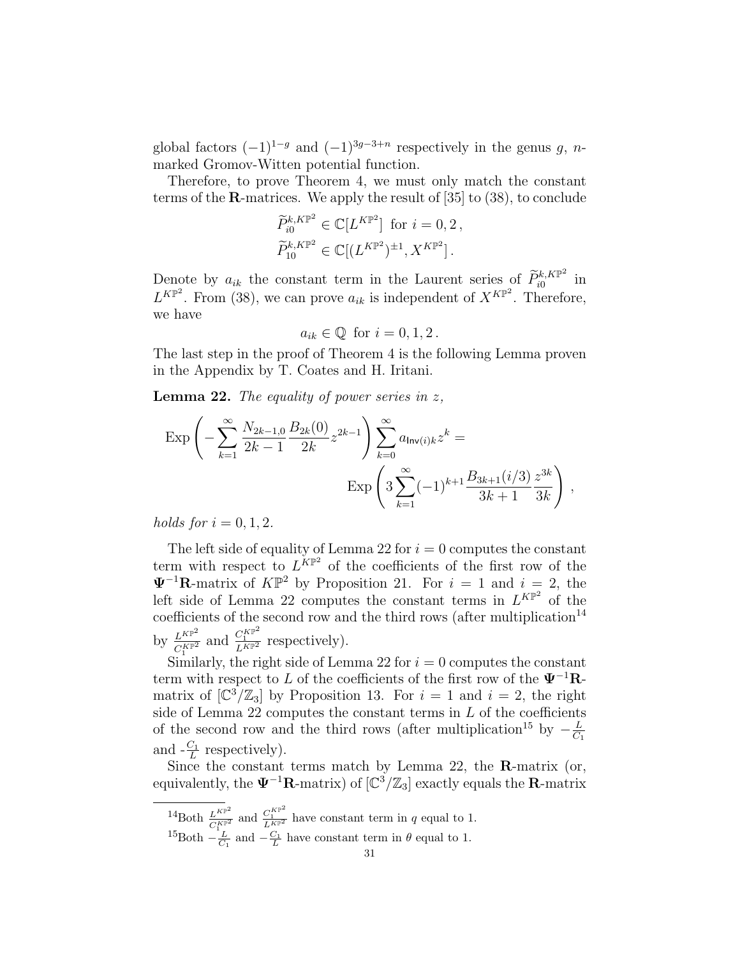global factors  $(-1)^{1-g}$  and  $(-1)^{3g-3+n}$  respectively in the genus g, nmarked Gromov-Witten potential function.

Therefore, to prove Theorem 4, we must only match the constant terms of the R-matrices. We apply the result of [35] to (38), to conclude

$$
\widetilde{P}_{i0}^{k,K\mathbb{P}^2} \in \mathbb{C}[L^{K\mathbb{P}^2}] \text{ for } i = 0, 2,
$$
  

$$
\widetilde{P}_{10}^{k,K\mathbb{P}^2} \in \mathbb{C}[(L^{K\mathbb{P}^2})^{\pm 1}, X^{K\mathbb{P}^2}].
$$

Denote by  $a_{ik}$  the constant term in the Laurent series of  $\widetilde{P}_{k}^{k,K\mathbb{P}^2}$  $\int_{i0}^{\kappa,\mathbf{A}}$   $\mathbb{P}^2$  in  $L^{K\mathbb{P}^2}$ . From (38), we can prove  $a_{ik}$  is independent of  $X^{K\mathbb{P}^2}$ . Therefore, we have

$$
a_{ik} \in \mathbb{Q} \text{ for } i = 0, 1, 2.
$$

The last step in the proof of Theorem 4 is the following Lemma proven in the Appendix by T. Coates and H. Iritani.

**Lemma 22.** The equality of power series in  $z$ ,

$$
\operatorname{Exp}\left(-\sum_{k=1}^{\infty} \frac{N_{2k-1,0}}{2k-1} \frac{B_{2k}(0)}{2k} z^{2k-1}\right) \sum_{k=0}^{\infty} a_{\text{Inv}(i)k} z^k =
$$

$$
\operatorname{Exp}\left(3 \sum_{k=1}^{\infty} (-1)^{k+1} \frac{B_{3k+1}(i/3)}{3k+1} \frac{z^{3k}}{3k}\right),
$$

holds for  $i = 0, 1, 2$ .

The left side of equality of Lemma 22 for  $i = 0$  computes the constant term with respect to  $L^{KP^2}$  of the coefficients of the first row of the  $\Psi^{-1}$ **R**-matrix of  $K\mathbb{P}^2$  by Proposition 21. For  $i = 1$  and  $i = 2$ , the left side of Lemma 22 computes the constant terms in  $L^{KP^2}$  of the coefficients of the second row and the third rows (after multiplication<sup>14</sup> by  $\frac{L^{K\mathbb{P}^2}}{CK\mathbb{P}^2}$  $\frac{L^{K\mathbb{P}^2}}{C_1^{K\mathbb{P}^2}}$  and  $\frac{C_1^{K\mathbb{P}^2}}{L^{K\mathbb{P}^2}}$  respectively).

Similarly, the right side of Lemma 22 for  $i = 0$  computes the constant term with respect to L of the coefficients of the first row of the  $\Psi^{-1}R$ matrix of  $\left[\mathbb{C}^3/\mathbb{Z}_3\right]$  by Proposition 13. For  $i=1$  and  $i=2$ , the right side of Lemma 22 computes the constant terms in  $L$  of the coefficients of the second row and the third rows (after multiplication<sup>15</sup> by  $-\frac{L}{C}$  $C_1$ and  $-\frac{C_1}{L}$  respectively).

Since the constant terms match by Lemma 22, the R-matrix (or, equivalently, the  $\Psi^{-1}R$ -matrix) of  $[\mathbb{C}^3/\mathbb{Z}_3]$  exactly equals the R-matrix

 $^{14}$ Both  $\frac{L^{K\mathbb{P}^2}}{C^{K\mathbb{P}^2}}$  $\frac{L^{K\mathbb{P}^2}}{C_1^{K\mathbb{P}^2}}$  and  $\frac{C_1^{K\mathbb{P}^2}}{L^{K\mathbb{P}^2}}$  have constant term in q equal to 1.

<sup>&</sup>lt;sup>15</sup>Both  $-\frac{L}{C_1}$  and  $-\frac{C_1}{L}$  have constant term in  $\theta$  equal to 1.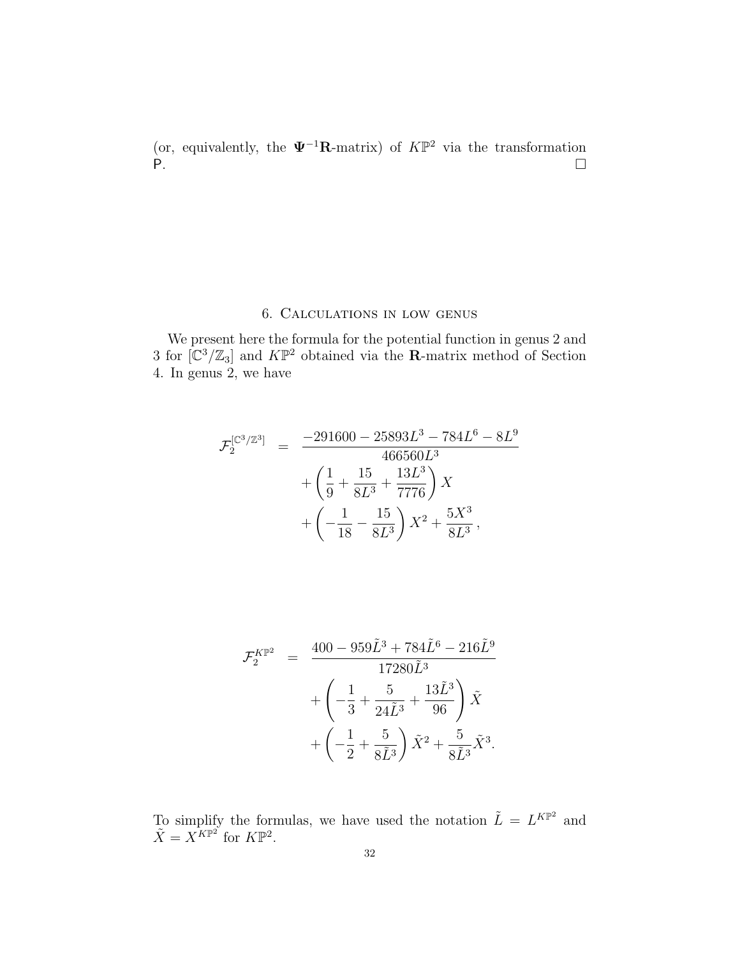(or, equivalently, the  $\Psi^{-1}$ **R**-matrix) of  $K\mathbb{P}^2$  via the transformation P.

## 6. Calculations in low genus

We present here the formula for the potential function in genus 2 and 3 for  $\left[\mathbb{C}^3/\mathbb{Z}_3\right]$  and  $K\mathbb{P}^2$  obtained via the **R**-matrix method of Section 4. In genus 2, we have

$$
\mathcal{F}_2^{[\mathbb{C}^3/\mathbb{Z}^3]} = \frac{-291600 - 25893L^3 - 784L^6 - 8L^9}{466560L^3} \n+ \left(\frac{1}{9} + \frac{15}{8L^3} + \frac{13L^3}{7776}\right)X \n+ \left(-\frac{1}{18} - \frac{15}{8L^3}\right)X^2 + \frac{5X^3}{8L^3},
$$

$$
\mathcal{F}_2^{K\mathbb{P}^2} = \frac{400 - 959\tilde{L}^3 + 784\tilde{L}^6 - 216\tilde{L}^9}{17280\tilde{L}^3} \n+ \left( -\frac{1}{3} + \frac{5}{24\tilde{L}^3} + \frac{13\tilde{L}^3}{96} \right) \tilde{X} \n+ \left( -\frac{1}{2} + \frac{5}{8\tilde{L}^3} \right) \tilde{X}^2 + \frac{5}{8\tilde{L}^3} \tilde{X}^3.
$$

To simplify the formulas, we have used the notation  $\tilde{L} = L^{K\mathbb{P}^2}$  and  $\tilde{X} = X^{K\mathbb{P}^2}$  for  $K\mathbb{P}^2$ .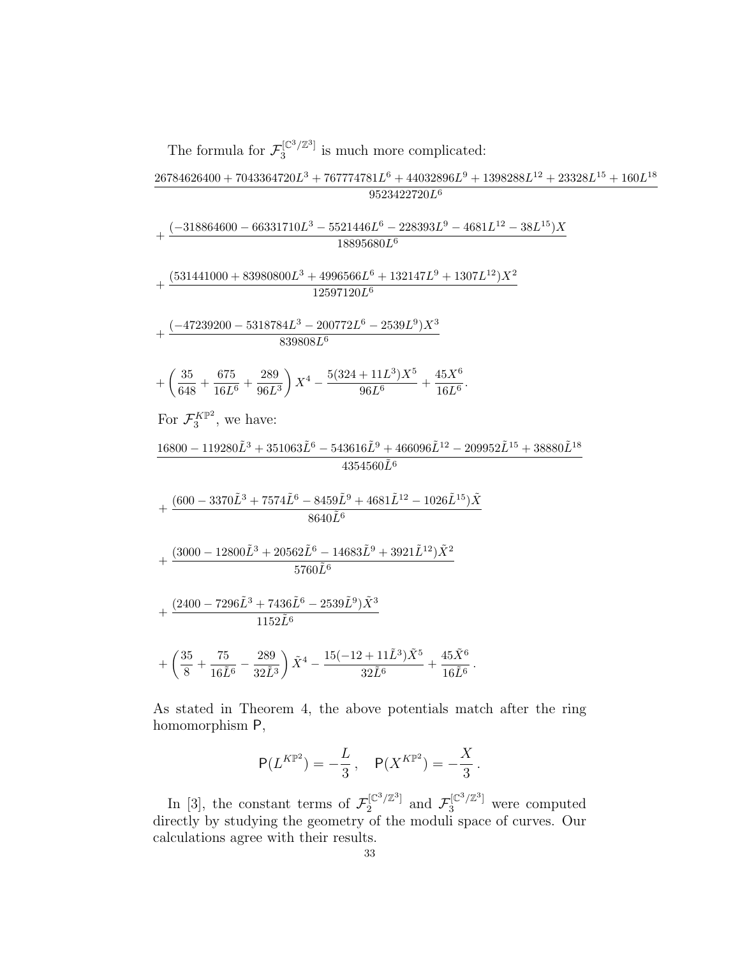The formula for 
$$
\mathcal{F}_3^{\text{[C3/Z3]}} \text{ is much more complicated:}
$$
\n
$$
\frac{26784626400 + 7043364720L^3 + 767774781L^6 + 44032896L^9 + 1398288L^{12} + 23328L^{15} + 160L^{18}}{9523422720L^6}
$$
\n
$$
+\frac{(-318864600 - 66331710L^3 - 5521446L^6 - 228393L^9 - 4681L^{12} - 38L^{15})X}{18895680L^6}
$$
\n
$$
+\frac{(531441000 + 83980800L^3 + 4996566L^6 + 132147L^9 + 1307L^{12})X^2}{12597120L^6}
$$
\n
$$
+\frac{(-47239200 - 5318784L^3 - 200772L^6 - 2539L^9)X^3}{839808L^6}
$$
\n
$$
+\left(\frac{35}{648} + \frac{675}{16L^6} + \frac{289}{96L^3}\right)X^4 - \frac{5(324 + 11L^3)X^5}{96L^6} + \frac{45X^6}{16L^6}.
$$
\nFor  $\mathcal{F}_3^{KP^2}$ , we have:  
\n
$$
\frac{16800 - 119280L^3 + 351063L^6 - 543616L^9 + 466096L^{12} - 209952L^{15} + 38880L^{18}}{4354560L^6}
$$
\n
$$
+\frac{(600 - 3370L^3 + 7574L^6 - 8459L^9 + 4681L^{12} - 1026L^{15})\tilde{X}}{8640L^6}
$$
\n
$$
+\frac{(3000 - 12800L^3 + 20562L^6 - 14683L^9 + 3921L^{12})\tilde{X}^2}{57
$$

As stated in Theorem 4, the above potentials match after the ring homomorphism P,

$$
{\sf P}(L^{K\mathbb{P}^2}) = -\frac{L}{3}\,,\quad {\sf P}(X^{K\mathbb{P}^2}) = -\frac{X}{3}\,.
$$

In [3], the constant terms of  $\mathcal{F}_2^{[\mathbb{C}^3/\mathbb{Z}^3]}$  $\mathcal{F}_2^{[\mathbb{C}^3/\mathbb{Z}^3]}$  and  $\mathcal{F}_3^{[\mathbb{C}^3/\mathbb{Z}^3]}$  were computed directly by studying the geometry of the moduli space of curves. Our calculations agree with their results.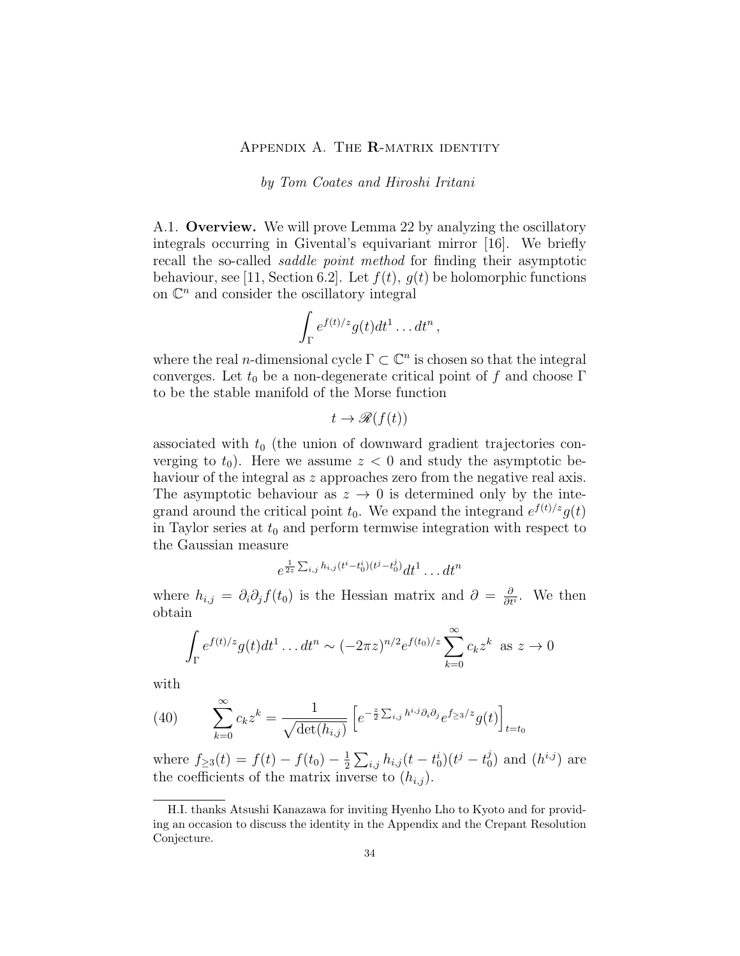## APPENDIX A. THE R-MATRIX IDENTITY

by Tom Coates and Hiroshi Iritani

A.1. Overview. We will prove Lemma 22 by analyzing the oscillatory integrals occurring in Givental's equivariant mirror [16]. We briefly recall the so-called saddle point method for finding their asymptotic behaviour, see [11, Section 6.2]. Let  $f(t)$ ,  $g(t)$  be holomorphic functions on  $\mathbb{C}^n$  and consider the oscillatory integral

$$
\int_{\Gamma} e^{f(t)/z} g(t) dt^1 \dots dt^n
$$

,

where the real *n*-dimensional cycle  $\Gamma \subset \mathbb{C}^n$  is chosen so that the integral converges. Let  $t_0$  be a non-degenerate critical point of f and choose  $\Gamma$ to be the stable manifold of the Morse function

$$
t \to \mathcal{R}(f(t))
$$

associated with  $t_0$  (the union of downward gradient trajectories converging to  $t_0$ ). Here we assume  $z < 0$  and study the asymptotic behaviour of the integral as z approaches zero from the negative real axis. The asymptotic behaviour as  $z \to 0$  is determined only by the integrand around the critical point  $t_0$ . We expand the integrand  $e^{f(t)/z}g(t)$ in Taylor series at  $t_0$  and perform termwise integration with respect to the Gaussian measure

$$
e^{\frac{1}{2z}\sum_{i,j}h_{i,j}(t^i-t_0^i)(t^j-t_0^j)}dt^1 \dots dt^n
$$

where  $h_{i,j} = \partial_i \partial_j f(t_0)$  is the Hessian matrix and  $\partial = \frac{\partial}{\partial t}$  $\frac{\partial}{\partial t^i}$ . We then obtain

$$
\int_{\Gamma} e^{f(t)/z} g(t) dt^{1} \dots dt^{n} \sim (-2\pi z)^{n/2} e^{f(t_{0})/z} \sum_{k=0}^{\infty} c_{k} z^{k} \text{ as } z \to 0
$$

with

(40) 
$$
\sum_{k=0}^{\infty} c_k z^k = \frac{1}{\sqrt{\det(h_{i,j})}} \left[ e^{-\frac{z}{2} \sum_{i,j} h^{i,j} \partial_i \partial_j} e^{f_{\ge 3}/z} g(t) \right]_{t=t_0}
$$

where  $f_{\geq 3}(t) = f(t) - f(t_0) - \frac{1}{2}$  $\frac{1}{2} \sum_{i,j} h_{i,j} (t-t^i_0) (t^j-t^j_0)$  $j<sub>0</sub>$ ) and  $(h<sup>i,j</sup>)$  are the coefficients of the matrix inverse to  $(h_{i,j})$ .

H.I. thanks Atsushi Kanazawa for inviting Hyenho Lho to Kyoto and for providing an occasion to discuss the identity in the Appendix and the Crepant Resolution Conjecture.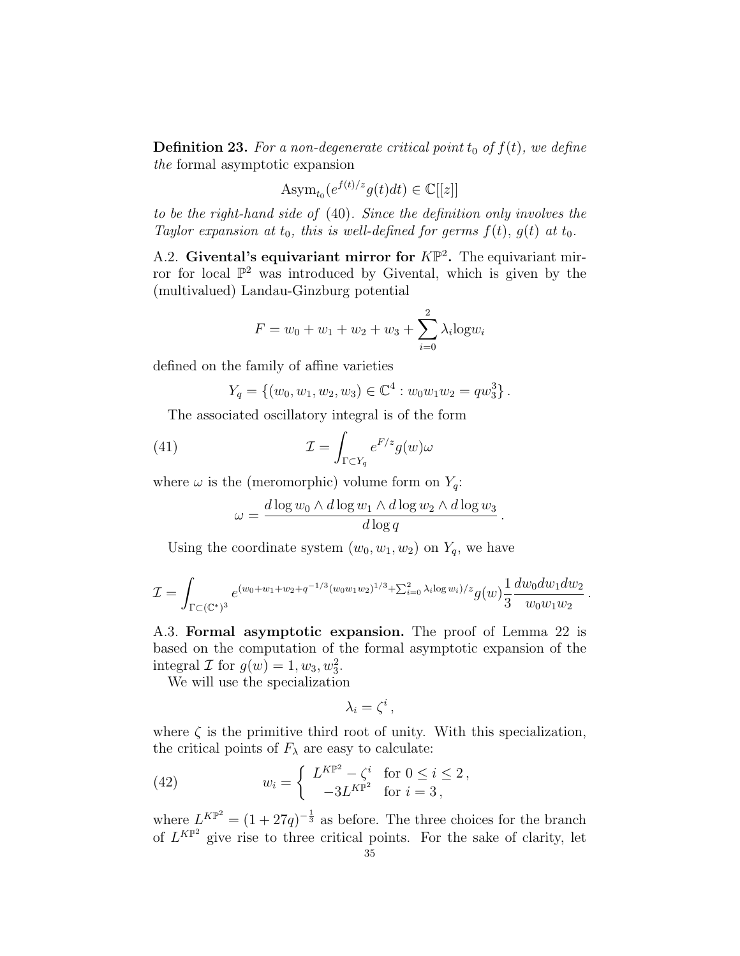**Definition 23.** For a non-degenerate critical point  $t_0$  of  $f(t)$ , we define the formal asymptotic expansion

$$
\operatorname{Asym}_{t_0}(e^{f(t)/z}g(t)dt) \in \mathbb{C}[[z]]
$$

to be the right-hand side of (40). Since the definition only involves the Taylor expansion at  $t_0$ , this is well-defined for germs  $f(t)$ ,  $g(t)$  at  $t_0$ .

A.2. Givental's equivariant mirror for  $K\mathbb{P}^2$ . The equivariant mirror for local  $\mathbb{P}^2$  was introduced by Givental, which is given by the (multivalued) Landau-Ginzburg potential

$$
F = w_0 + w_1 + w_2 + w_3 + \sum_{i=0}^{2} \lambda_i \log w_i
$$

defined on the family of affine varieties

$$
Y_q = \{(w_0, w_1, w_2, w_3) \in \mathbb{C}^4 : w_0 w_1 w_2 = q w_3^3\}.
$$

The associated oscillatory integral is of the form

(41) 
$$
\mathcal{I} = \int_{\Gamma \subset Y_q} e^{F/z} g(w) \omega
$$

where  $\omega$  is the (meromorphic) volume form on  $Y_q$ :

$$
\omega = \frac{d \log w_0 \wedge d \log w_1 \wedge d \log w_2 \wedge d \log w_3}{d \log q}
$$

.

.

Using the coordinate system  $(w_0, w_1, w_2)$  on  $Y_q$ , we have

$$
\mathcal{I} = \int_{\Gamma \subset (\mathbb{C}^*)^3} e^{(w_0 + w_1 + w_2 + q^{-1/3} (w_0 w_1 w_2)^{1/3} + \sum_{i=0}^2 \lambda_i \log w_i)/z} g(w) \frac{1}{3} \frac{dw_0 dw_1 dw_2}{w_0 w_1 w_2}
$$

A.3. Formal asymptotic expansion. The proof of Lemma 22 is based on the computation of the formal asymptotic expansion of the integral  $\mathcal I$  for  $g(w) = 1, w_3, w_3^2$ .

We will use the specialization

$$
\lambda_i=\zeta^i\,,
$$

where  $\zeta$  is the primitive third root of unity. With this specialization, the critical points of  $F_{\lambda}$  are easy to calculate:

(42) 
$$
w_i = \begin{cases} L^{K\mathbb{P}^2} - \zeta^i & \text{for } 0 \le i \le 2, \\ -3L^{K\mathbb{P}^2} & \text{for } i = 3, \end{cases}
$$

where  $L^{KP^2} = (1 + 27q)^{-\frac{1}{3}}$  as before. The three choices for the branch of  $L^{KP^2}$  give rise to three critical points. For the sake of clarity, let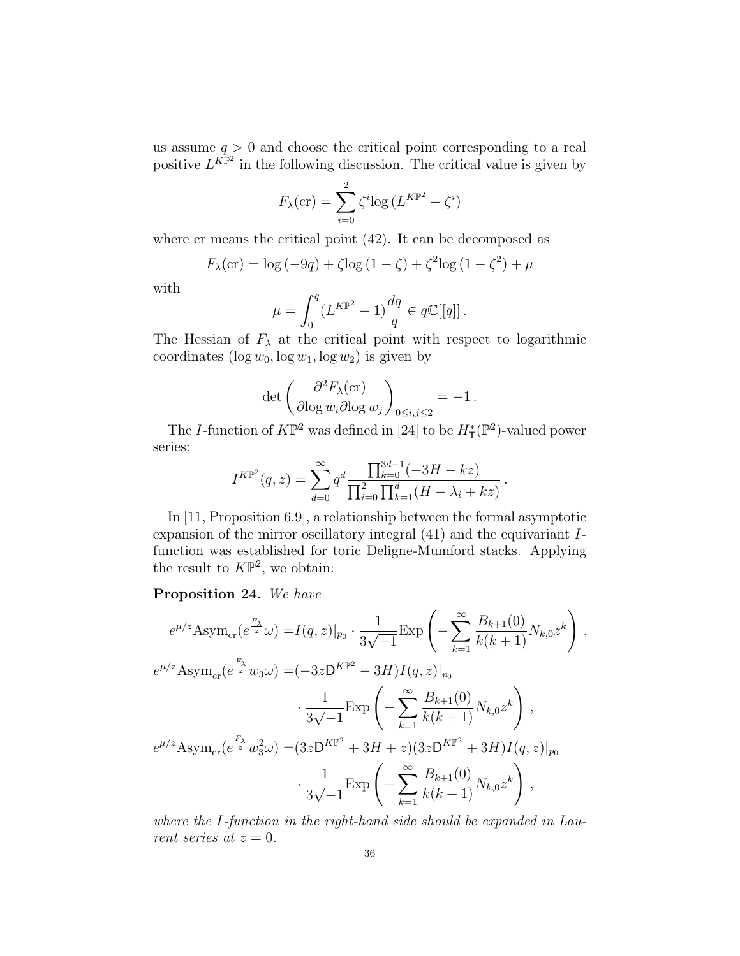us assume  $q > 0$  and choose the critical point corresponding to a real positive  $L^{K\mathbb{P}^2}$  in the following discussion. The critical value is given by

$$
F_{\lambda}(\text{cr}) = \sum_{i=0}^{2} \zeta^{i} \log \left( L^{K\mathbb{P}^{2}} - \zeta^{i} \right)
$$

where cr means the critical point  $(42)$ . It can be decomposed as

$$
F_{\lambda}(\text{cr}) = \log(-9q) + \zeta \log(1 - \zeta) + \zeta^{2} \log(1 - \zeta^{2}) + \mu
$$

with

$$
\mu=\int_0^q(L^{K\mathbb{P}^2}-1)\frac{dq}{q}\in q\mathbb{C}[[q]]\,.
$$

The Hessian of  $F_{\lambda}$  at the critical point with respect to logarithmic coordinates  $(\log w_0, \log w_1, \log w_2)$  is given by

$$
\det \left( \frac{\partial^2 F_{\lambda}(\text{cr})}{\partial \log w_i \partial \log w_j} \right)_{0 \leq i,j \leq 2} = -1 \, .
$$

The *I*-function of  $K\mathbb{P}^2$  was defined in [24] to be  $H^*_{\mathsf{T}}(\mathbb{P}^2)$ -valued power series:

$$
I^{K\mathbb{P}^2}(q,z) = \sum_{d=0}^{\infty} q^d \frac{\prod_{k=0}^{3d-1} (-3H - kz)}{\prod_{i=0}^2 \prod_{k=1}^d (H - \lambda_i + kz)}
$$

.

In [11, Proposition 6.9], a relationship between the formal asymptotic expansion of the mirror oscillatory integral (41) and the equivariant Ifunction was established for toric Deligne-Mumford stacks. Applying the result to  $K\mathbb{P}^2$ , we obtain:

## Proposition 24. We have

$$
e^{\mu/z} \text{Asym}_{\text{cr}}(e^{\frac{F_{\lambda}}{z}}\omega) = I(q, z)|_{p_0} \cdot \frac{1}{3\sqrt{-1}} \text{Exp}\left(-\sum_{k=1}^{\infty} \frac{B_{k+1}(0)}{k(k+1)} N_{k,0} z^k\right),
$$
  
\n
$$
e^{\mu/z} \text{Asym}_{\text{cr}}(e^{\frac{F_{\lambda}}{z}}w_3\omega) = (-3z\mathsf{D}^{K\mathbb{P}^2} - 3H)I(q, z)|_{p_0}
$$
  
\n
$$
\cdot \frac{1}{3\sqrt{-1}} \text{Exp}\left(-\sum_{k=1}^{\infty} \frac{B_{k+1}(0)}{k(k+1)} N_{k,0} z^k\right),
$$
  
\n
$$
e^{\mu/z} \text{Asym}_{\text{cr}}(e^{\frac{F_{\lambda}}{z}}w_3^2\omega) = (3z\mathsf{D}^{K\mathbb{P}^2} + 3H + z)(3z\mathsf{D}^{K\mathbb{P}^2} + 3H)I(q, z)|_{p_0}
$$
  
\n
$$
\cdot \frac{1}{3\sqrt{-1}} \text{Exp}\left(-\sum_{k=1}^{\infty} \frac{B_{k+1}(0)}{k(k+1)} N_{k,0} z^k\right),
$$

where the I-function in the right-hand side should be expanded in Laurent series at  $z = 0$ .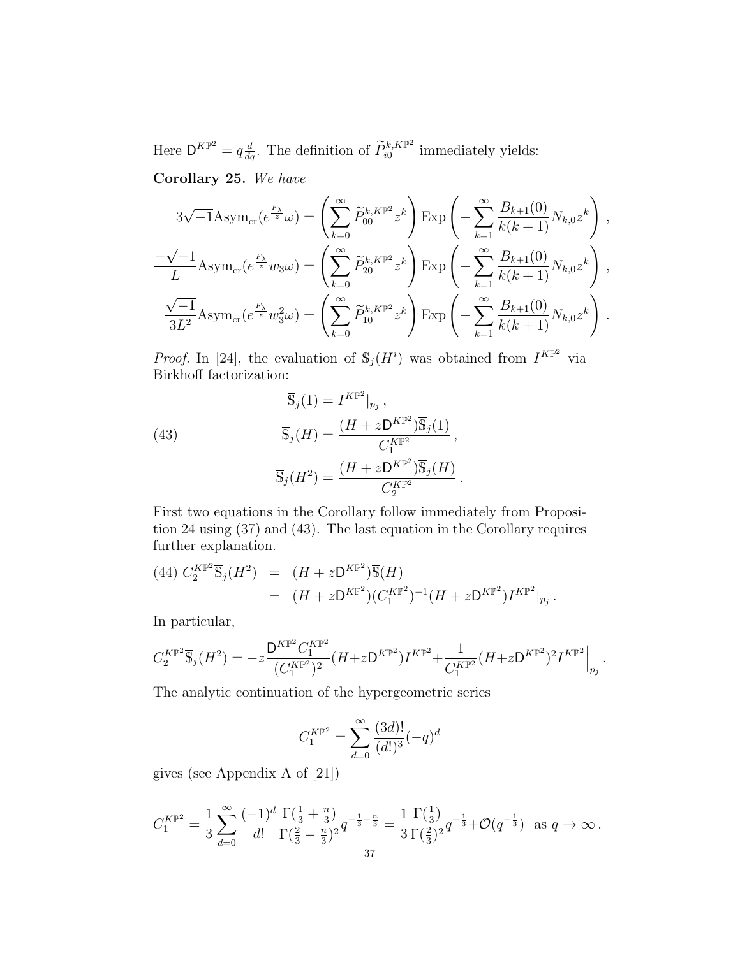Here  $\mathsf{D}^{K\mathbb{P}^2} = q \frac{d}{dq}$ . The definition of  $\widetilde{P}_{i0}^{k,K\mathbb{P}^2}$  $\sum_{i=0}^{\kappa, K\mathbb{P}^2}$  immediately yields:

Corollary 25. We have

$$
3\sqrt{-1}\text{Asym}_{\text{cr}}(e^{\frac{F_{\lambda}}{z}}\omega) = \left(\sum_{k=0}^{\infty} \widetilde{P}_{00}^{k,K\mathbb{P}^{2}}z^{k}\right)\text{Exp}\left(-\sum_{k=1}^{\infty} \frac{B_{k+1}(0)}{k(k+1)}N_{k,0}z^{k}\right),
$$
  

$$
\frac{-\sqrt{-1}}{L}\text{Asym}_{\text{cr}}(e^{\frac{F_{\lambda}}{z}}w_{3}\omega) = \left(\sum_{k=0}^{\infty} \widetilde{P}_{20}^{k,K\mathbb{P}^{2}}z^{k}\right)\text{Exp}\left(-\sum_{k=1}^{\infty} \frac{B_{k+1}(0)}{k(k+1)}N_{k,0}z^{k}\right),
$$
  

$$
\frac{\sqrt{-1}}{3L^{2}}\text{Asym}_{\text{cr}}(e^{\frac{F_{\lambda}}{z}}w_{3}^{2}\omega) = \left(\sum_{k=0}^{\infty} \widetilde{P}_{10}^{k,K\mathbb{P}^{2}}z^{k}\right)\text{Exp}\left(-\sum_{k=1}^{\infty} \frac{B_{k+1}(0)}{k(k+1)}N_{k,0}z^{k}\right).
$$

*Proof.* In [24], the evaluation of  $\overline{S}_j(H^i)$  was obtained from  $I^{KP^2}$  via Birkhoff factorization:

(43) 
$$
\overline{\mathbb{S}}_j(1) = I^{K\mathbb{P}^2}|_{p_j},
$$

$$
\overline{\mathbb{S}}_j(H) = \frac{(H + zD^{K\mathbb{P}^2})\overline{\mathbb{S}}_j(1)}{C_1^{K\mathbb{P}^2}},
$$

$$
\overline{\mathbb{S}}_j(H^2) = \frac{(H + zD^{K\mathbb{P}^2})\overline{\mathbb{S}}_j(H)}{C_2^{K\mathbb{P}^2}}.
$$

First two equations in the Corollary follow immediately from Proposition 24 using (37) and (43). The last equation in the Corollary requires further explanation.

$$
(44) C_2^{K\mathbb{P}^2} \overline{\mathbb{S}}_j(H^2) = (H + z \mathsf{D}^{K\mathbb{P}^2}) \overline{\mathbb{S}}(H)
$$
  
= 
$$
(H + z \mathsf{D}^{K\mathbb{P}^2}) (C_1^{K\mathbb{P}^2})^{-1} (H + z \mathsf{D}^{K\mathbb{P}^2}) I^{K\mathbb{P}^2} |_{p_j}.
$$

In particular,

$$
C_2^{K\mathbb{P}^2} \overline{\mathbb{S}}_j(H^2) = -z \frac{\mathsf{D}^{K\mathbb{P}^2} C_1^{K\mathbb{P}^2}}{(C_1^{K\mathbb{P}^2})^2} (H + z \mathsf{D}^{K\mathbb{P}^2}) I^{K\mathbb{P}^2} + \frac{1}{C_1^{K\mathbb{P}^2}} (H + z \mathsf{D}^{K\mathbb{P}^2})^2 I^{K\mathbb{P}^2} \Big|_{p_j}.
$$

The analytic continuation of the hypergeometric series

$$
C_1^{K\mathbb{P}^2} = \sum_{d=0}^{\infty} \frac{(3d)!}{(d!)^3} (-q)^d
$$

gives (see Appendix A of [21])

$$
C_1^{K\mathbb{P}^2} = \frac{1}{3} \sum_{d=0}^{\infty} \frac{(-1)^d}{d!} \frac{\Gamma(\frac{1}{3} + \frac{n}{3})}{\Gamma(\frac{2}{3} - \frac{n}{3})^2} q^{-\frac{1}{3} - \frac{n}{3}} = \frac{1}{3} \frac{\Gamma(\frac{1}{3})}{\Gamma(\frac{2}{3})^2} q^{-\frac{1}{3}} + \mathcal{O}(q^{-\frac{1}{3}}) \text{ as } q \to \infty.
$$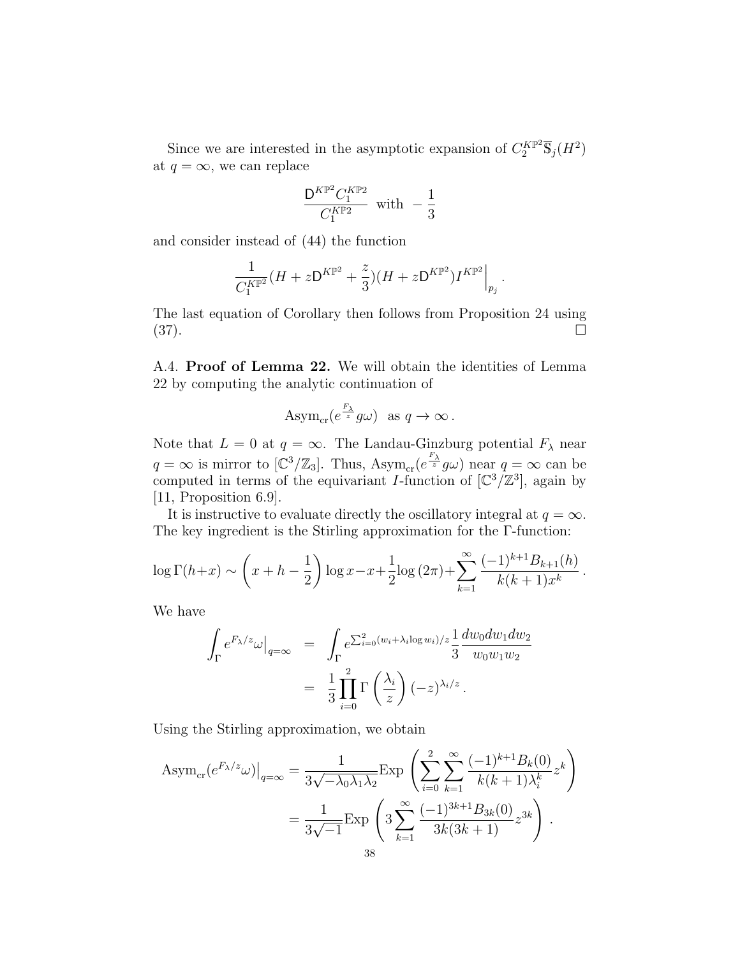Since we are interested in the asymptotic expansion of  $C_2^{K \mathbb{P}^2} \overline{\mathbb{S}}_j(H^2)$ at  $q = \infty$ , we can replace

$$
\frac{{\mathsf D}^{K\mathbb{P}^2}C_1^{K\mathbb{P}2}}{C_1^{K\mathbb{P}2}}\ \ \text{with}\ \ -\frac{1}{3}
$$

and consider instead of (44) the function

$$
\frac{1}{C_1^{K\mathbb{P}^2}} (H + z \mathsf{D}^{K\mathbb{P}^2} + \frac{z}{3}) (H + z \mathsf{D}^{K\mathbb{P}^2}) I^{K\mathbb{P}^2} \Big|_{p_j}.
$$

The last equation of Corollary then follows from Proposition 24 using (37).

A.4. Proof of Lemma 22. We will obtain the identities of Lemma 22 by computing the analytic continuation of

$$
A\text{sym}_{\text{cr}}(e^{\frac{F_{\lambda}}{z}}g\omega) \text{ as } q \to \infty.
$$

Note that  $L = 0$  at  $q = \infty$ . The Landau-Ginzburg potential  $F_{\lambda}$  near  $q = \infty$  is mirror to  $[\mathbb{C}^3/\mathbb{Z}_3]$ . Thus,  $\text{Asym}_{\text{cr}}(e^{\frac{F_\lambda}{z}}g\omega)$  near  $q = \infty$  can be computed in terms of the equivariant I-function of  $\lbrack \mathbb{C}^3/\mathbb{Z}^3 \rbrack$ , again by [11, Proposition 6.9].

It is instructive to evaluate directly the oscillatory integral at  $q = \infty$ . The key ingredient is the Stirling approximation for the Γ-function:

$$
\log \Gamma(h+x) \sim \left(x + h - \frac{1}{2}\right) \log x - x + \frac{1}{2} \log \left(2\pi\right) + \sum_{k=1}^{\infty} \frac{(-1)^{k+1} B_{k+1}(h)}{k(k+1)x^k}
$$

.

We have

$$
\int_{\Gamma} e^{F_{\lambda}/z} \omega \Big|_{q=\infty} = \int_{\Gamma} e^{\sum_{i=0}^{2} (w_i + \lambda_i \log w_i)/z} \frac{1}{3} \frac{dw_0 dw_1 dw_2}{w_0 w_1 w_2}
$$

$$
= \frac{1}{3} \prod_{i=0}^{2} \Gamma\left(\frac{\lambda_i}{z}\right) (-z)^{\lambda_i/z}.
$$

Using the Stirling approximation, we obtain

Asym<sub>cr</sub>
$$
(e^{F_{\lambda}/z}\omega)|_{q=\infty} = \frac{1}{3\sqrt{-\lambda_0\lambda_1\lambda_2}} \exp\left(\sum_{i=0}^2 \sum_{k=1}^\infty \frac{(-1)^{k+1}B_k(0)}{k(k+1)\lambda_i^k} z^k\right)
$$
  

$$
= \frac{1}{3\sqrt{-1}} \exp\left(3\sum_{k=1}^\infty \frac{(-1)^{3k+1}B_{3k}(0)}{3k(3k+1)} z^{3k}\right).
$$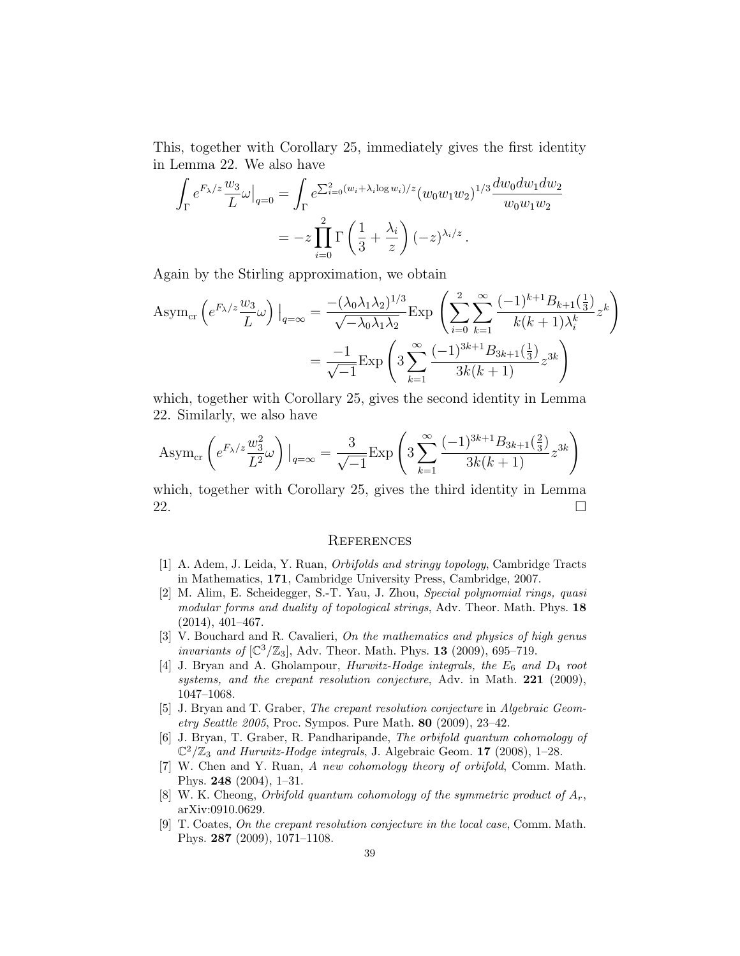This, together with Corollary 25, immediately gives the first identity in Lemma 22. We also have

$$
\int_{\Gamma} e^{F_{\lambda}/z} \frac{w_3}{L} \omega \Big|_{q=0} = \int_{\Gamma} e^{\sum_{i=0}^2 (w_i + \lambda_i \log w_i)/z} (w_0 w_1 w_2)^{1/3} \frac{dw_0 dw_1 dw_2}{w_0 w_1 w_2}
$$

$$
= -z \prod_{i=0}^2 \Gamma\left(\frac{1}{3} + \frac{\lambda_i}{z}\right) (-z)^{\lambda_i/z}.
$$

Again by the Stirling approximation, we obtain

Asym<sub>cr</sub> 
$$
\left( e^{F_{\lambda}/z} \frac{w_3}{L} \omega \right) \Big|_{q=\infty} = \frac{- (\lambda_0 \lambda_1 \lambda_2)^{1/3}}{\sqrt{-\lambda_0 \lambda_1 \lambda_2}} \exp \left( \sum_{i=0}^2 \sum_{k=1}^\infty \frac{(-1)^{k+1} B_{k+1}(\frac{1}{3})}{k(k+1)\lambda_i^k} z^k \right)
$$
  

$$
= \frac{-1}{\sqrt{-1}} \exp \left( 3 \sum_{k=1}^\infty \frac{(-1)^{3k+1} B_{3k+1}(\frac{1}{3})}{3k(k+1)} z^{3k} \right)
$$

which, together with Corollary 25, gives the second identity in Lemma 22. Similarly, we also have

$$
\text{Asym}_{\text{cr}}\left(e^{F_{\lambda}/z}\frac{w_3^2}{L^2}\omega\right)\big|_{q=\infty} = \frac{3}{\sqrt{-1}}\text{Exp}\left(3\sum_{k=1}^{\infty}\frac{(-1)^{3k+1}B_{3k+1}\left(\frac{2}{3}\right)}{3k(k+1)}z^{3k}\right)
$$

which, together with Corollary 25, gives the third identity in Lemma 22.

#### **REFERENCES**

- [1] A. Adem, J. Leida, Y. Ruan, Orbifolds and stringy topology, Cambridge Tracts in Mathematics, 171, Cambridge University Press, Cambridge, 2007.
- [2] M. Alim, E. Scheidegger, S.-T. Yau, J. Zhou, Special polynomial rings, quasi modular forms and duality of topological strings, Adv. Theor. Math. Phys. 18 (2014), 401–467.
- [3] V. Bouchard and R. Cavalieri, On the mathematics and physics of high genus invariants of  $\left[\mathbb{C}^3/\mathbb{Z}_3\right]$ , Adv. Theor. Math. Phys. **13** (2009), 695-719.
- [4] J. Bryan and A. Gholampour, *Hurwitz-Hodge integrals, the*  $E_6$  *and*  $D_4$  *root* systems, and the crepant resolution conjecture, Adv. in Math. 221 (2009), 1047–1068.
- [5] J. Bryan and T. Graber, The crepant resolution conjecture in Algebraic Geometry Seattle 2005, Proc. Sympos. Pure Math. 80 (2009), 23–42.
- [6] J. Bryan, T. Graber, R. Pandharipande, The orbifold quantum cohomology of  $\mathbb{C}^2/\mathbb{Z}_3$  and Hurwitz-Hodge integrals, J. Algebraic Geom. 17 (2008), 1-28.
- [7] W. Chen and Y. Ruan, A new cohomology theory of orbifold, Comm. Math. Phys. 248 (2004), 1–31.
- [8] W. K. Cheong, *Orbifold quantum cohomology of the symmetric product of*  $A_r$ , arXiv:0910.0629.
- [9] T. Coates, On the crepant resolution conjecture in the local case, Comm. Math. Phys. 287 (2009), 1071–1108.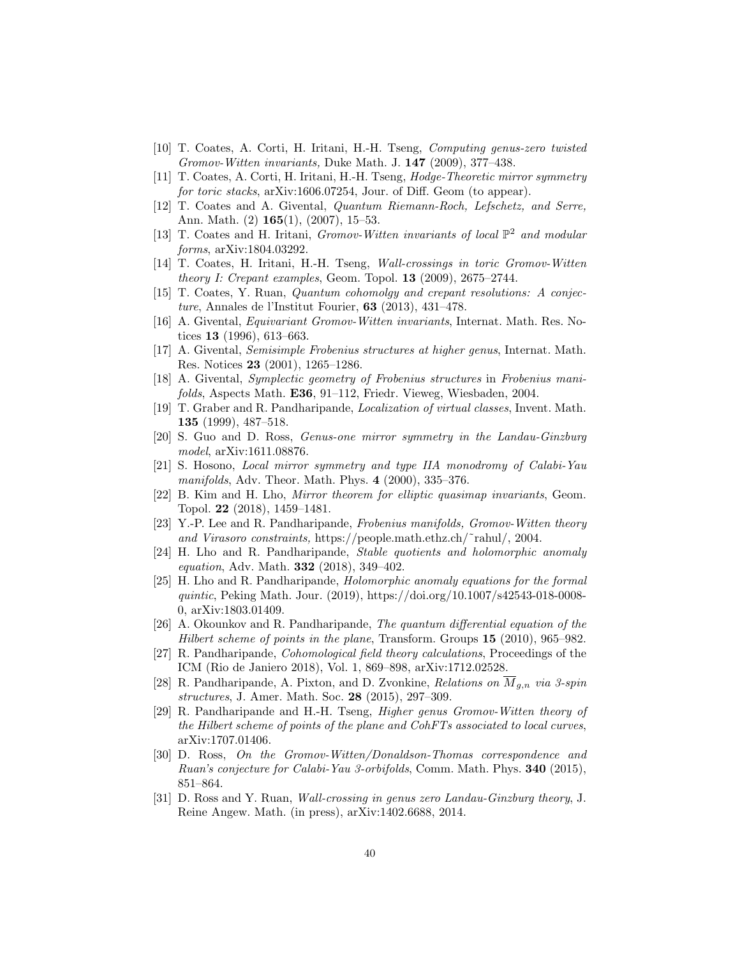- [10] T. Coates, A. Corti, H. Iritani, H.-H. Tseng, Computing genus-zero twisted Gromov-Witten invariants, Duke Math. J. 147 (2009), 377–438.
- [11] T. Coates, A. Corti, H. Iritani, H.-H. Tseng, Hodge-Theoretic mirror symmetry for toric stacks, arXiv:1606.07254, Jour. of Diff. Geom (to appear).
- [12] T. Coates and A. Givental, Quantum Riemann-Roch, Lefschetz, and Serre, Ann. Math. (2) 165(1), (2007), 15–53.
- [13] T. Coates and H. Iritani, *Gromov-Witten invariants of local*  $\mathbb{P}^2$  and modular forms, arXiv:1804.03292.
- [14] T. Coates, H. Iritani, H.-H. Tseng, Wall-crossings in toric Gromov-Witten theory I: Crepant examples, Geom. Topol.  $13$  (2009), 2675-2744.
- [15] T. Coates, Y. Ruan, Quantum cohomolgy and crepant resolutions: A conjecture, Annales de l'Institut Fourier, 63 (2013), 431–478.
- [16] A. Givental, Equivariant Gromov-Witten invariants, Internat. Math. Res. Notices 13 (1996), 613–663.
- [17] A. Givental, Semisimple Frobenius structures at higher genus, Internat. Math. Res. Notices 23 (2001), 1265–1286.
- [18] A. Givental, Symplectic geometry of Frobenius structures in Frobenius manifolds, Aspects Math. E36, 91–112, Friedr. Vieweg, Wiesbaden, 2004.
- [19] T. Graber and R. Pandharipande, Localization of virtual classes, Invent. Math. 135 (1999), 487–518.
- [20] S. Guo and D. Ross, Genus-one mirror symmetry in the Landau-Ginzburg model, arXiv:1611.08876.
- [21] S. Hosono, Local mirror symmetry and type IIA monodromy of Calabi-Yau manifolds, Adv. Theor. Math. Phys. 4 (2000), 335–376.
- [22] B. Kim and H. Lho, Mirror theorem for elliptic quasimap invariants, Geom. Topol. 22 (2018), 1459–1481.
- [23] Y.-P. Lee and R. Pandharipande, Frobenius manifolds, Gromov-Witten theory and Virasoro constraints, https://people.math.ethz.ch/˜rahul/, 2004.
- [24] H. Lho and R. Pandharipande, Stable quotients and holomorphic anomaly equation, Adv. Math. 332 (2018), 349–402.
- [25] H. Lho and R. Pandharipande, Holomorphic anomaly equations for the formal quintic, Peking Math. Jour. (2019), https://doi.org/10.1007/s42543-018-0008- 0, arXiv:1803.01409.
- [26] A. Okounkov and R. Pandharipande, The quantum differential equation of the Hilbert scheme of points in the plane, Transform. Groups 15 (2010), 965–982.
- [27] R. Pandharipande, Cohomological field theory calculations, Proceedings of the ICM (Rio de Janiero 2018), Vol. 1, 869–898, arXiv:1712.02528.
- [28] R. Pandharipande, A. Pixton, and D. Zvonkine, Relations on  $\overline{M}_{g,n}$  via 3-spin structures, J. Amer. Math. Soc. 28 (2015), 297–309.
- [29] R. Pandharipande and H.-H. Tseng, Higher genus Gromov-Witten theory of the Hilbert scheme of points of the plane and CohFTs associated to local curves, arXiv:1707.01406.
- [30] D. Ross, On the Gromov-Witten/Donaldson-Thomas correspondence and Ruan's conjecture for Calabi-Yau 3-orbifolds, Comm. Math. Phys. 340 (2015), 851–864.
- [31] D. Ross and Y. Ruan, Wall-crossing in genus zero Landau-Ginzburg theory, J. Reine Angew. Math. (in press), arXiv:1402.6688, 2014.